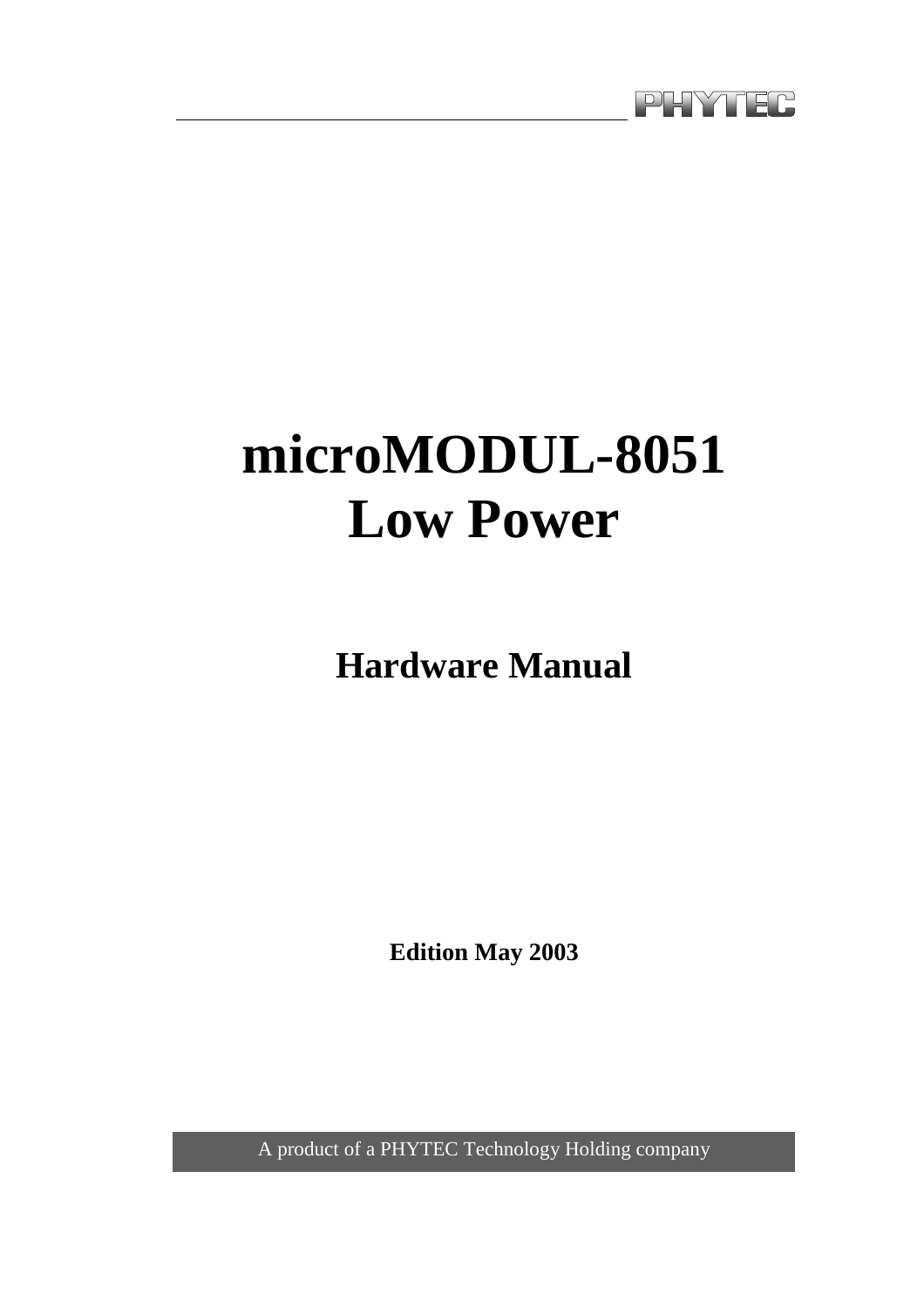

# **microMODUL-8051 Low Power**

 $\overline{a}$ 

**Hardware Manual**

**Edition May 2003**

A product of a PHYTEC Technology Holding company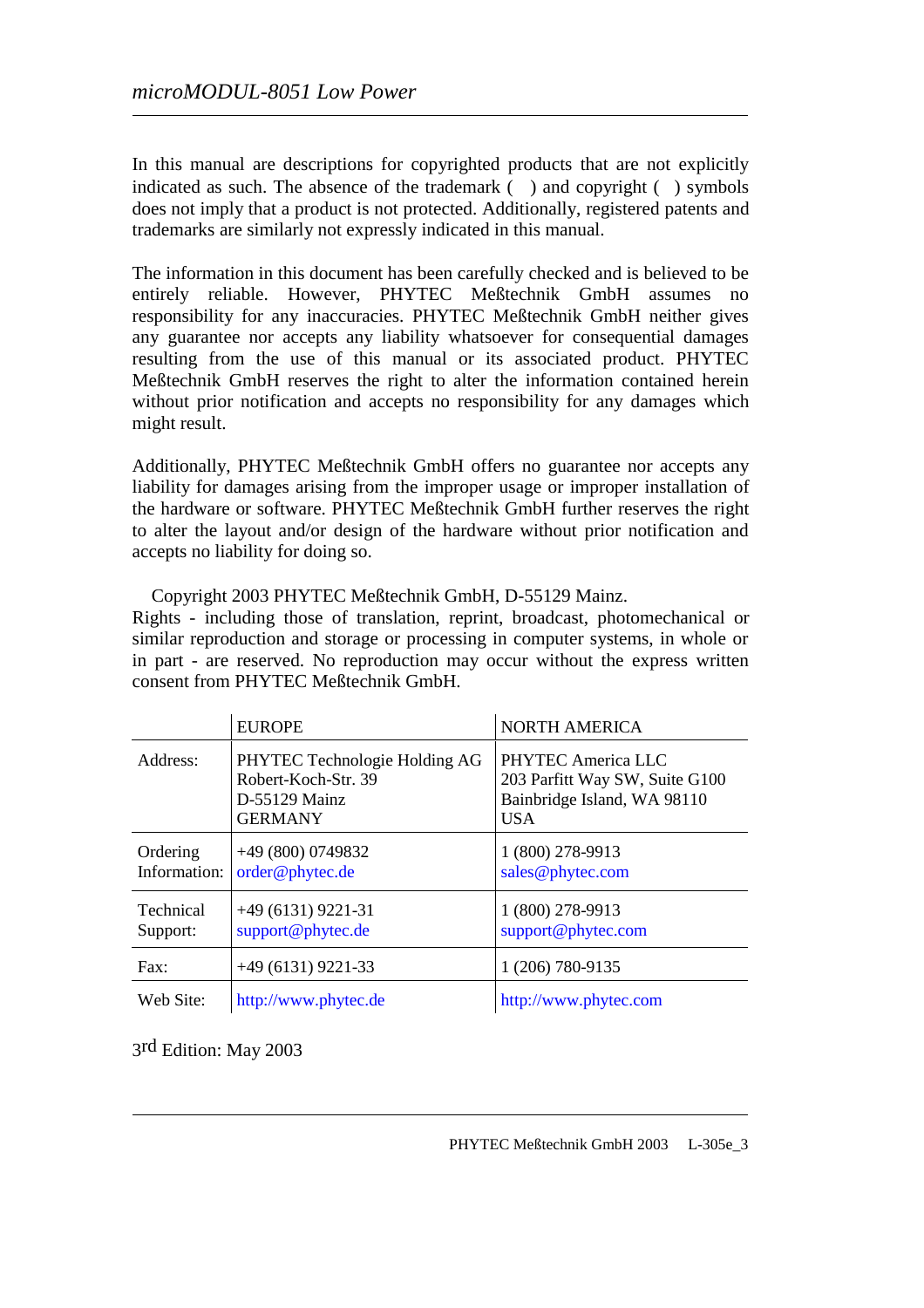In this manual are descriptions for copyrighted products that are not explicitly indicated as such. The absence of the trademark  $(\mathbb{N})$  and copyright  $(\mathbb{O})$  symbols does not imply that a product is not protected. Additionally, registered patents and trademarks are similarly not expressly indicated in this manual.

The information in this document has been carefully checked and is believed to be entirely reliable. However, PHYTEC Meßtechnik GmbH assumes no responsibility for any inaccuracies. PHYTEC Meßtechnik GmbH neither gives any guarantee nor accepts any liability whatsoever for consequential damages resulting from the use of this manual or its associated product. PHYTEC Meßtechnik GmbH reserves the right to alter the information contained herein without prior notification and accepts no responsibility for any damages which might result.

Additionally, PHYTEC Meßtechnik GmbH offers no guarantee nor accepts any liability for damages arising from the improper usage or improper installation of the hardware or software. PHYTEC Meßtechnik GmbH further reserves the right to alter the layout and/or design of the hardware without prior notification and accepts no liability for doing so.

Copyright 2003 PHYTEC Meßtechnik GmbH, D-55129 Mainz.

Rights - including those of translation, reprint, broadcast, photomechanical or similar reproduction and storage or processing in computer systems, in whole or in part - are reserved. No reproduction may occur without the express written consent from PHYTEC Meßtechnik GmbH.

|                          | <b>EUROPE</b>                                                                             | <b>NORTH AMERICA</b>                                                                              |
|--------------------------|-------------------------------------------------------------------------------------------|---------------------------------------------------------------------------------------------------|
| Address:                 | PHYTEC Technologie Holding AG<br>Robert-Koch-Str. 39<br>$D-55129$ Mainz<br><b>GERMANY</b> | PHYTEC America LLC<br>203 Parfitt Way SW, Suite G100<br>Bainbridge Island, WA 98110<br><b>USA</b> |
| Ordering<br>Information: | $+49(800)0749832$<br>order@phytec.de                                                      | 1 (800) 278-9913<br>sales@phytec.com                                                              |
| Technical<br>Support:    | $+49(6131)9221-31$<br>support@phytec.de                                                   | 1 (800) 278-9913<br>support@phytec.com                                                            |
| Fax:                     | $+49(6131)9221-33$                                                                        | 1 (206) 780-9135                                                                                  |
| Web Site:                | http://www.phytec.de                                                                      | http://www.phytec.com                                                                             |

3rd Edition: May 2003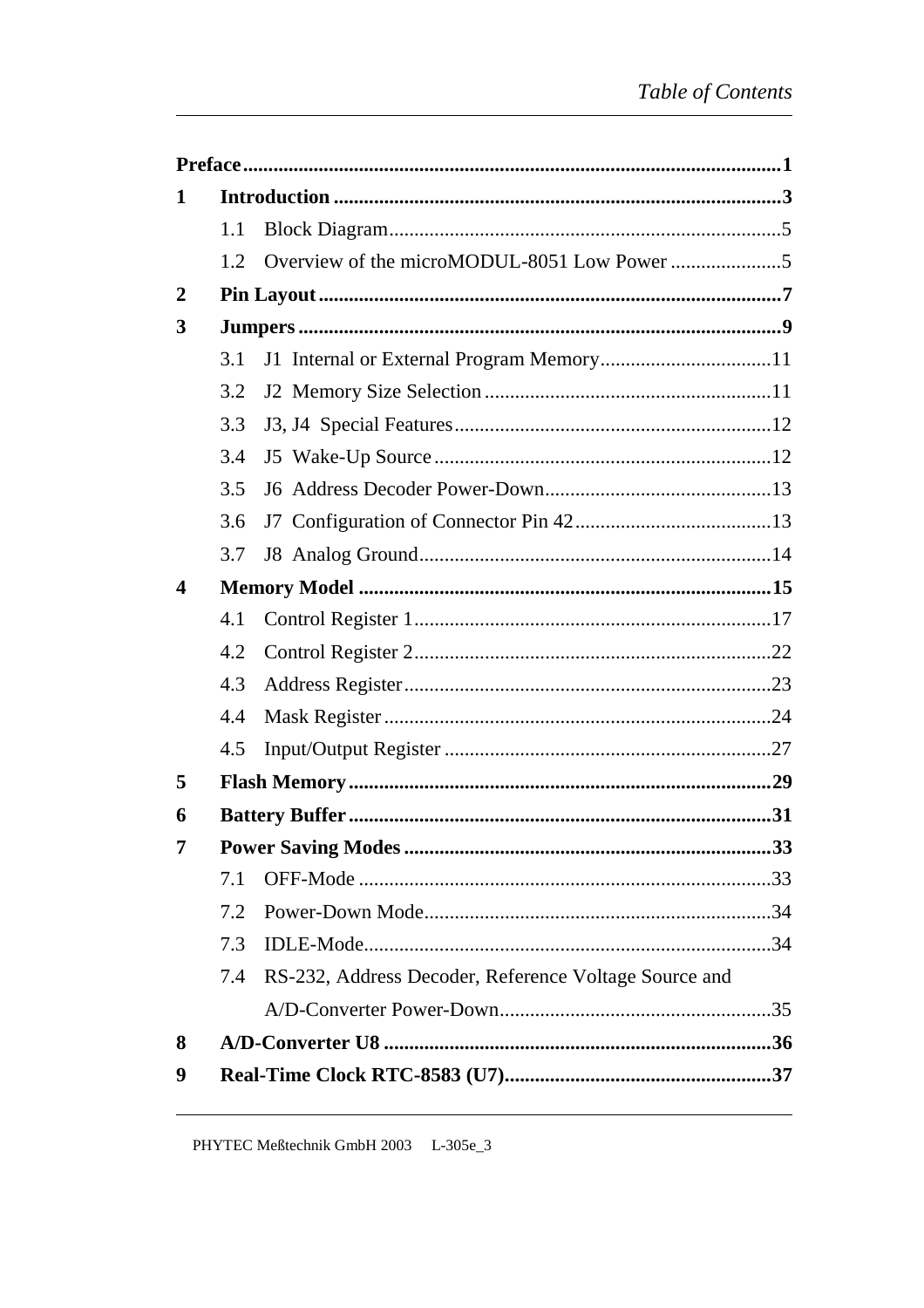| 1                       |     |                                                       |     |
|-------------------------|-----|-------------------------------------------------------|-----|
|                         | 1.1 |                                                       |     |
|                         | 1.2 |                                                       |     |
| 2                       |     |                                                       |     |
| 3                       |     |                                                       |     |
|                         | 3.1 |                                                       |     |
|                         | 3.2 |                                                       |     |
|                         | 3.3 |                                                       |     |
|                         | 3.4 |                                                       |     |
|                         | 3.5 |                                                       |     |
|                         | 3.6 |                                                       |     |
|                         | 3.7 |                                                       |     |
| $\overline{\mathbf{4}}$ |     |                                                       |     |
|                         | 4.1 |                                                       |     |
|                         | 4.2 |                                                       |     |
|                         | 4.3 |                                                       |     |
|                         | 4.4 |                                                       |     |
|                         | 4.5 |                                                       |     |
| 5                       |     |                                                       |     |
| 6                       |     |                                                       |     |
| 7                       |     | <b>Power Saving Modes </b>                            | .33 |
|                         | 7.1 |                                                       |     |
|                         | 7.2 |                                                       |     |
|                         | 7.3 |                                                       |     |
|                         | 7.4 | RS-232, Address Decoder, Reference Voltage Source and |     |
|                         |     |                                                       |     |
| 8                       |     |                                                       |     |
| 9                       |     |                                                       |     |
|                         |     |                                                       |     |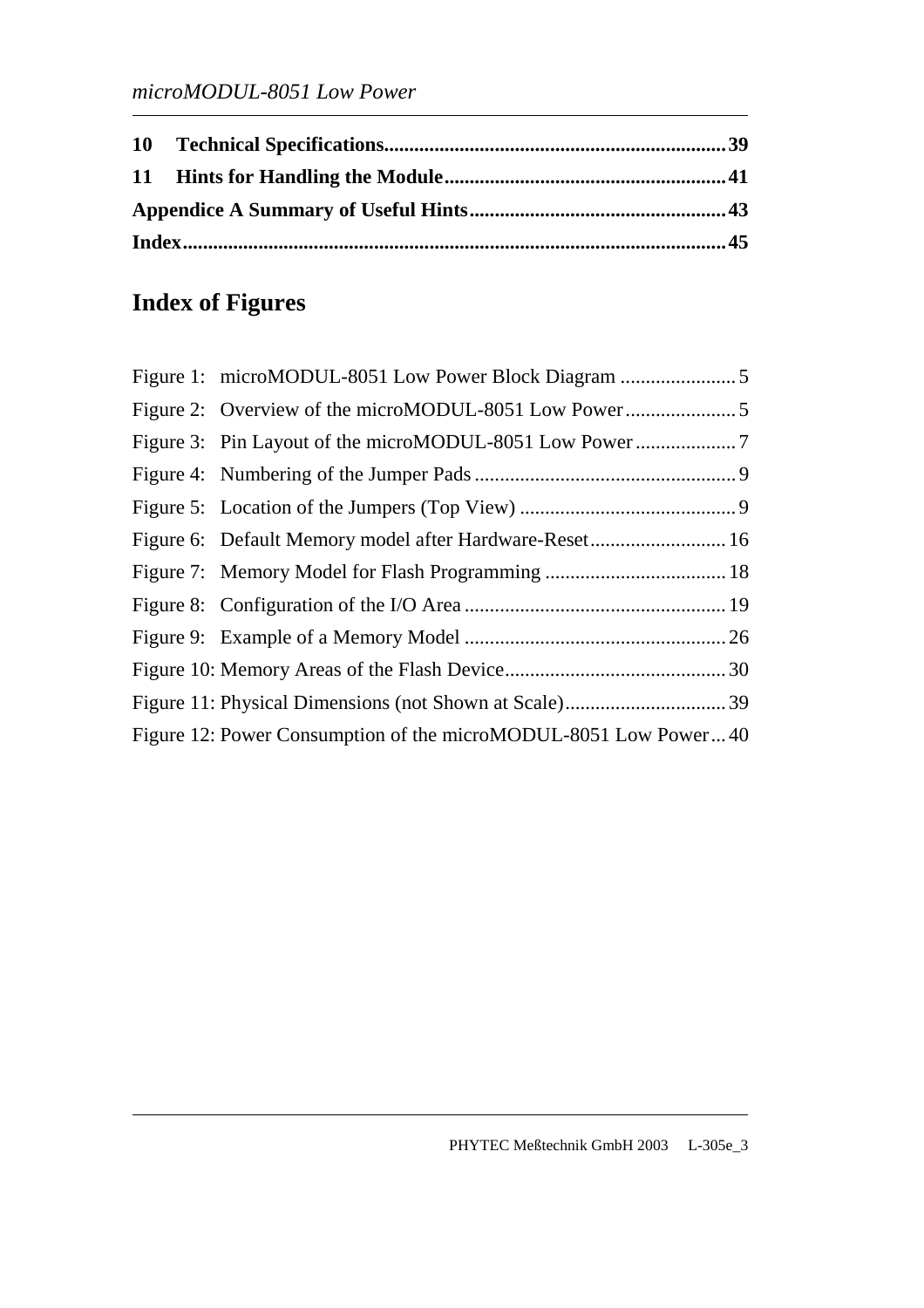# **Index of Figures**

| Figure 12: Power Consumption of the microMODUL-8051 Low Power40 |  |
|-----------------------------------------------------------------|--|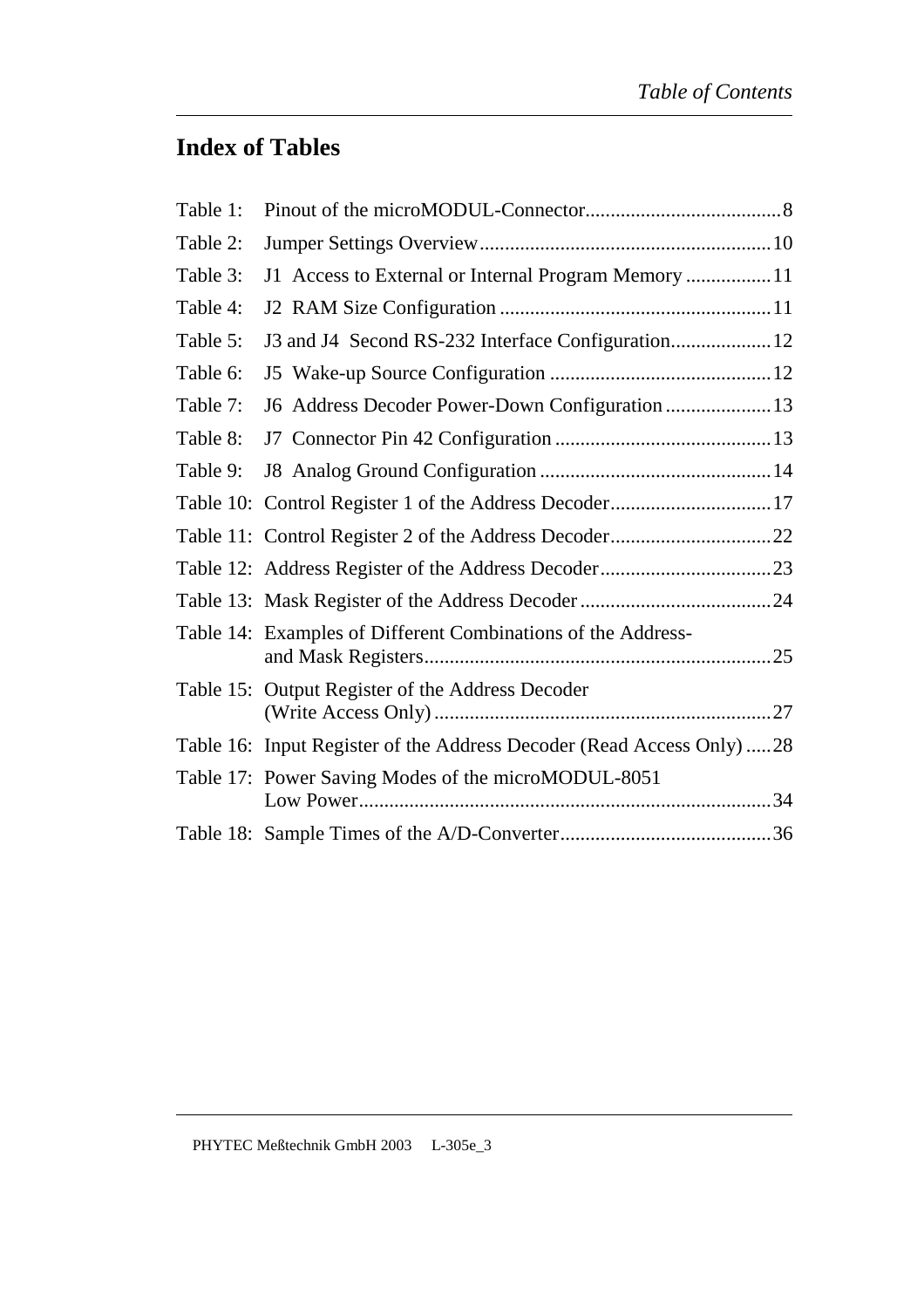# **Index of Tables**

| Table 1:  |                                                                       |  |
|-----------|-----------------------------------------------------------------------|--|
| Table 2:  |                                                                       |  |
| Table 3:  | J1 Access to External or Internal Program Memory  11                  |  |
| Table 4:  |                                                                       |  |
| Table 5:  | J3 and J4 Second RS-232 Interface Configuration 12                    |  |
| Table 6:  |                                                                       |  |
| Table 7:  | J6 Address Decoder Power-Down Configuration  13                       |  |
| Table 8:  |                                                                       |  |
| Table 9:  |                                                                       |  |
| Table 10: |                                                                       |  |
|           |                                                                       |  |
|           |                                                                       |  |
|           |                                                                       |  |
|           | Table 14: Examples of Different Combinations of the Address-          |  |
|           | Table 15: Output Register of the Address Decoder                      |  |
|           | Table 16: Input Register of the Address Decoder (Read Access Only) 28 |  |
|           | Table 17: Power Saving Modes of the microMODUL-8051                   |  |
|           |                                                                       |  |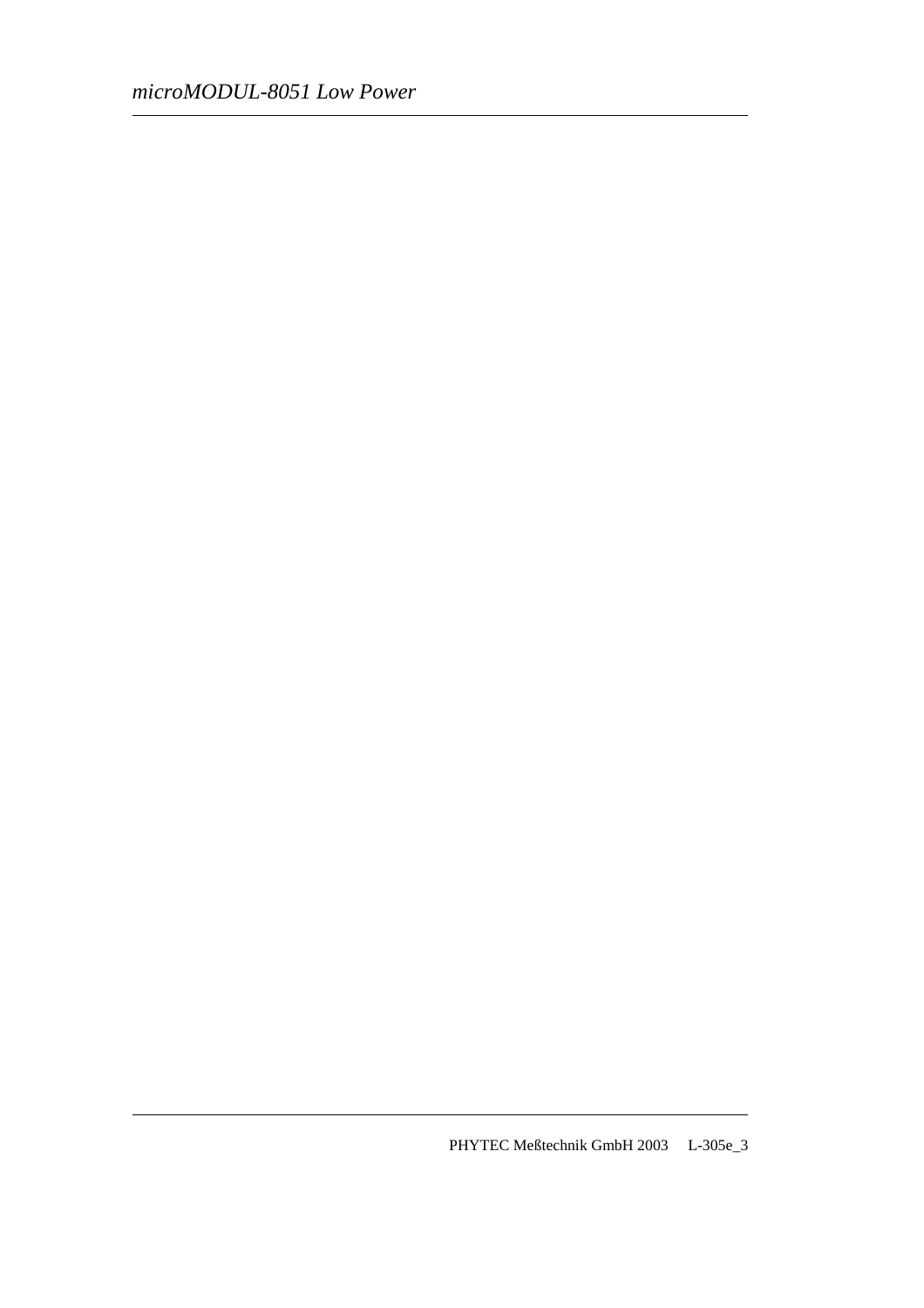PHYTEC Meßtechnik GmbH 2003 L-305e\_3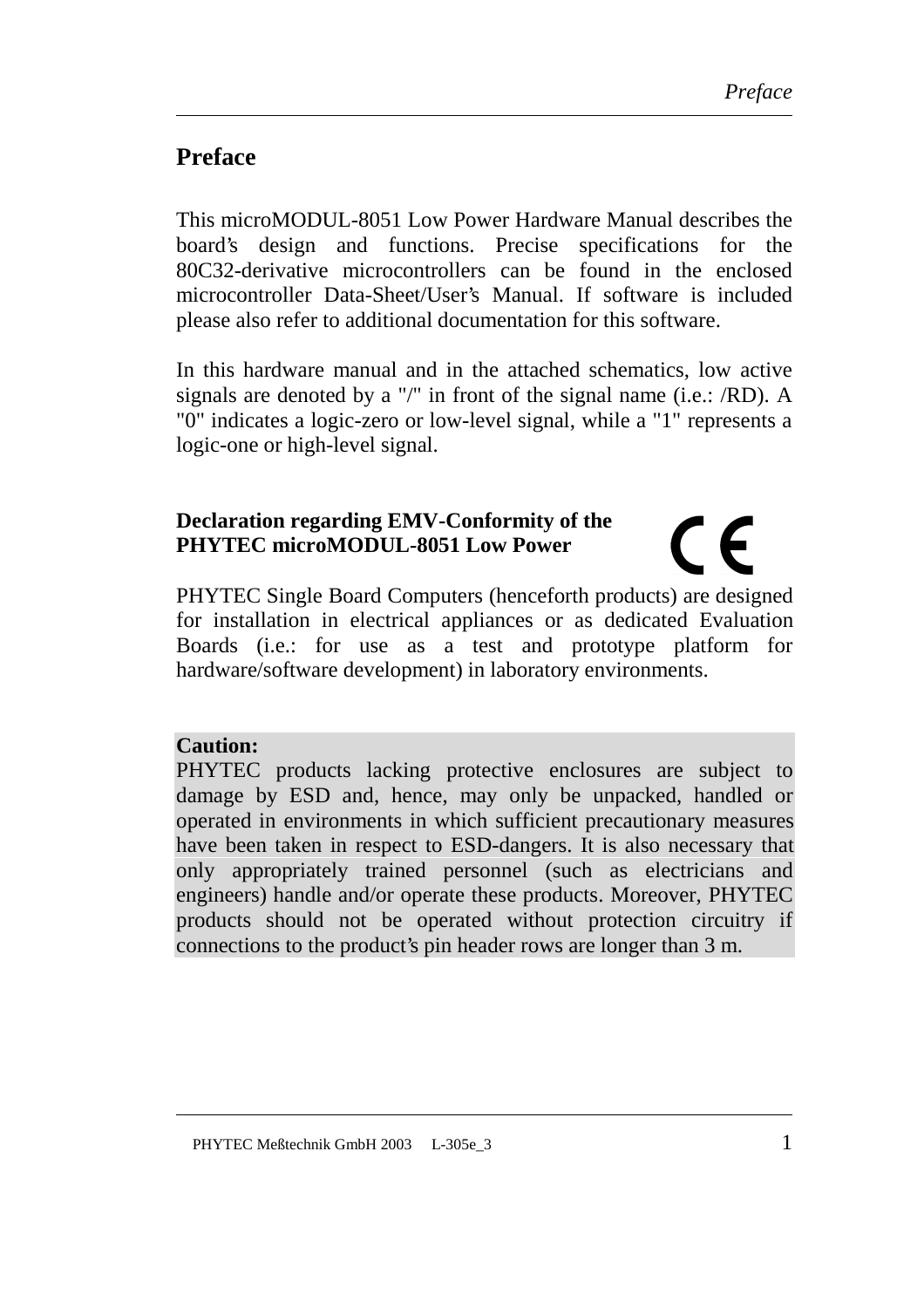$\epsilon$ 

## <span id="page-6-0"></span>**Preface**

This microMODUL-8051 Low Power Hardware Manual describes the board's design and functions. Precise specifications for the 80C32-derivative microcontrollers can be found in the enclosed microcontroller Data-Sheet/User's Manual. If software is included please also refer to additional documentation for this software.

In this hardware manual and in the attached schematics, low active signals are denoted by a "/" in front of the signal name (i.e.: /RD). A "0" indicates a logic-zero or low-level signal, while a "1" represents a logic-one or high-level signal.

#### **Declaration regarding EMV-Conformity of the PHYTEC microMODUL-8051 Low Power**

PHYTEC Single Board Computers (henceforth products) are designed for installation in electrical appliances or as dedicated Evaluation Boards (i.e.: for use as a test and prototype platform for hardware/software development) in laboratory environments.

#### **Caution:**

PHYTEC products lacking protective enclosures are subject to damage by ESD and, hence, may only be unpacked, handled or operated in environments in which sufficient precautionary measures have been taken in respect to ESD-dangers. It is also necessary that only appropriately trained personnel (such as electricians and engineers) handle and/or operate these products. Moreover, PHYTEC products should not be operated without protection circuitry if connections to the product's pin header rows are longer than 3 m.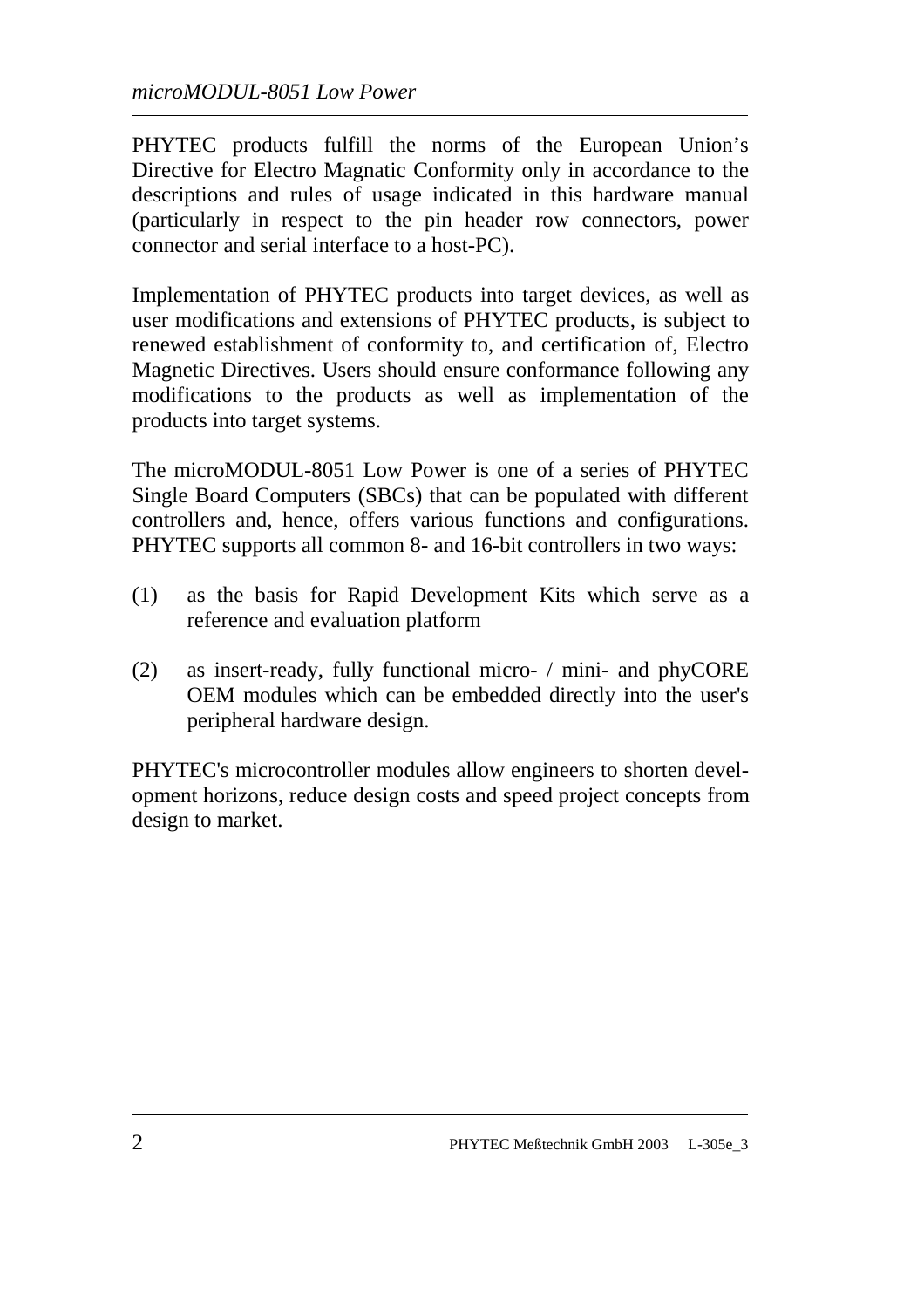PHYTEC products fulfill the norms of the European Union's Directive for Electro Magnatic Conformity only in accordance to the descriptions and rules of usage indicated in this hardware manual (particularly in respect to the pin header row connectors, power connector and serial interface to a host-PC).

Implementation of PHYTEC products into target devices, as well as user modifications and extensions of PHYTEC products, is subject to renewed establishment of conformity to, and certification of, Electro Magnetic Directives. Users should ensure conformance following any modifications to the products as well as implementation of the products into target systems.

The microMODUL-8051 Low Power is one of a series of PHYTEC Single Board Computers (SBCs) that can be populated with different controllers and, hence, offers various functions and configurations. PHYTEC supports all common 8- and 16-bit controllers in two ways:

- (1) as the basis for Rapid Development Kits which serve as a reference and evaluation platform
- (2) as insert-ready, fully functional micro- / mini- and phyCORE OEM modules which can be embedded directly into the user's peripheral hardware design.

PHYTEC's microcontroller modules allow engineers to shorten development horizons, reduce design costs and speed project concepts from design to market.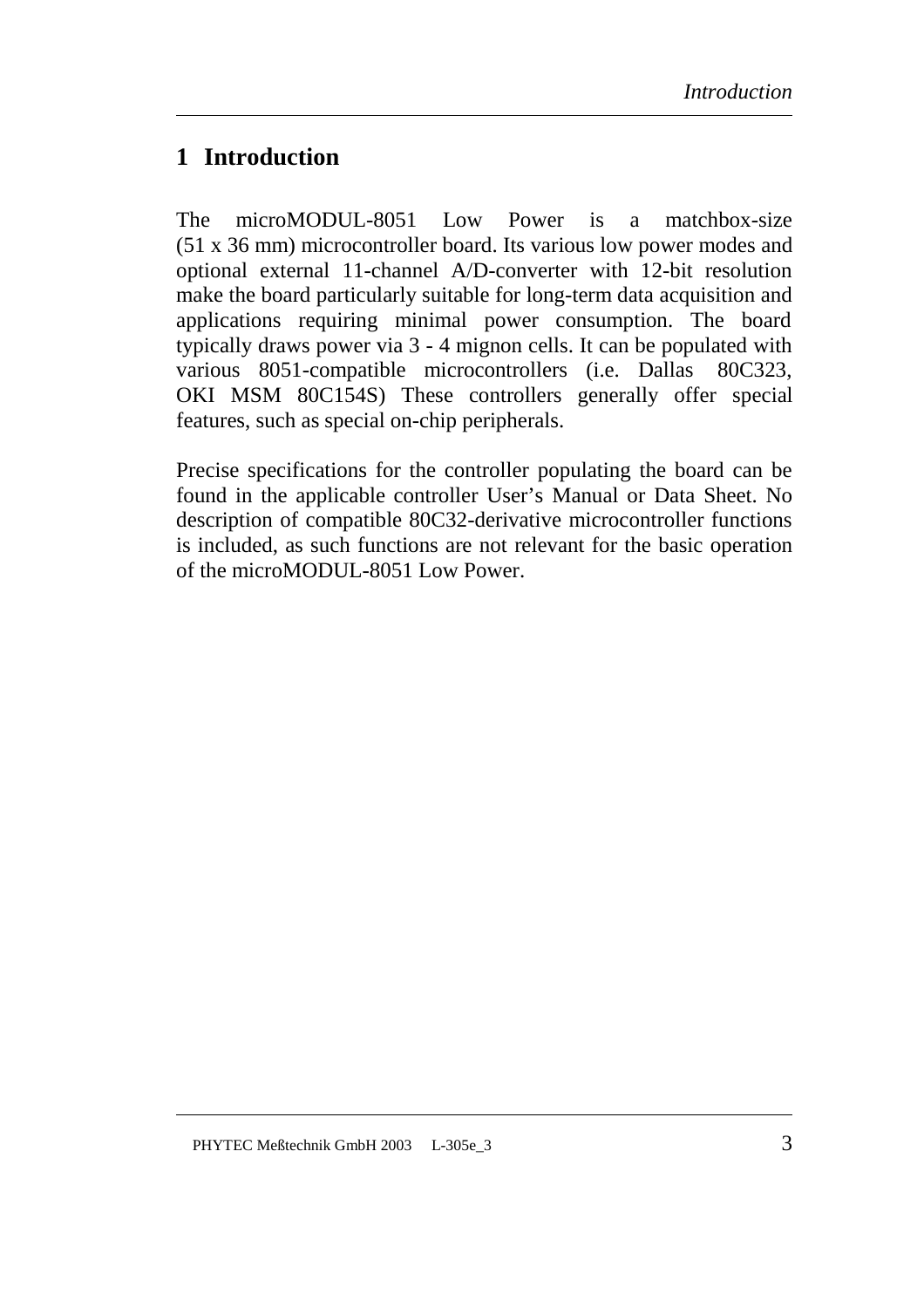## <span id="page-8-0"></span>**1 Introduction**

The microMODUL-8051 Low Power is a matchbox-size (51 x 36 mm) microcontroller board. Its various low power modes and optional external 11-channel A/D-converter with 12-bit resolution make the board particularly suitable for long-term data acquisition and applications requiring minimal power consumption. The board typically draws power via 3 - 4 mignon cells. It can be populated with various 8051-compatible microcontrollers (i.e. Dallas 80C323, OKI MSM 80C154S) These controllers generally offer special features, such as special on-chip peripherals.

Precise specifications for the controller populating the board can be found in the applicable controller User's Manual or Data Sheet. No description of compatible 80C32-derivative microcontroller functions is included, as such functions are not relevant for the basic operation of the microMODUL-8051 Low Power.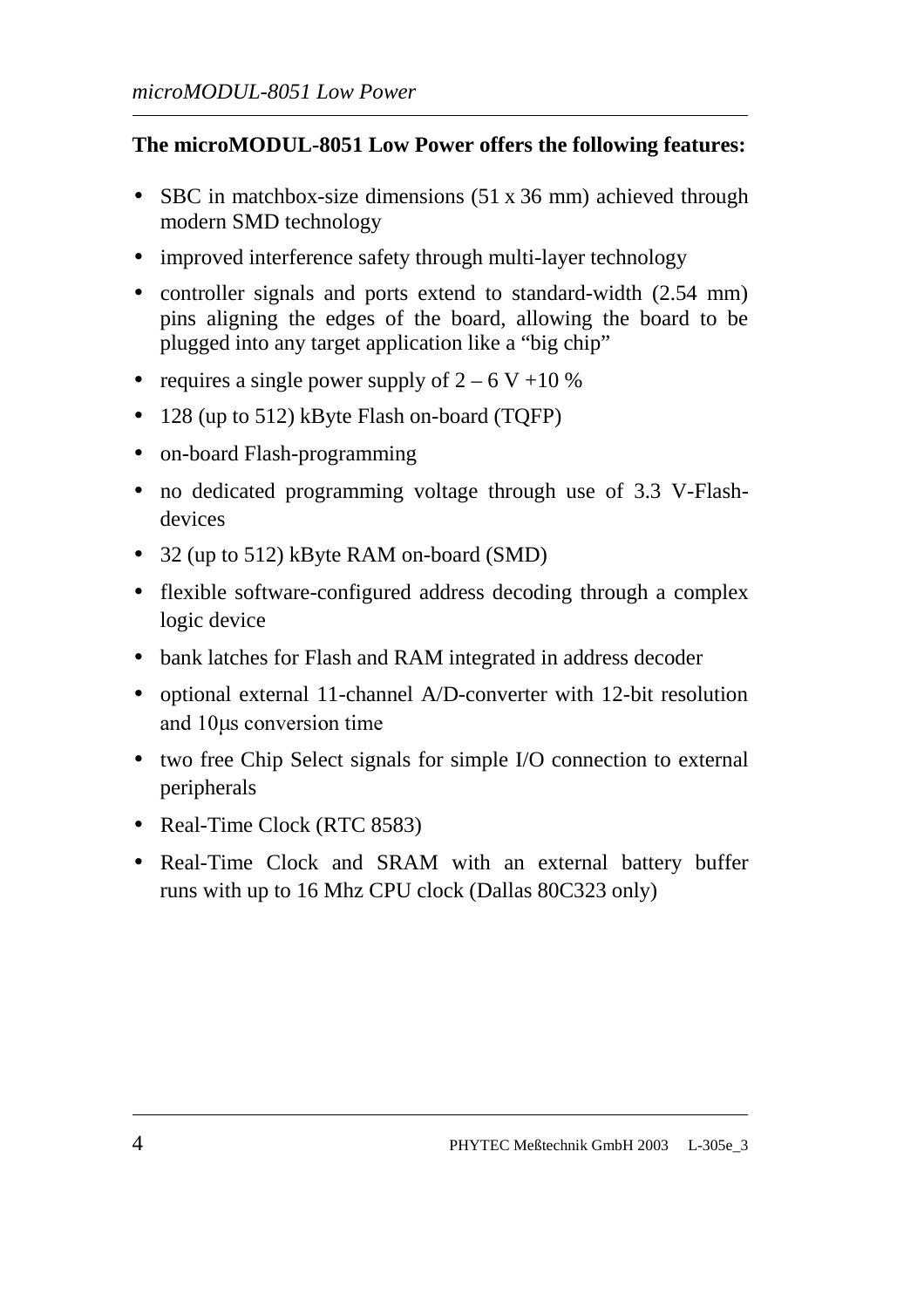#### **The microMODUL-8051 Low Power offers the following features:**

- SBC in matchbox-size dimensions (51 x 36 mm) achieved through modern SMD technology
- improved interference safety through multi-layer technology
- controller signals and ports extend to standard-width (2.54 mm) pins aligning the edges of the board, allowing the board to be plugged into any target application like a "big chip"
- requires a single power supply of  $2 6V + 10\%$
- 128 (up to 512) kByte Flash on-board (TQFP)
- on-board Flash-programming
- no dedicated programming voltage through use of 3.3 V-Flashdevices
- 32 (up to 512) kByte RAM on-board (SMD)
- flexible software-configured address decoding through a complex logic device
- bank latches for Flash and RAM integrated in address decoder
- optional external 11-channel A/D-converter with 12-bit resolution and 10us conversion time
- two free Chip Select signals for simple I/O connection to external peripherals
- Real-Time Clock (RTC 8583)
- Real-Time Clock and SRAM with an external battery buffer runs with up to 16 Mhz CPU clock (Dallas 80C323 only)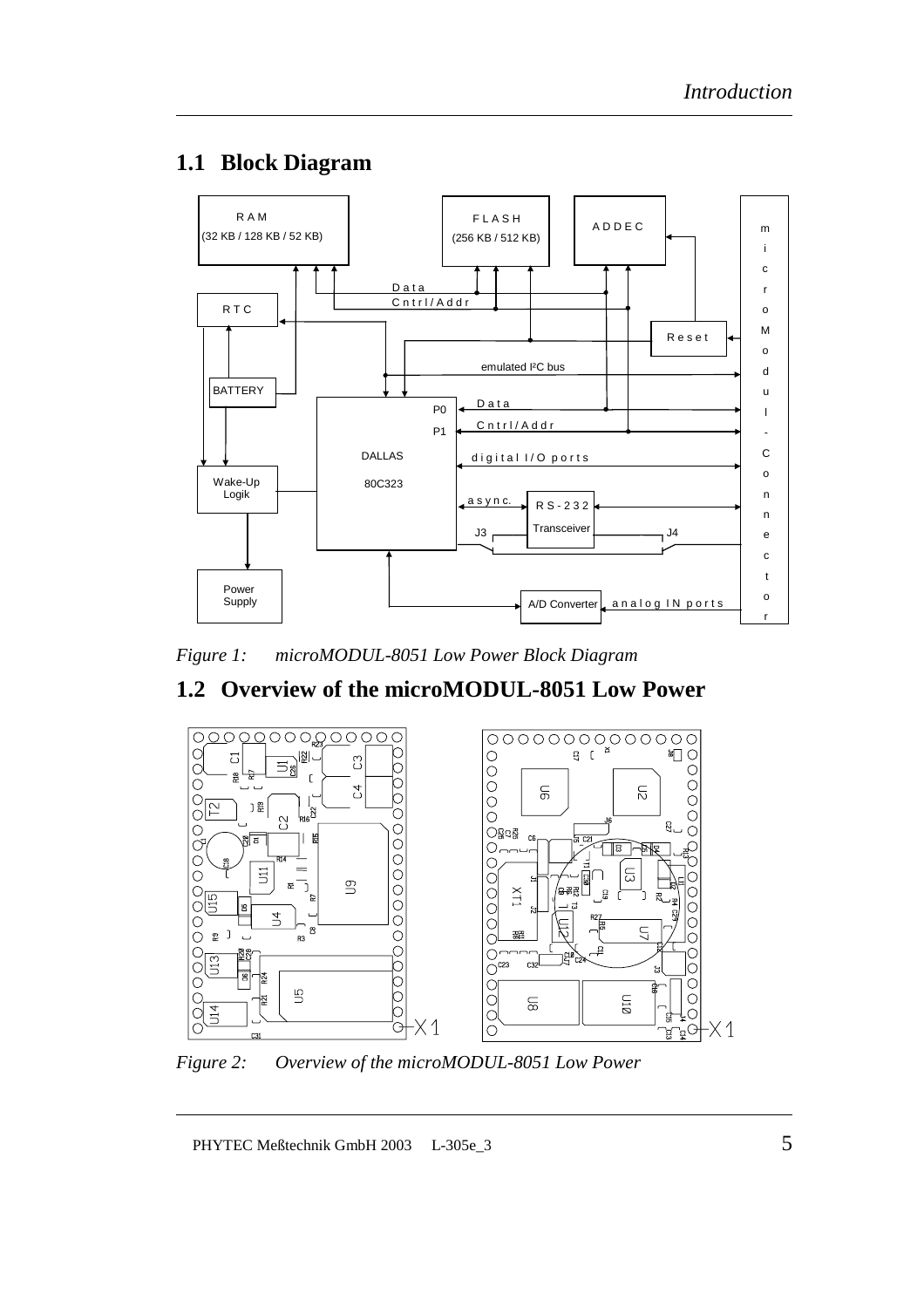#### <span id="page-10-0"></span>**1.1 Block Diagram**





#### **1.2 Overview of the microMODUL-8051 Low Power**



*Figure 2: Overview of the microMODUL-8051 Low Power*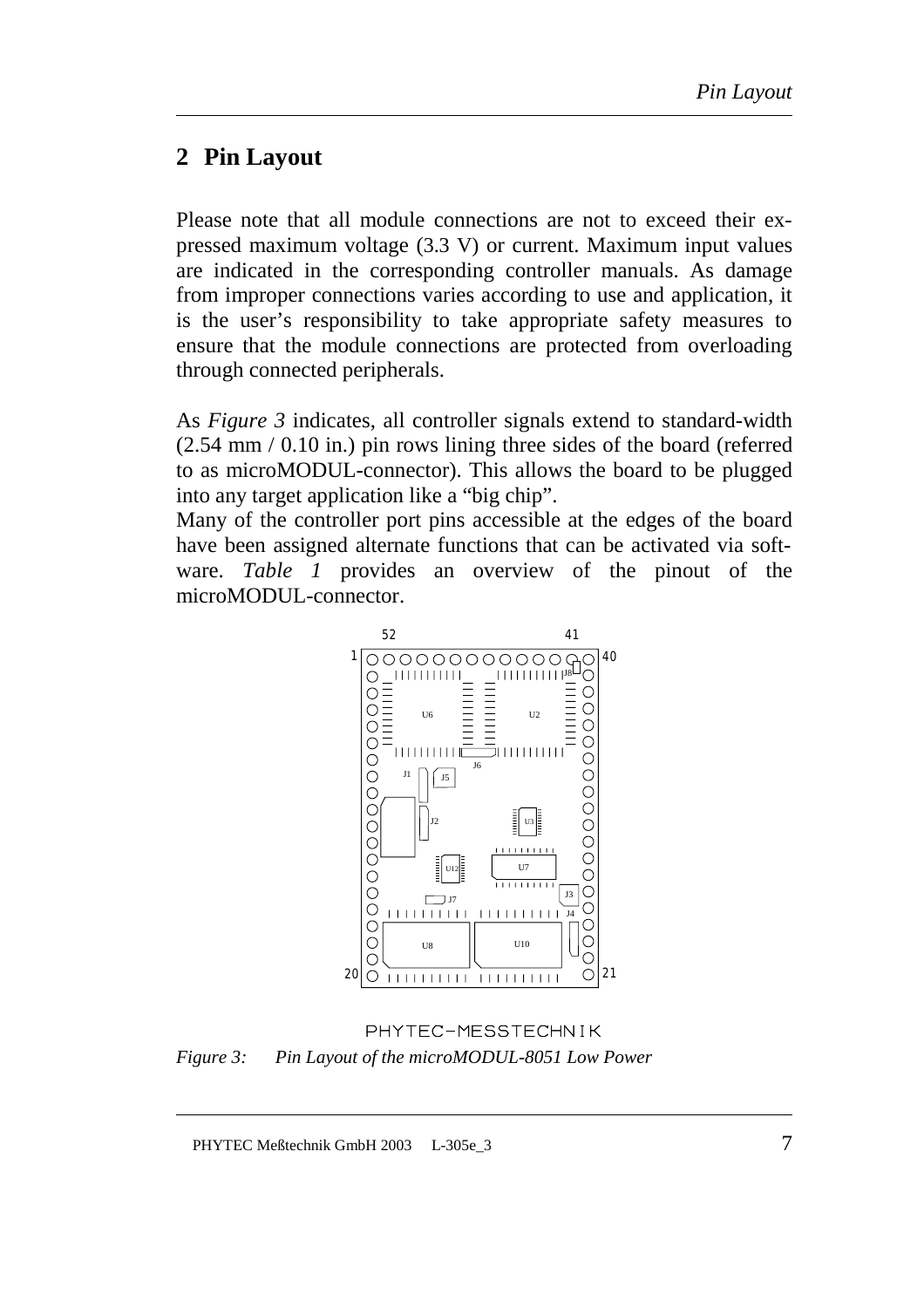#### <span id="page-12-0"></span>**2 Pin Layout**

Please note that all module connections are not to exceed their expressed maximum voltage (3.3 V) or current. Maximum input values are indicated in the corresponding controller manuals. As damage from improper connections varies according to use and application, it is the user's responsibility to take appropriate safety measures to ensure that the module connections are protected from overloading through connected peripherals.

As *Figure 3* indicates, all controller signals extend to standard-width (2.54 mm / 0.10 in.) pin rows lining three sides of the board (referred to as microMODUL-connector). This allows the board to be plugged into any target application like a "big chip".

Many of the controller port pins accessible at the edges of the board have been assigned alternate functions that can be activated via software. *[Table 1](#page-13-0)* provides an overview of the pinout of the microMODUL-connector.



PHYTEC-MESSTECHNIK *Figure 3: Pin Layout of the microMODUL-8051 Low Power*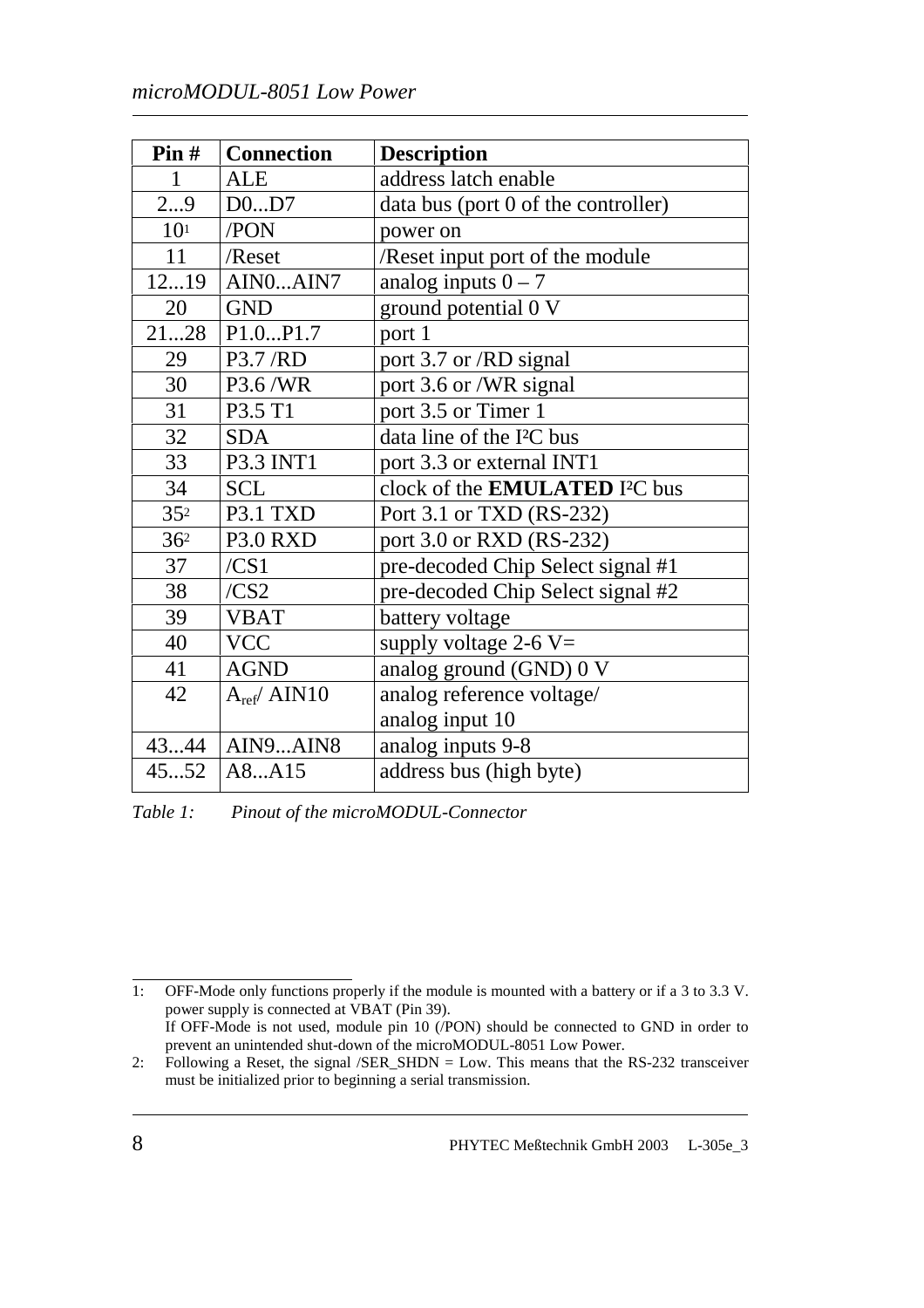<span id="page-13-0"></span>

| $\text{Pin}\,\text{\#}$ | <b>Connection</b> | <b>Description</b>                                |
|-------------------------|-------------------|---------------------------------------------------|
| $\mathbf{1}$            | <b>ALE</b>        | address latch enable                              |
| 29                      | D0D7              | data bus (port 0 of the controller)               |
| 10 <sup>1</sup>         | /PON              | power on                                          |
| 11                      | /Reset            | Reset input port of the module                    |
| 1219                    | AIN0AIN7          | analog inputs $0 - 7$                             |
| 20                      | <b>GND</b>        | ground potential 0 V                              |
| 2128                    | P1.0P1.7          | port 1                                            |
| 29                      | P3.7/RD           | port 3.7 or /RD signal                            |
| 30                      | P3.6 /WR          | port 3.6 or /WR signal                            |
| 31                      | P3.5 T1           | port 3.5 or Timer 1                               |
| 32                      | <b>SDA</b>        | data line of the I <sup>2</sup> C bus             |
| 33                      | P3.3 INT1         | port 3.3 or external INT1                         |
| 34                      | <b>SCL</b>        | clock of the <b>EMULATED</b> I <sup>2</sup> C bus |
| 35 <sup>2</sup>         | <b>P3.1 TXD</b>   | Port 3.1 or TXD (RS-232)                          |
| 36 <sup>2</sup>         | <b>P3.0 RXD</b>   | port 3.0 or RXD (RS-232)                          |
| 37                      | /CS1              | pre-decoded Chip Select signal #1                 |
| 38                      | /CS2              | pre-decoded Chip Select signal #2                 |
| 39                      | <b>VBAT</b>       | battery voltage                                   |
| 40                      | <b>VCC</b>        | supply voltage 2-6 $V=$                           |
| 41                      | <b>AGND</b>       | analog ground (GND) 0 V                           |
| 42                      | $A_{ref}$ AIN10   | analog reference voltage/                         |
|                         |                   | analog input 10                                   |
| 4344                    | AIN9AIN8          | analog inputs 9-8                                 |
| 4552                    | A8A15             | address bus (high byte)                           |
|                         |                   |                                                   |

*Table 1: Pinout of the microMODUL-Connector*

 $\overline{\phantom{a}}$ 

<sup>1:</sup> OFF-Mode only functions properly if the module is mounted with a battery or if a 3 to 3.3 V. power supply is connected at VBAT (Pin 39). If OFF-Mode is not used, module pin 10 (/PON) should be connected to GND in order to prevent an unintended shut-down of the microMODUL-8051 Low Power.

<sup>2:</sup> Following a Reset, the signal /SER\_SHDN = Low. This means that the RS-232 transceiver must be initialized prior to beginning a serial transmission.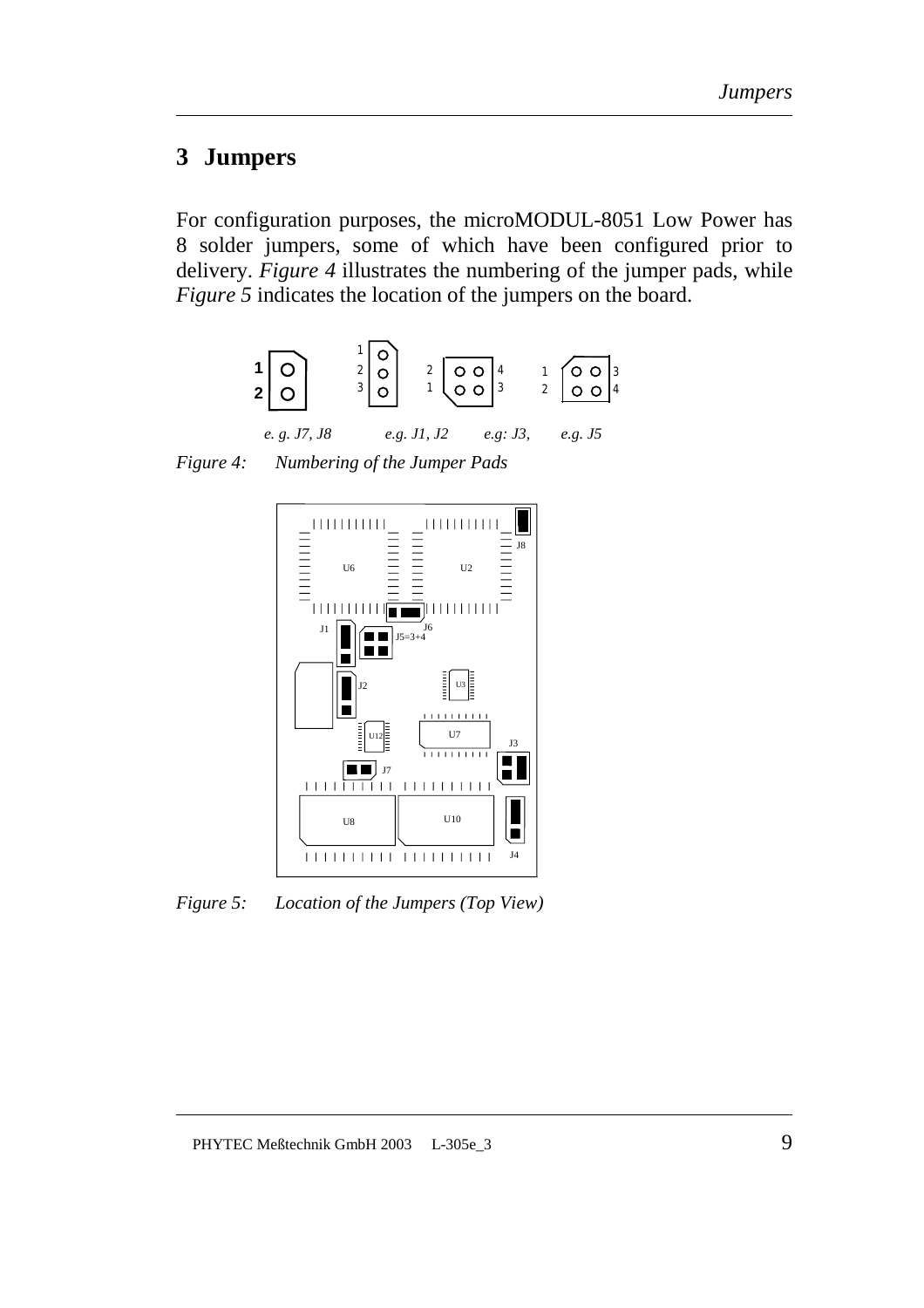# <span id="page-14-0"></span>**3 Jumpers**

For configuration purposes, the microMODUL-8051 Low Power has 8 solder jumpers, some of which have been configured prior to delivery. *Figure 4* illustrates the numbering of the jumper pads, while *Figure 5* indicates the location of the jumpers on the board.



*Figure 4: Numbering of the Jumper Pads*



*Figure 5: Location of the Jumpers (Top View)*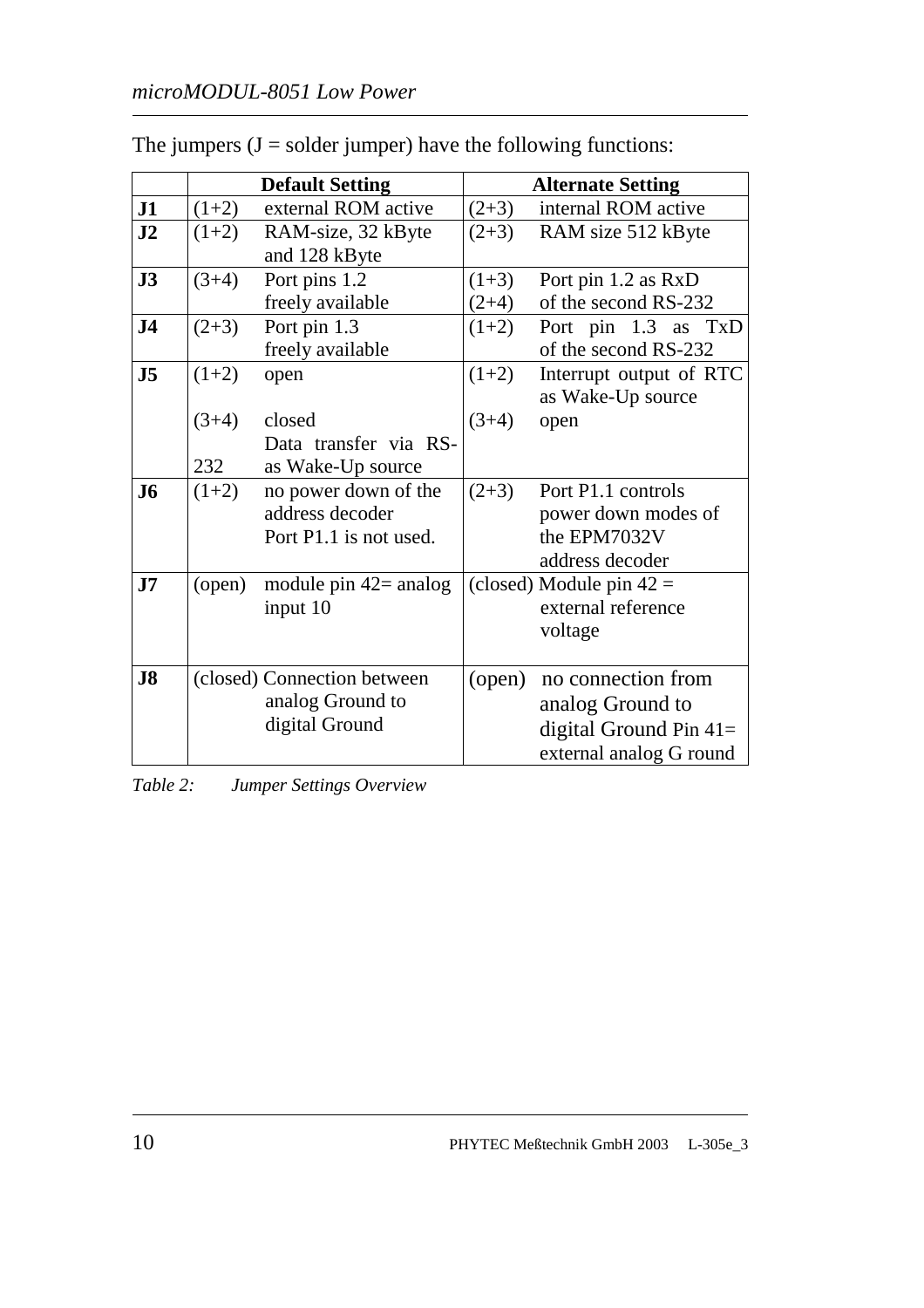|                |         | <b>Default Setting</b>      |         | <b>Alternate Setting</b>   |  |
|----------------|---------|-----------------------------|---------|----------------------------|--|
| J1             | $(1+2)$ | external ROM active         | $(2+3)$ | internal ROM active        |  |
| J2             | $(1+2)$ | RAM-size, 32 kByte          | $(2+3)$ | RAM size 512 kByte         |  |
|                |         | and 128 kByte               |         |                            |  |
| J3             | $(3+4)$ | Port pins 1.2               | $(1+3)$ | Port pin 1.2 as RxD        |  |
|                |         | freely available            | $(2+4)$ | of the second RS-232       |  |
| J <sub>4</sub> | $(2+3)$ | Port pin 1.3                | $(1+2)$ | Port pin 1.3 as TxD        |  |
|                |         | freely available            |         | of the second RS-232       |  |
| J <sub>5</sub> | $(1+2)$ | open                        | $(1+2)$ | Interrupt output of RTC    |  |
|                |         |                             |         | as Wake-Up source          |  |
|                | $(3+4)$ | closed                      | $(3+4)$ | open                       |  |
|                |         | Data transfer via RS-       |         |                            |  |
|                | 232     | as Wake-Up source           |         |                            |  |
| J6             | $(1+2)$ | no power down of the        | $(2+3)$ | Port P1.1 controls         |  |
|                |         | address decoder             |         | power down modes of        |  |
|                |         | Port P1.1 is not used.      |         | the EPM7032V               |  |
|                |         |                             |         | address decoder            |  |
| J7             | (open)  | module pin $42$ = analog    |         | (closed) Module pin $42 =$ |  |
|                |         | input 10                    |         | external reference         |  |
|                |         |                             |         | voltage                    |  |
| J <sub>8</sub> |         | (closed) Connection between | (open)  | no connection from         |  |
|                |         | analog Ground to            |         | analog Ground to           |  |
|                |         | digital Ground              |         | digital Ground Pin $41=$   |  |
|                |         |                             |         | external analog G round    |  |

<span id="page-15-0"></span>The jumpers  $(J = \text{ solder jumper})$  have the following functions:

*Table 2: Jumper Settings Overview*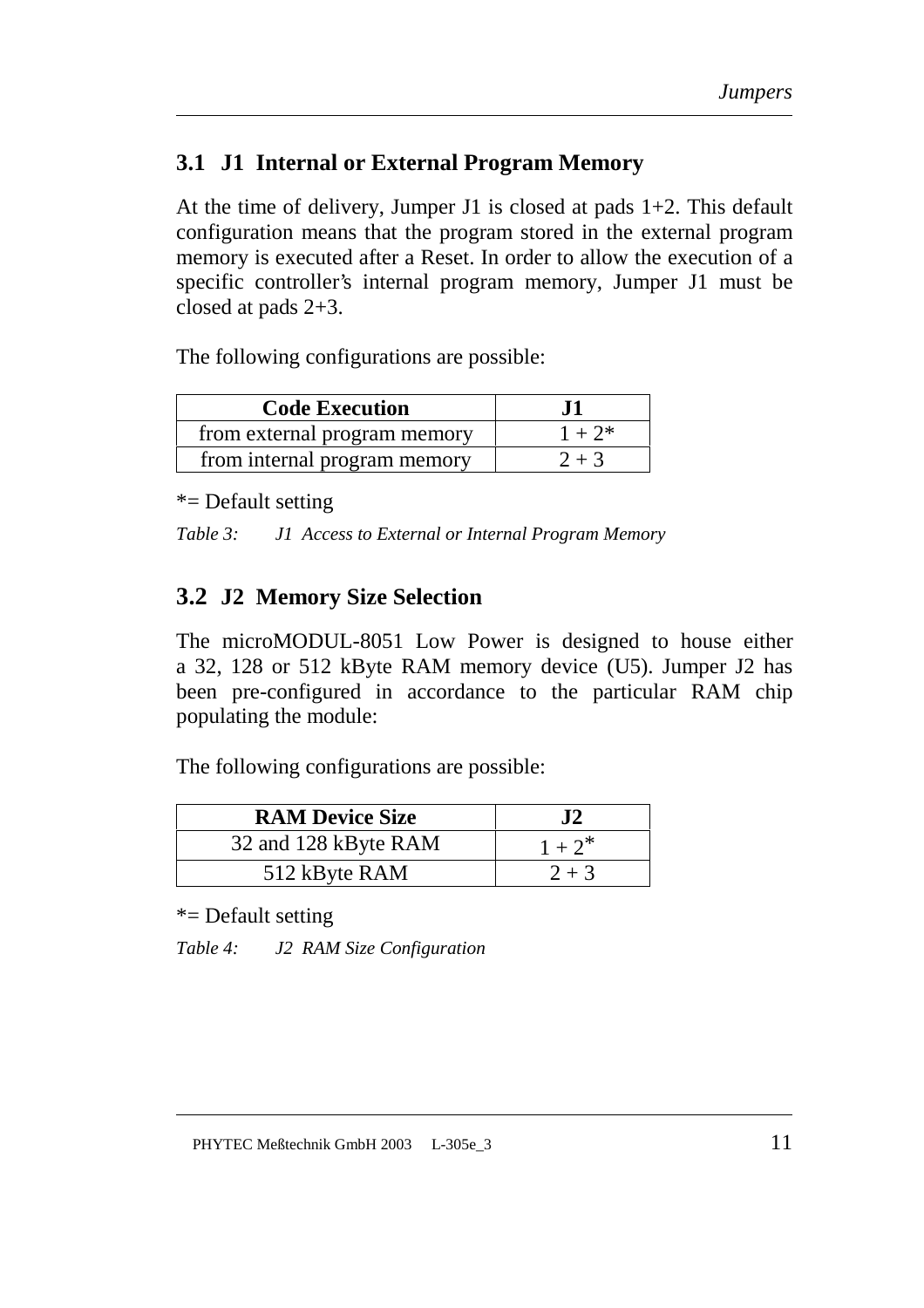#### <span id="page-16-0"></span>**3.1 J1 Internal or External Program Memory**

At the time of delivery, Jumper J1 is closed at pads 1+2. This default configuration means that the program stored in the external program memory is executed after a Reset. In order to allow the execution of a specific controller's internal program memory, Jumper J1 must be closed at pads 2+3.

The following configurations are possible:

| <b>Code Execution</b>        | AN.       |
|------------------------------|-----------|
| from external program memory | $1 + 2^*$ |
| from internal program memory | $2 + 3$   |

\*= Default setting

*Table 3: J1 Access to External or Internal Program Memory*

## **3.2 J2 Memory Size Selection**

The microMODUL-8051 Low Power is designed to house either a 32, 128 or 512 kByte RAM memory device (U5). Jumper J2 has been pre-configured in accordance to the particular RAM chip populating the module:

The following configurations are possible:

| <b>RAM Device Size</b> | $\bf{J2}$ |
|------------------------|-----------|
| 32 and 128 kByte RAM   | $1 + 2^*$ |
| 512 kByte RAM          | $2 + 3$   |

\*= Default setting

*Table 4: J2 RAM Size Configuration*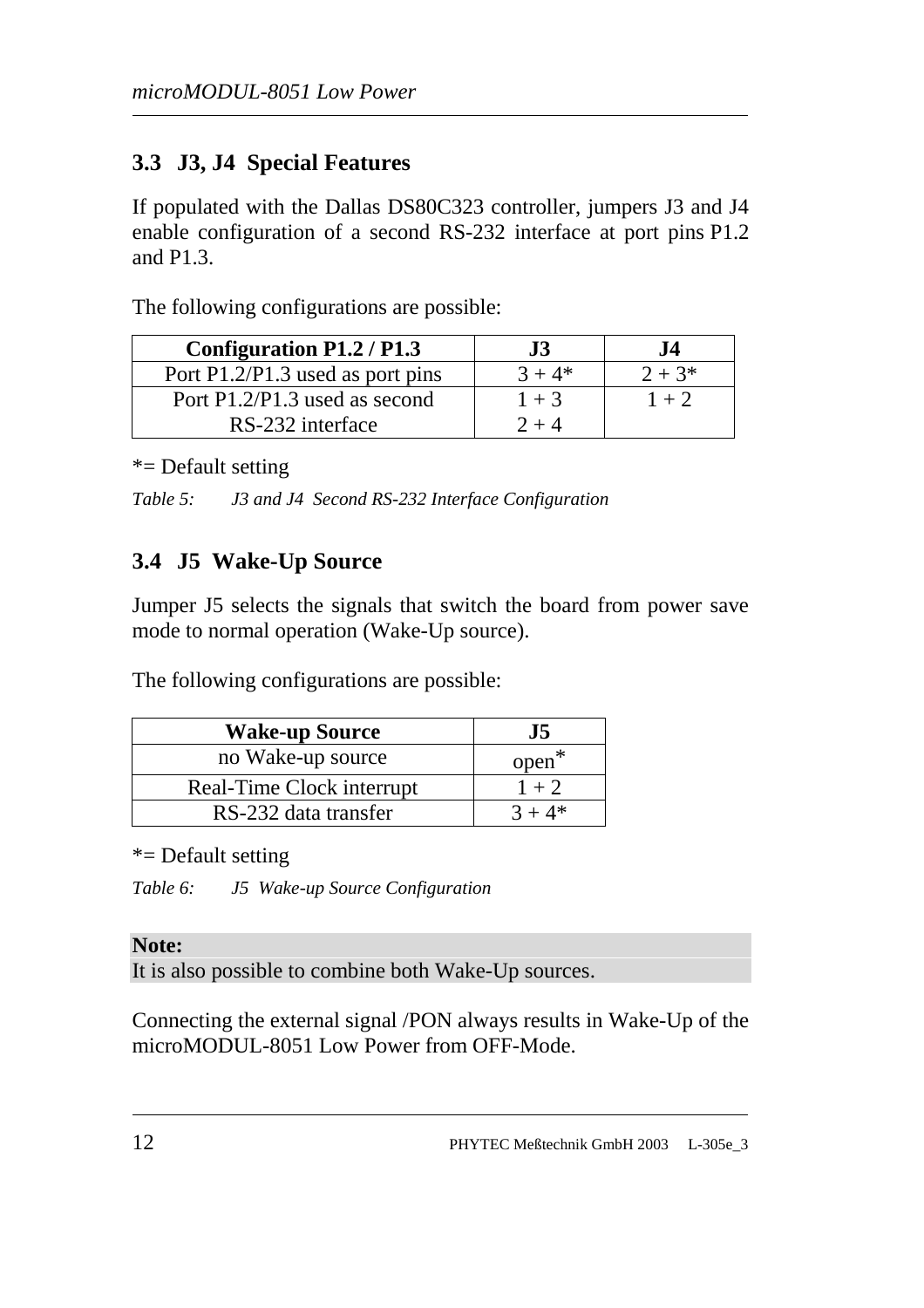## <span id="page-17-0"></span>**3.3 J3, J4 Special Features**

If populated with the Dallas DS80C323 controller, jumpers J3 and J4 enable configuration of a second RS-232 interface at port pins P1.2 and P1.3.

The following configurations are possible:

| Configuration P1.2 / P1.3        | .13      | <b>.14</b> |
|----------------------------------|----------|------------|
| Port P1.2/P1.3 used as port pins | $3 + 4*$ | $2 + 3^*$  |
| Port P1.2/P1.3 used as second    | $1 + 3$  | $1 + 2$    |
| RS-232 interface                 | $2 + 4$  |            |

\*= Default setting

*Table 5: J3 and J4 Second RS-232 Interface Configuration*

## **3.4 J5 Wake-Up Source**

Jumper J5 selects the signals that switch the board from power save mode to normal operation (Wake-Up source).

The following configurations are possible:

| <b>Wake-up Source</b>     | <b>.15</b> |
|---------------------------|------------|
| no Wake-up source         | $open^*$   |
| Real-Time Clock interrupt | $1 + 2$    |
| RS-232 data transfer      | $3 + 4*$   |

\*= Default setting

*Table 6: J5 Wake-up Source Configuration*

#### **Note:**

It is also possible to combine both Wake-Up sources.

Connecting the external signal /PON always results in Wake-Up of the microMODUL-8051 Low Power from OFF-Mode.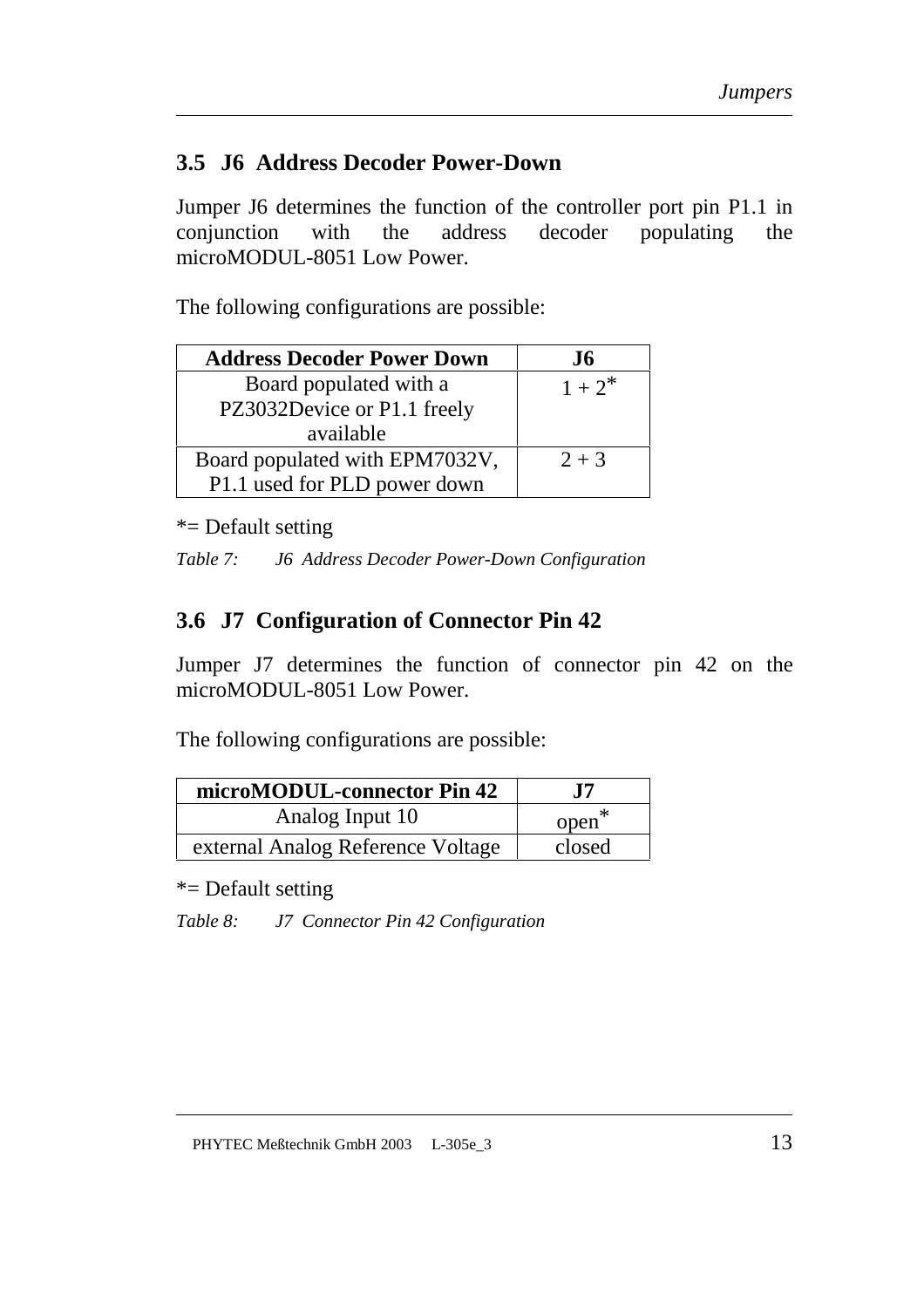## <span id="page-18-0"></span>**3.5 J6 Address Decoder Power-Down**

Jumper J6 determines the function of the controller port pin P1.1 in conjunction with the address decoder populating the microMODUL-8051 Low Power.

The following configurations are possible:

| <b>Address Decoder Power Down</b> | J6      |
|-----------------------------------|---------|
| Board populated with a            | $1+2^*$ |
| PZ3032Device or P1.1 freely       |         |
| available                         |         |
| Board populated with EPM7032V,    | $2 + 3$ |
| P1.1 used for PLD power down      |         |

\*= Default setting

*Table 7: J6 Address Decoder Power-Down Configuration*

#### **3.6 J7 Configuration of Connector Pin 42**

Jumper J7 determines the function of connector pin 42 on the microMODUL-8051 Low Power.

The following configurations are possible:

| microMODUL-connector Pin 42       | J7       |
|-----------------------------------|----------|
| Analog Input 10                   | $open^*$ |
| external Analog Reference Voltage | closed   |

\*= Default setting

*Table 8: J7 Connector Pin 42 Configuration*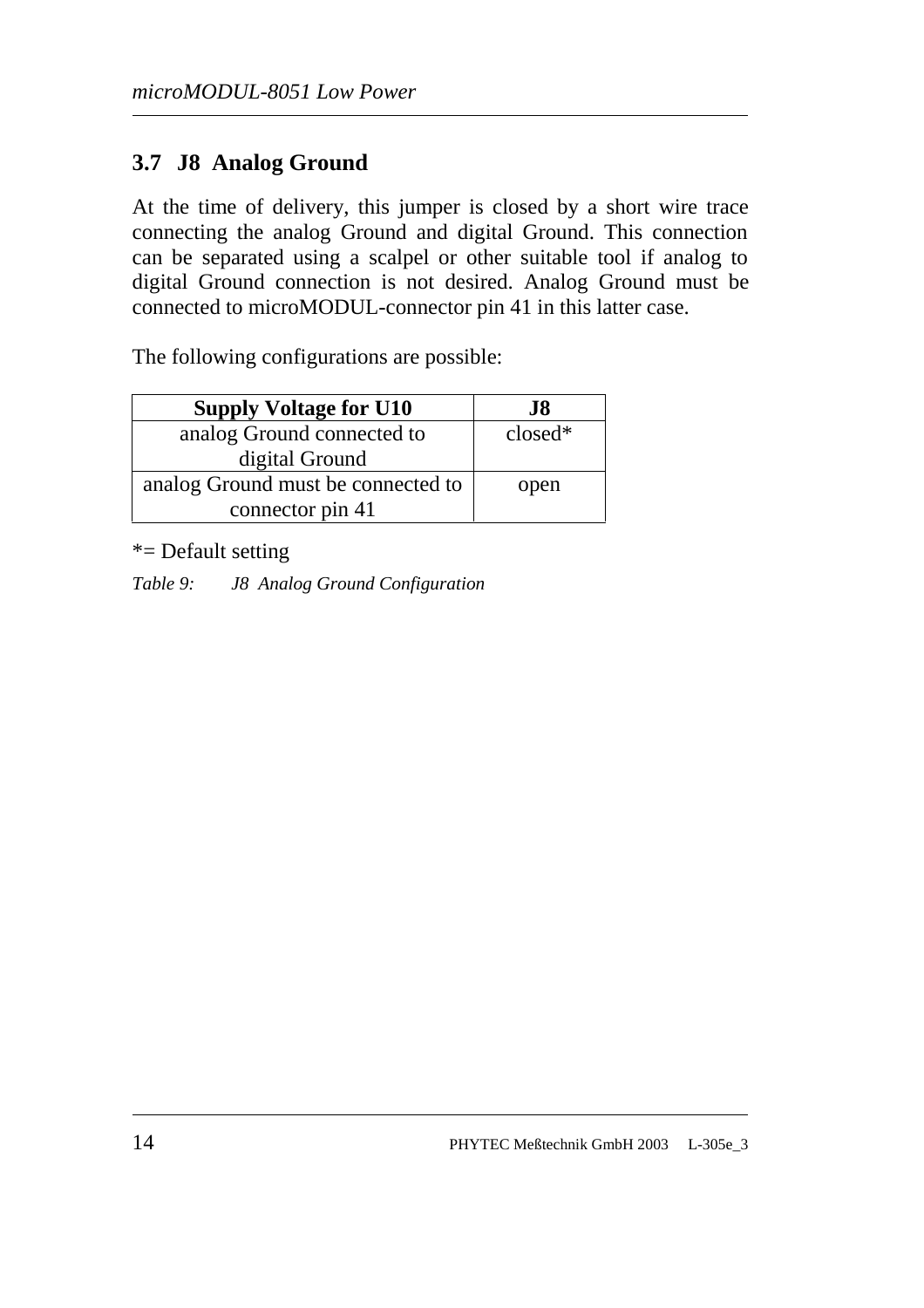## <span id="page-19-0"></span>**3.7 J8 Analog Ground**

At the time of delivery, this jumper is closed by a short wire trace connecting the analog Ground and digital Ground. This connection can be separated using a scalpel or other suitable tool if analog to digital Ground connection is not desired. Analog Ground must be connected to microMODUL-connector pin 41 in this latter case.

The following configurations are possible:

| <b>Supply Voltage for U10</b>      | J8.       |
|------------------------------------|-----------|
| analog Ground connected to         | $closed*$ |
| digital Ground                     |           |
| analog Ground must be connected to | open      |
| connector pin 41                   |           |

\*= Default setting

*Table 9: J8 Analog Ground Configuration*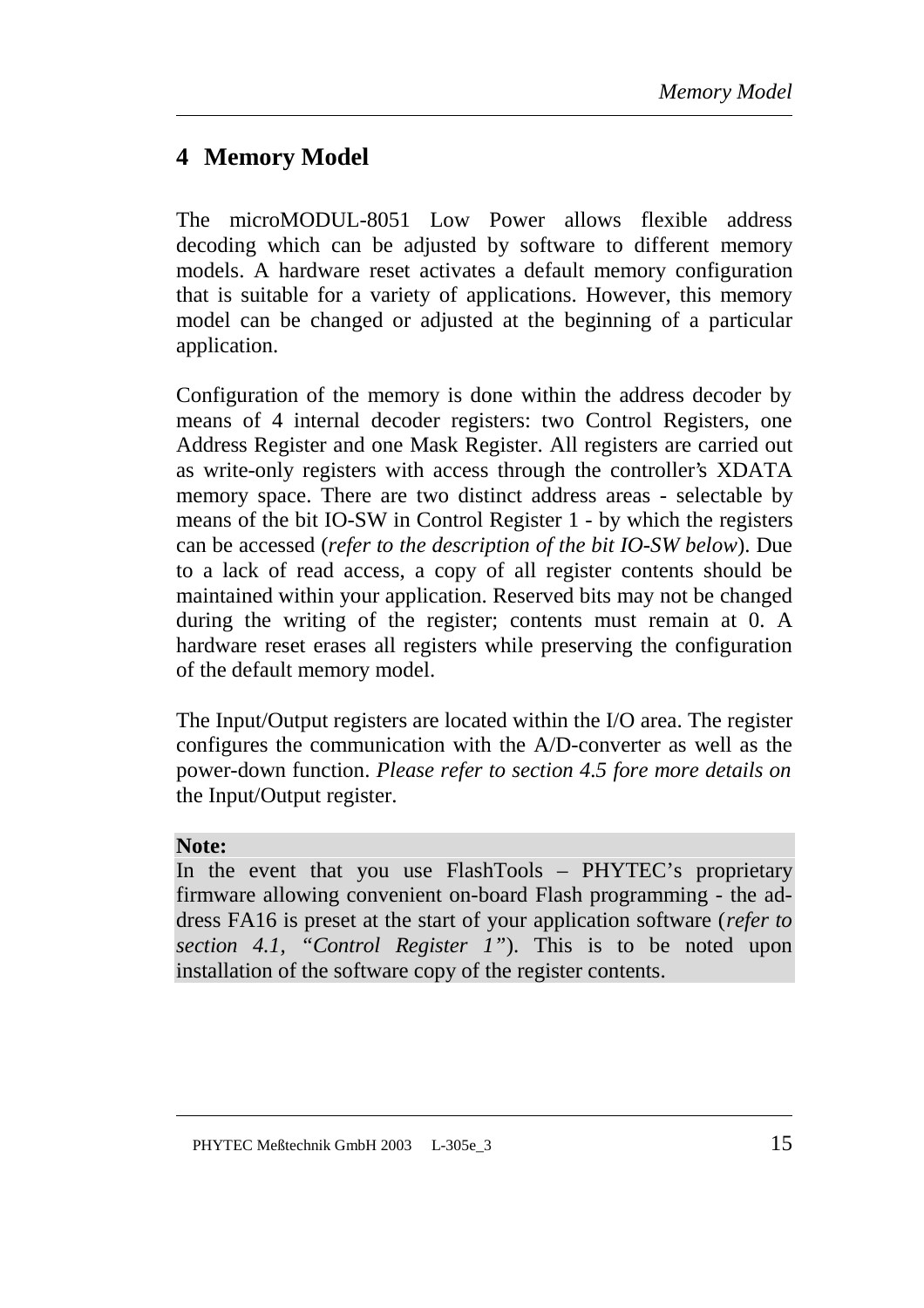## <span id="page-20-0"></span>**4 Memory Model**

The microMODUL-8051 Low Power allows flexible address decoding which can be adjusted by software to different memory models. A hardware reset activates a default memory configuration that is suitable for a variety of applications. However, this memory model can be changed or adjusted at the beginning of a particular application.

Configuration of the memory is done within the address decoder by means of 4 internal decoder registers: two Control Registers, one Address Register and one Mask Register. All registers are carried out as write-only registers with access through the controller's XDATA memory space. There are two distinct address areas - selectable by means of the bit IO-SW in Control Register 1 - by which the registers can be accessed (*refer to the description of the bit IO-SW below*). Due to a lack of read access, a copy of all register contents should be maintained within your application. Reserved bits may not be changed during the writing of the register; contents must remain at 0. A hardware reset erases all registers while preserving the configuration of the default memory model.

The Input/Output registers are located within the I/O area. The register configures the communication with the A/D-converter as well as the power-down function. *Please refer to section [4.5](#page-32-0) fore more details on* the Input/Output register.

#### **Note:**

In the event that you use FlashTools – PHYTEC's proprietary firmware allowing convenient on-board Flash programming - the address FA16 is preset at the start of your application software (*refer to section [4.1,](#page-22-0) ["Control Register 1"](#page-22-0)*). This is to be noted upon installation of the software copy of the register contents.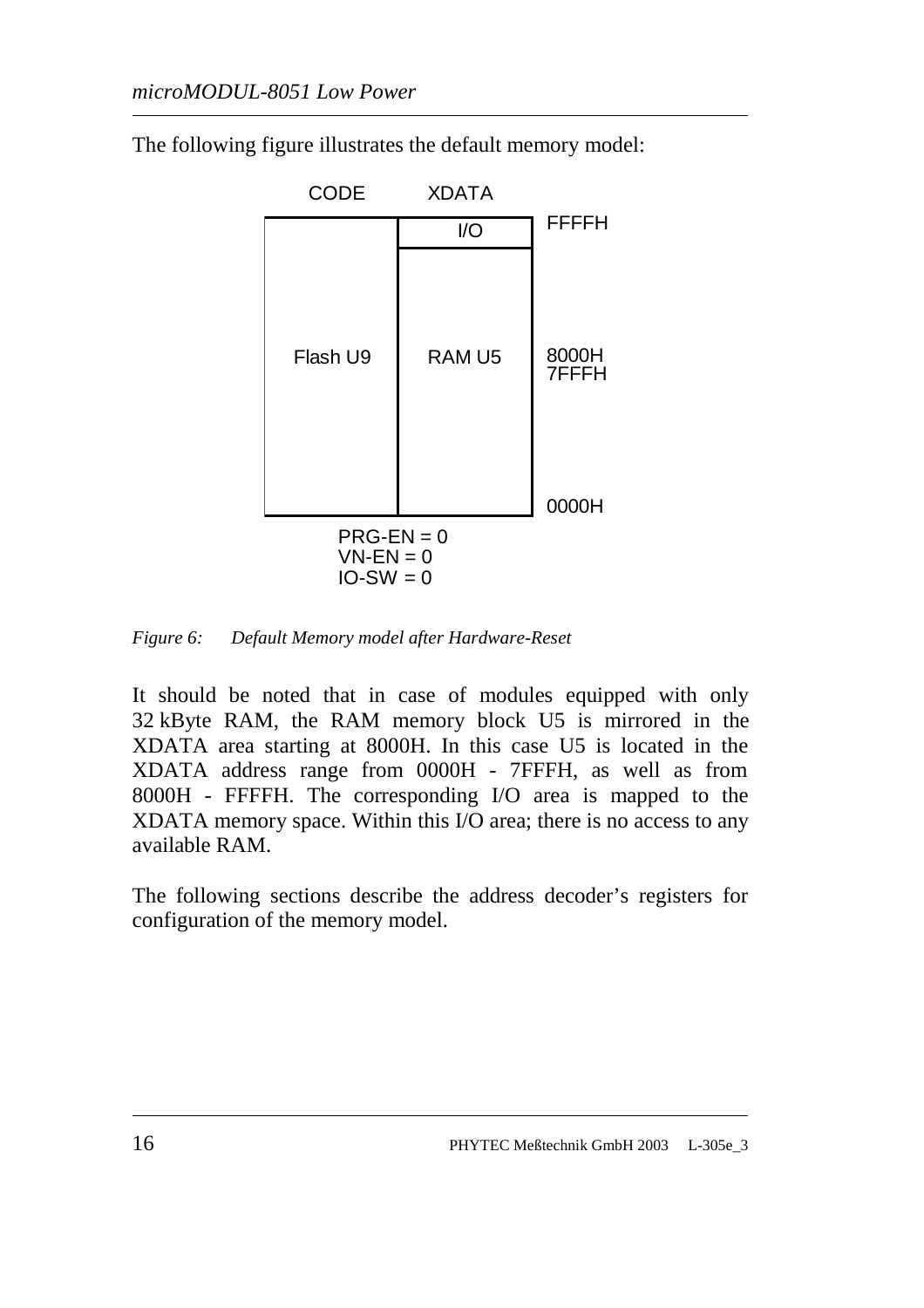<span id="page-21-0"></span>The following figure illustrates the default memory model:



*Figure 6: Default Memory model after Hardware-Reset*

It should be noted that in case of modules equipped with only 32 kByte RAM, the RAM memory block U5 is mirrored in the XDATA area starting at 8000H. In this case U5 is located in the XDATA address range from 0000H - 7FFFH, as well as from 8000H - FFFFH. The corresponding I/O area is mapped to the XDATA memory space. Within this I/O area; there is no access to any available RAM.

The following sections describe the address decoder's registers for configuration of the memory model.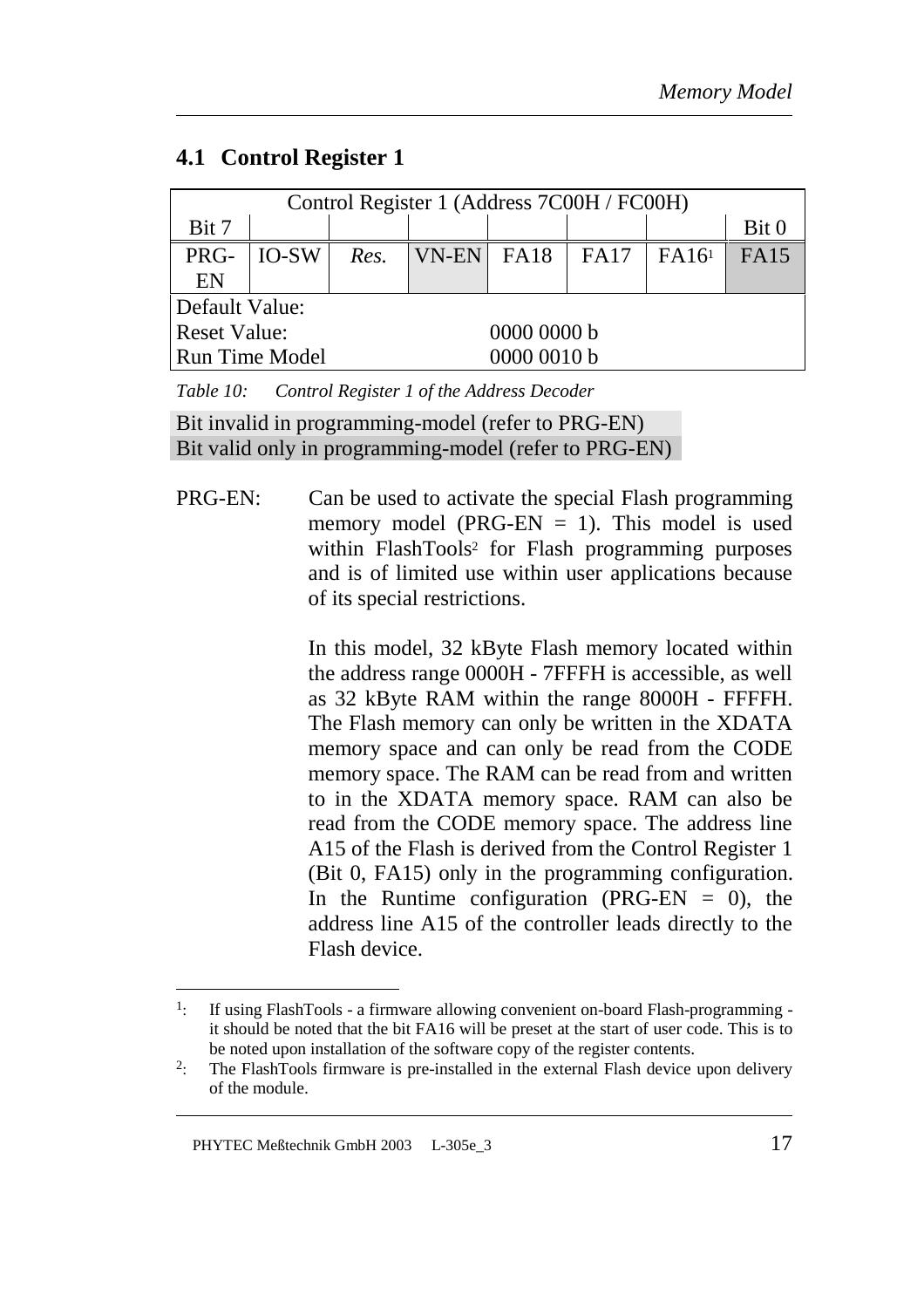#### <span id="page-22-0"></span>**4.1 Control Register 1**

| Control Register 1 (Address 7C00H / FC00H) |                |            |              |             |      |                   |             |
|--------------------------------------------|----------------|------------|--------------|-------------|------|-------------------|-------------|
| Bit 7                                      |                |            |              |             |      |                   | Bit 0       |
| PRG-                                       | IO-SW          | Res.       | <b>VN-EN</b> | <b>FA18</b> | FA17 | FA16 <sup>1</sup> | <b>FA15</b> |
| EN                                         |                |            |              |             |      |                   |             |
|                                            | Default Value: |            |              |             |      |                   |             |
| <b>Reset Value:</b>                        |                | 00000000 b |              |             |      |                   |             |
| <b>Run Time Model</b><br>0000 0010 b       |                |            |              |             |      |                   |             |

*Table 10: Control Register 1 of the Address Decoder*

Bit invalid in programming-model (refer to PRG-EN) Bit valid only in programming-model (refer to PRG-EN)

PRG-EN: Can be used to activate the special Flash programming memory model (PRG-EN = 1). This model is used within FlashTools<sup>2</sup> for Flash programming purposes and is of limited use within user applications because of its special restrictions.

> In this model, 32 kByte Flash memory located within the address range 0000H - 7FFFH is accessible, as well as 32 kByte RAM within the range 8000H - FFFFH. The Flash memory can only be written in the XDATA memory space and can only be read from the CODE memory space. The RAM can be read from and written to in the XDATA memory space. RAM can also be read from the CODE memory space. The address line A15 of the Flash is derived from the Control Register 1 (Bit 0, FA15) only in the programming configuration. In the Runtime configuration (PRG-EN  $= 0$ ), the address line A15 of the controller leads directly to the Flash device.

-

<sup>&</sup>lt;sup>1</sup>: If using FlashTools - a firmware allowing convenient on-board Flash-programming it should be noted that the bit FA16 will be preset at the start of user code. This is to be noted upon installation of the software copy of the register contents.

<sup>2:</sup> The FlashTools firmware is pre-installed in the external Flash device upon delivery of the module.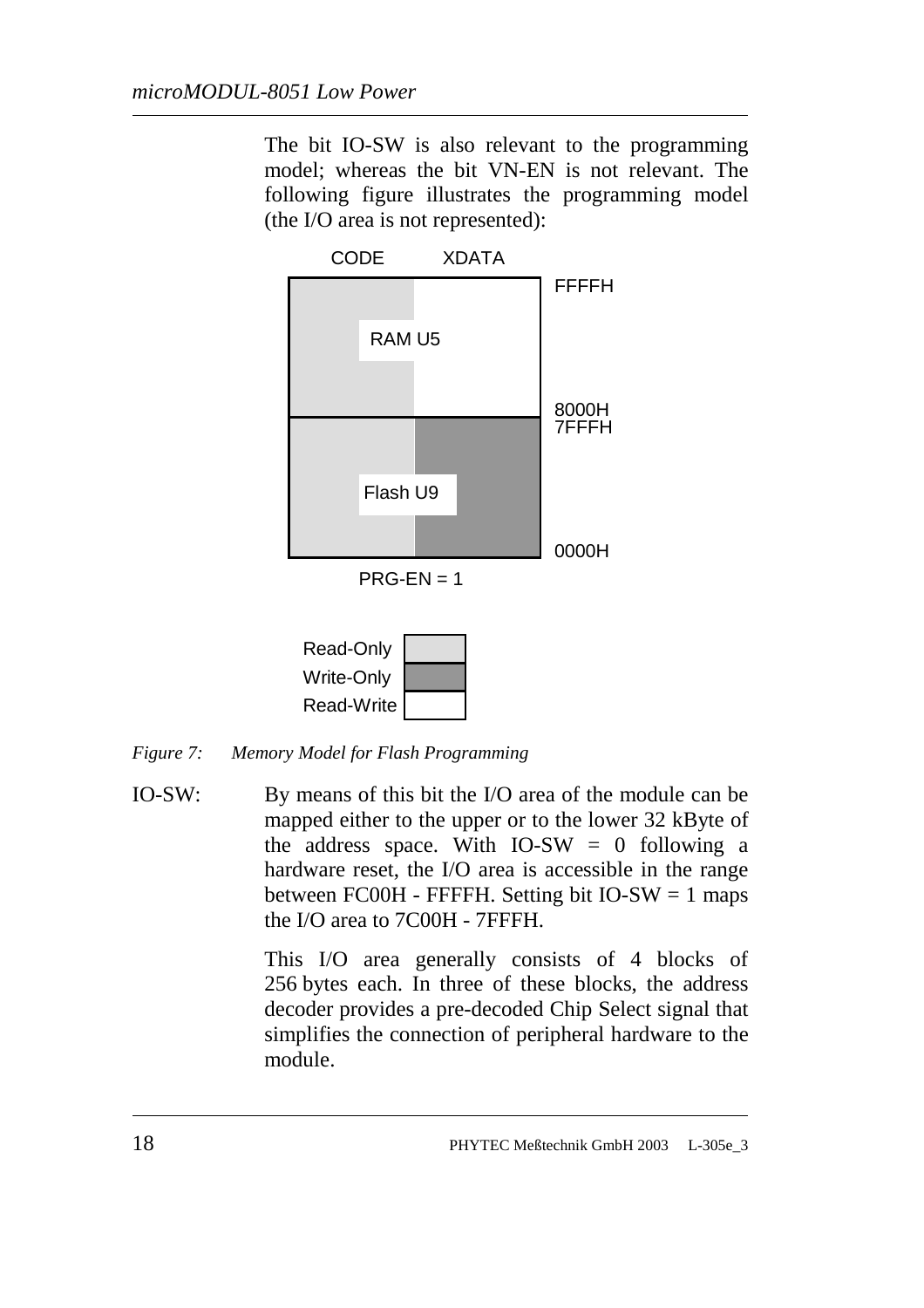<span id="page-23-0"></span>The bit IO-SW is also relevant to the programming model; whereas the bit VN-EN is not relevant. The following figure illustrates the programming model (the I/O area is not represented):





*Figure 7: Memory Model for Flash Programming*

IO-SW: By means of this bit the I/O area of the module can be mapped either to the upper or to the lower 32 kByte of the address space. With  $IO-SW = 0$  following a hardware reset, the I/O area is accessible in the range between FC00H - FFFFH. Setting bit  $IO-SW = 1$  maps the I/O area to 7C00H - 7FFFH.

> This I/O area generally consists of 4 blocks of 256 bytes each. In three of these blocks, the address decoder provides a pre-decoded Chip Select signal that simplifies the connection of peripheral hardware to the module.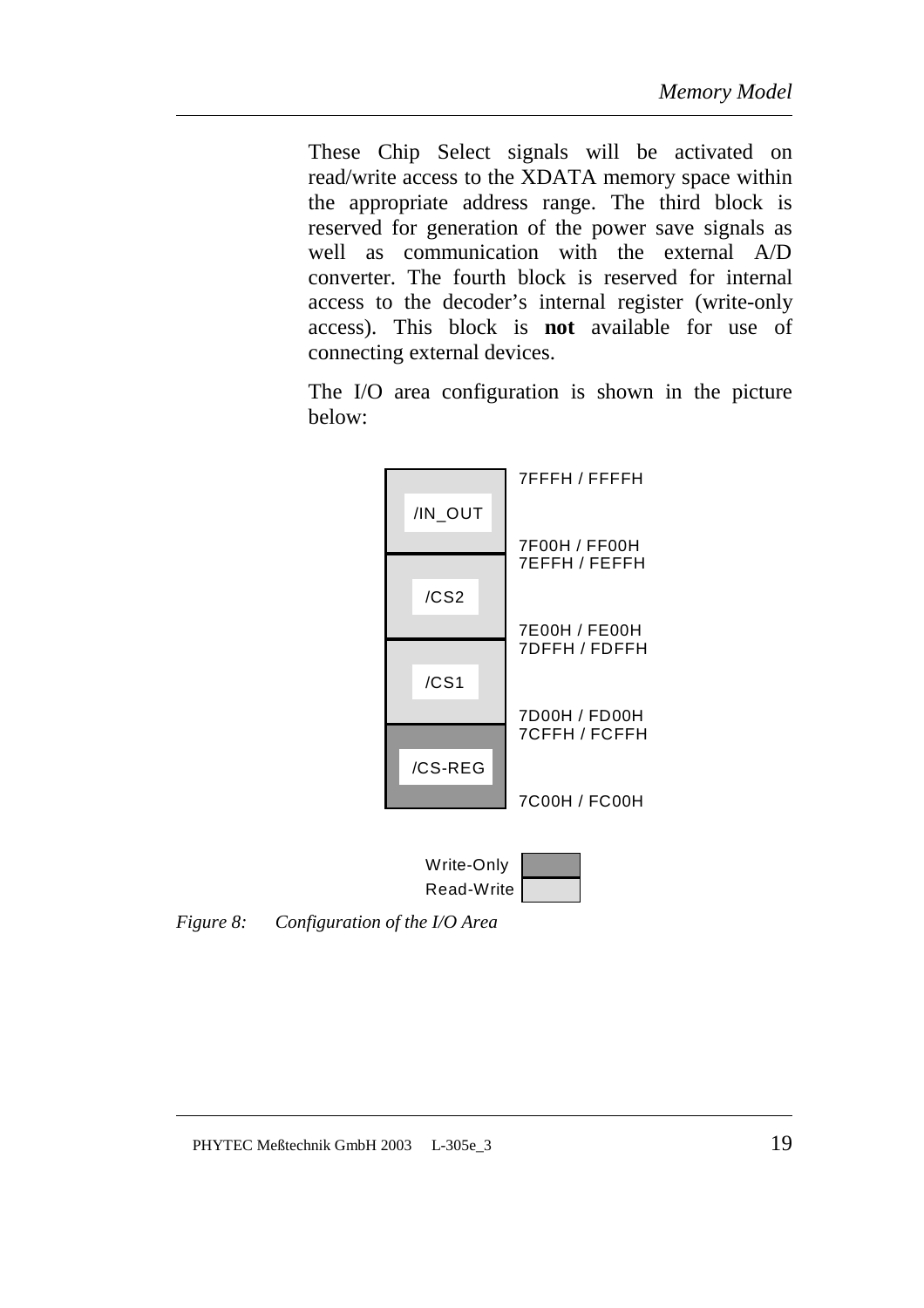<span id="page-24-0"></span>These Chip Select signals will be activated on read/write access to the XDATA memory space within the appropriate address range. The third block is reserved for generation of the power save signals as well as communication with the external A/D converter. The fourth block is reserved for internal access to the decoder's internal register (write-only access). This block is **not** available for use of connecting external devices.

The I/O area configuration is shown in the picture below:



*Figure 8: Configuration of the I/O Area*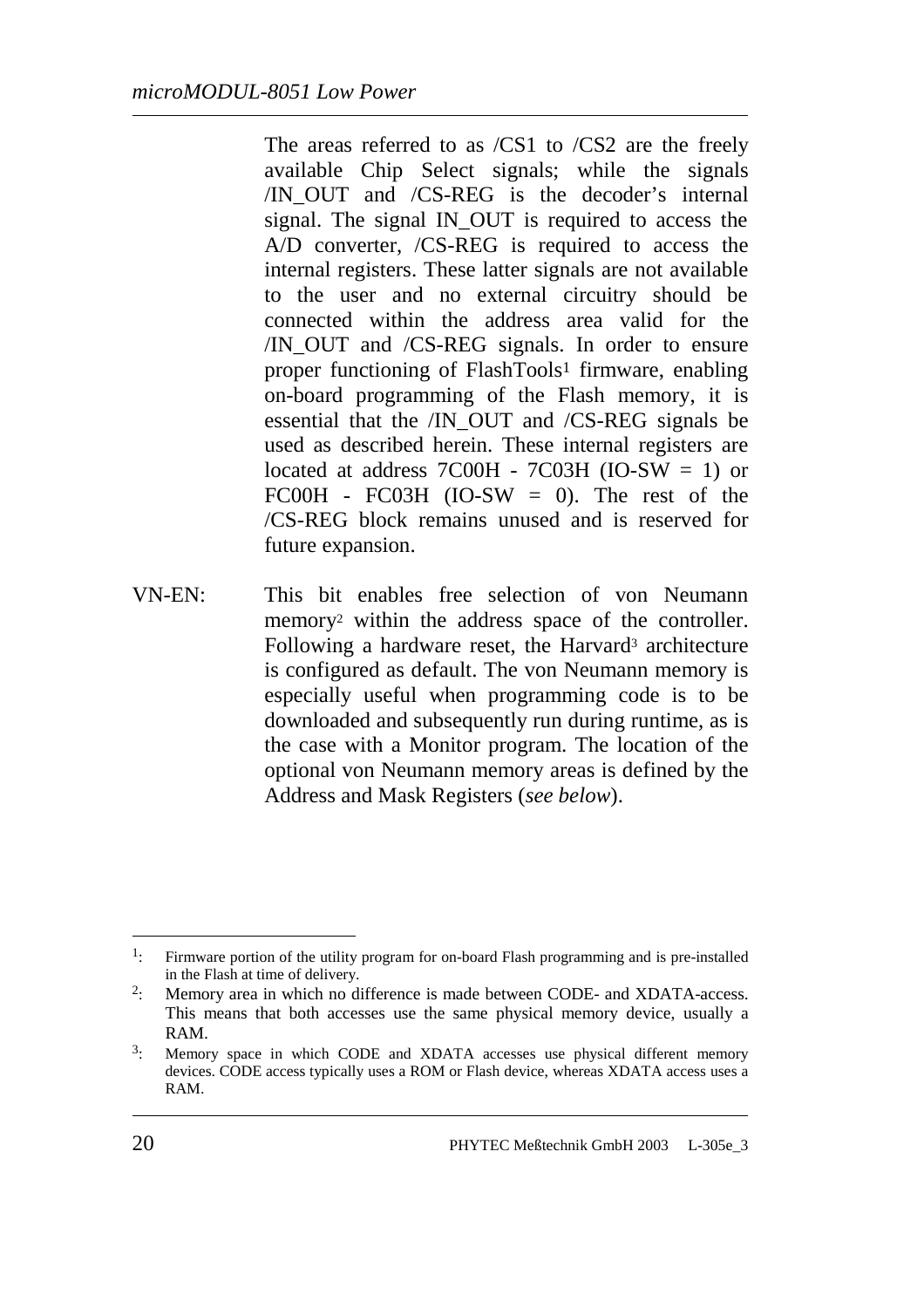The areas referred to as /CS1 to /CS2 are the freely available Chip Select signals; while the signals /IN\_OUT and /CS-REG is the decoder's internal signal. The signal IN\_OUT is required to access the A/D converter, /CS-REG is required to access the internal registers. These latter signals are not available to the user and no external circuitry should be connected within the address area valid for the /IN\_OUT and /CS-REG signals. In order to ensure proper functioning of FlashTools<sup>1</sup> firmware, enabling on-board programming of the Flash memory, it is essential that the /IN\_OUT and /CS-REG signals be used as described herein. These internal registers are located at address  $7C00H - 7C03H (IO-SW = 1)$  or FC00H - FC03H (IO-SW  $= 0$ ). The rest of the /CS-REG block remains unused and is reserved for future expansion.

VN-EN: This bit enables free selection of von Neumann memory<sup>2</sup> within the address space of the controller. Following a hardware reset, the Harvard<sup>3</sup> architecture is configured as default. The von Neumann memory is especially useful when programming code is to be downloaded and subsequently run during runtime, as is the case with a Monitor program. The location of the optional von Neumann memory areas is defined by the Address and Mask Registers (*see below*).

 $\overline{a}$ 

<sup>&</sup>lt;sup>1</sup>: Firmware portion of the utility program for on-board Flash programming and is pre-installed in the Flash at time of delivery.

<sup>2:</sup> Memory area in which no difference is made between CODE- and XDATA-access. This means that both accesses use the same physical memory device, usually a RAM.

<sup>&</sup>lt;sup>3</sup>: Memory space in which CODE and XDATA accesses use physical different memory devices. CODE access typically uses a ROM or Flash device, whereas XDATA access uses a RAM.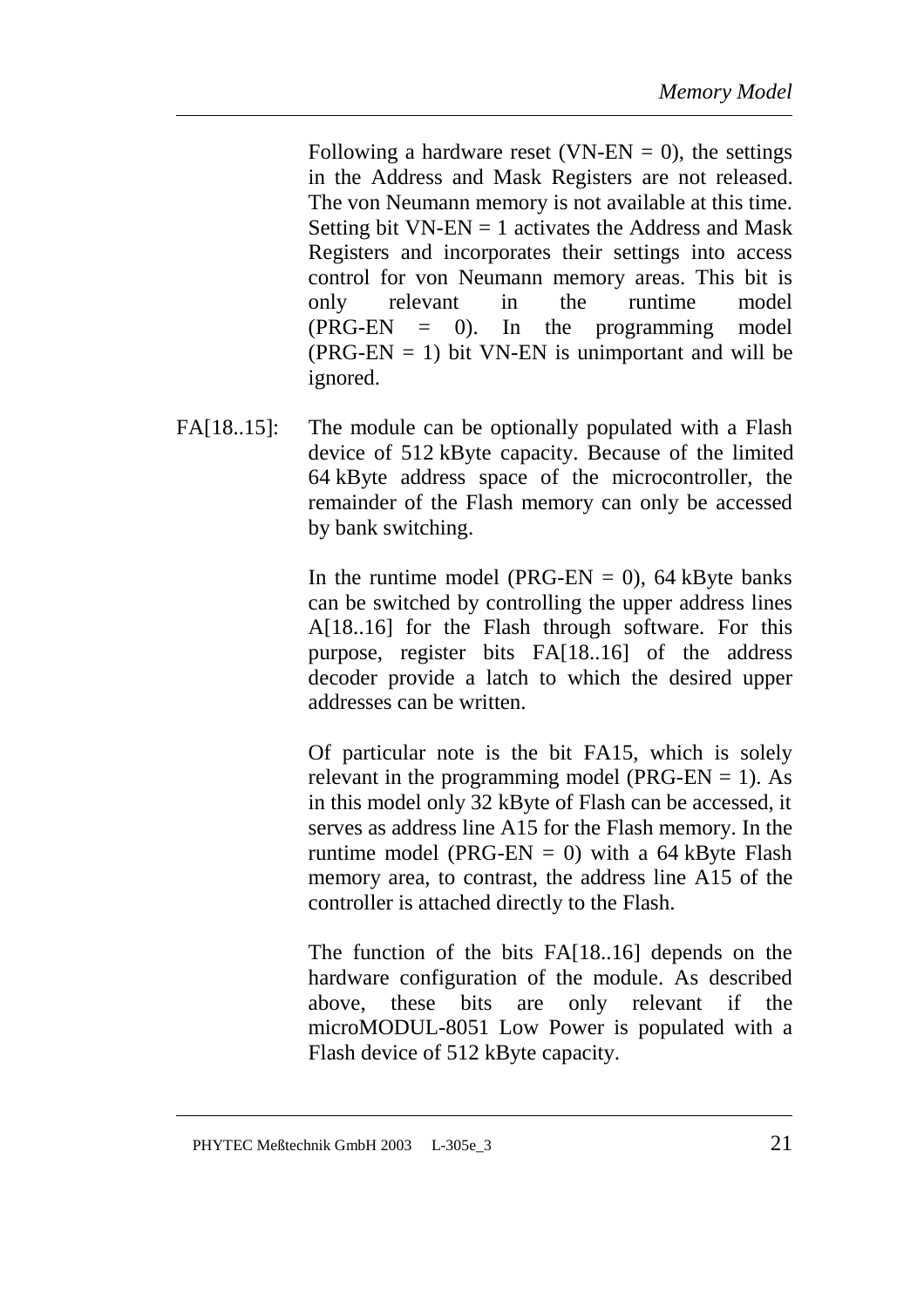Following a hardware reset (VN-EN  $= 0$ ), the settings in the Address and Mask Registers are not released. The von Neumann memory is not available at this time. Setting bit  $VN-EN = 1$  activates the Address and Mask Registers and incorporates their settings into access control for von Neumann memory areas. This bit is only relevant in the runtime model (PRG-EN = 0). In the programming model  $(PRG-EN = 1)$  bit VN-EN is unimportant and will be ignored.

FA[18..15]: The module can be optionally populated with a Flash device of 512 kByte capacity. Because of the limited 64 kByte address space of the microcontroller, the remainder of the Flash memory can only be accessed by bank switching.

> In the runtime model (PRG-EN  $= 0$ ), 64 kByte banks can be switched by controlling the upper address lines A[18..16] for the Flash through software. For this purpose, register bits FA[18..16] of the address decoder provide a latch to which the desired upper addresses can be written.

> Of particular note is the bit FA15, which is solely relevant in the programming model ( $PRG-EN = 1$ ). As in this model only 32 kByte of Flash can be accessed, it serves as address line A15 for the Flash memory. In the runtime model (PRG-EN  $= 0$ ) with a 64 kByte Flash memory area, to contrast, the address line A15 of the controller is attached directly to the Flash.

> The function of the bits FA[18..16] depends on the hardware configuration of the module. As described above, these bits are only relevant if the microMODUL-8051 Low Power is populated with a Flash device of 512 kByte capacity.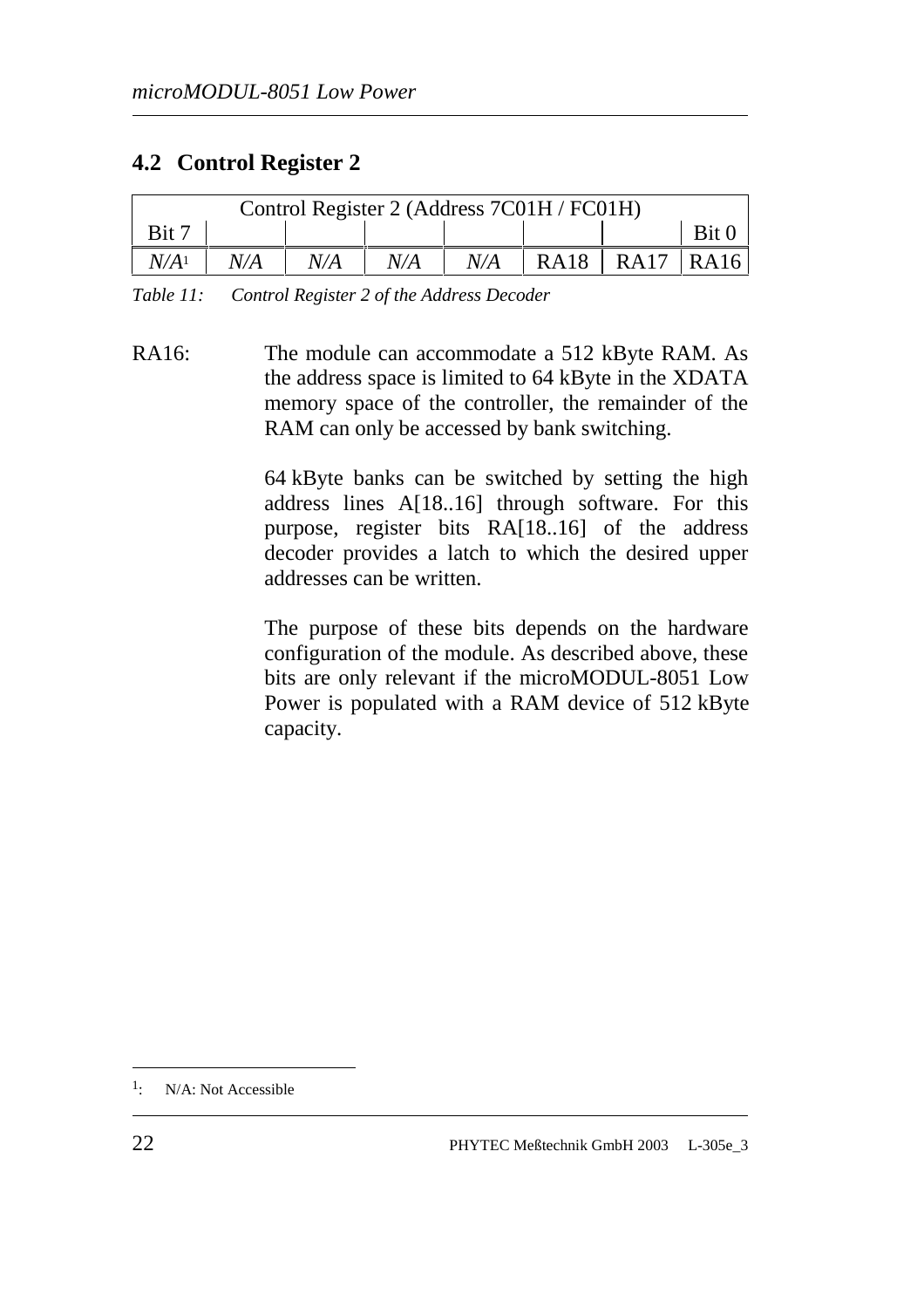## <span id="page-27-0"></span>**4.2 Control Register 2**

|                  |     |     |     | Control Register 2 (Address 7C01H / FC01H) |             |            |       |
|------------------|-----|-----|-----|--------------------------------------------|-------------|------------|-------|
| Bit 7            |     |     |     |                                            |             |            | Bit ( |
| N/A <sup>1</sup> | N/A | N/A | N/A | N/A                                        | <b>RA18</b> | RA17  RA16 |       |

RA16: The module can accommodate a 512 kByte RAM. As the address space is limited to 64 kByte in the XDATA memory space of the controller, the remainder of the RAM can only be accessed by bank switching.

> 64 kByte banks can be switched by setting the high address lines A[18..16] through software. For this purpose, register bits RA[18..16] of the address decoder provides a latch to which the desired upper addresses can be written.

> The purpose of these bits depends on the hardware configuration of the module. As described above, these bits are only relevant if the microMODUL-8051 Low Power is populated with a RAM device of 512 kByte capacity.

 $\overline{a}$ 

<sup>&</sup>lt;sup>1</sup>: N/A: Not Accessible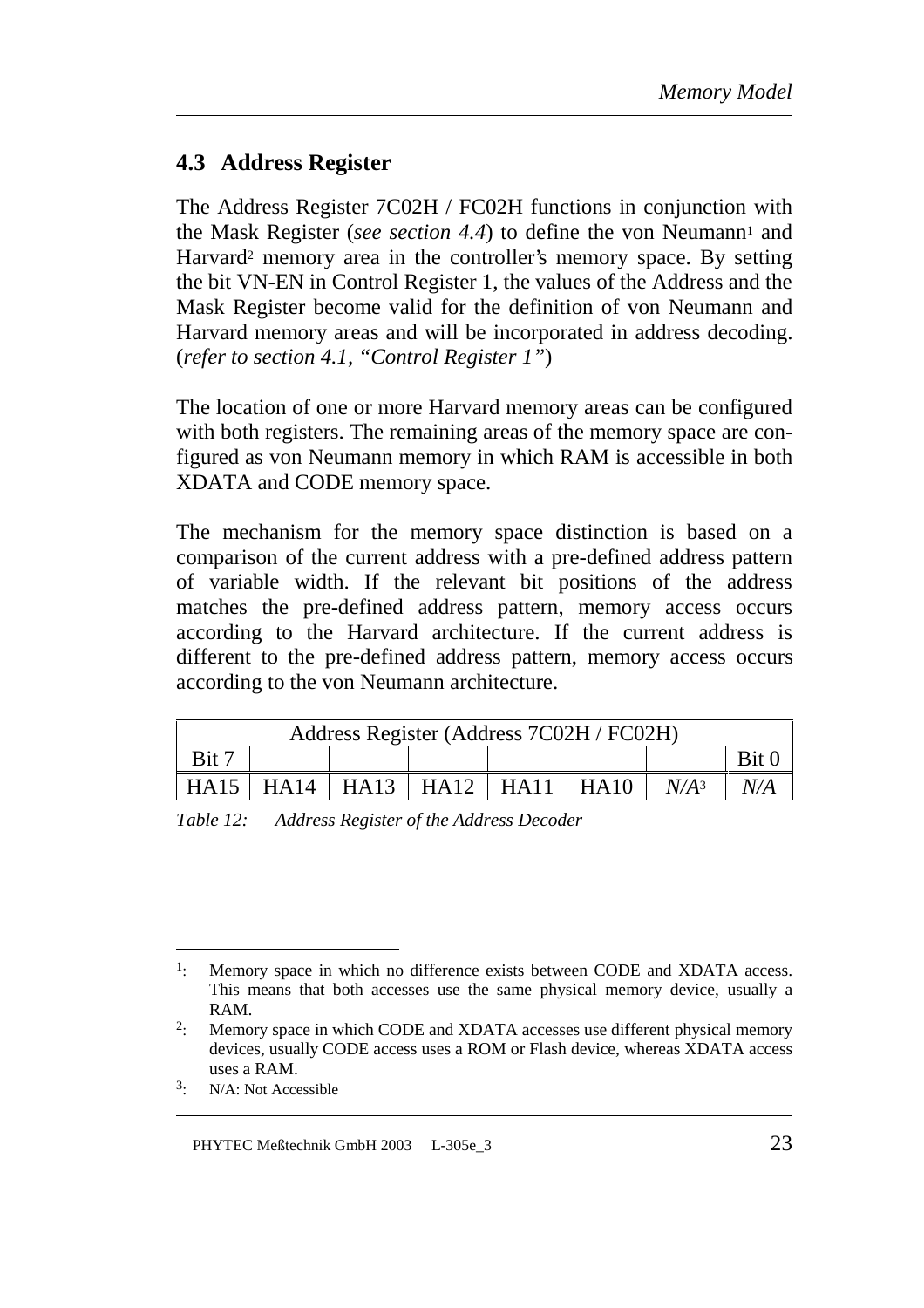## <span id="page-28-0"></span>**4.3 Address Register**

The Address Register 7C02H / FC02H functions in conjunction with the Mask Register (*see section [4.4](#page-29-0)*) to define the von Neumann<sup>1</sup> and Harvard<sup>2</sup> memory area in the controller's memory space. By setting the bit VN-EN in Control Register 1, the values of the Address and the Mask Register become valid for the definition of von Neumann and Harvard memory areas and will be incorporated in address decoding. (*refer to section [4.1,](#page-22-0) "[Control Register 1"](#page-22-0)*)

The location of one or more Harvard memory areas can be configured with both registers. The remaining areas of the memory space are configured as von Neumann memory in which RAM is accessible in both XDATA and CODE memory space.

The mechanism for the memory space distinction is based on a comparison of the current address with a pre-defined address pattern of variable width. If the relevant bit positions of the address matches the pre-defined address pattern, memory access occurs according to the Harvard architecture. If the current address is different to the pre-defined address pattern, memory access occurs according to the von Neumann architecture.

|       |                                         |  | Address Register (Address 7C02H / FC02H) |                  |       |
|-------|-----------------------------------------|--|------------------------------------------|------------------|-------|
| Bit 7 |                                         |  |                                          |                  | Bit 0 |
|       | HA15   HA14   HA13   HA12   HA11   HA10 |  |                                          | N/A <sup>3</sup> | N/A   |

*Table 12: Address Register of the Address Decoder*

<sup>-</sup><sup>1</sup>: Memory space in which no difference exists between CODE and XDATA access. This means that both accesses use the same physical memory device, usually a RAM.

<sup>&</sup>lt;sup>2</sup>: Memory space in which CODE and XDATA accesses use different physical memory devices, usually CODE access uses a ROM or Flash device, whereas XDATA access uses a RAM.

 3: N/A: Not Accessible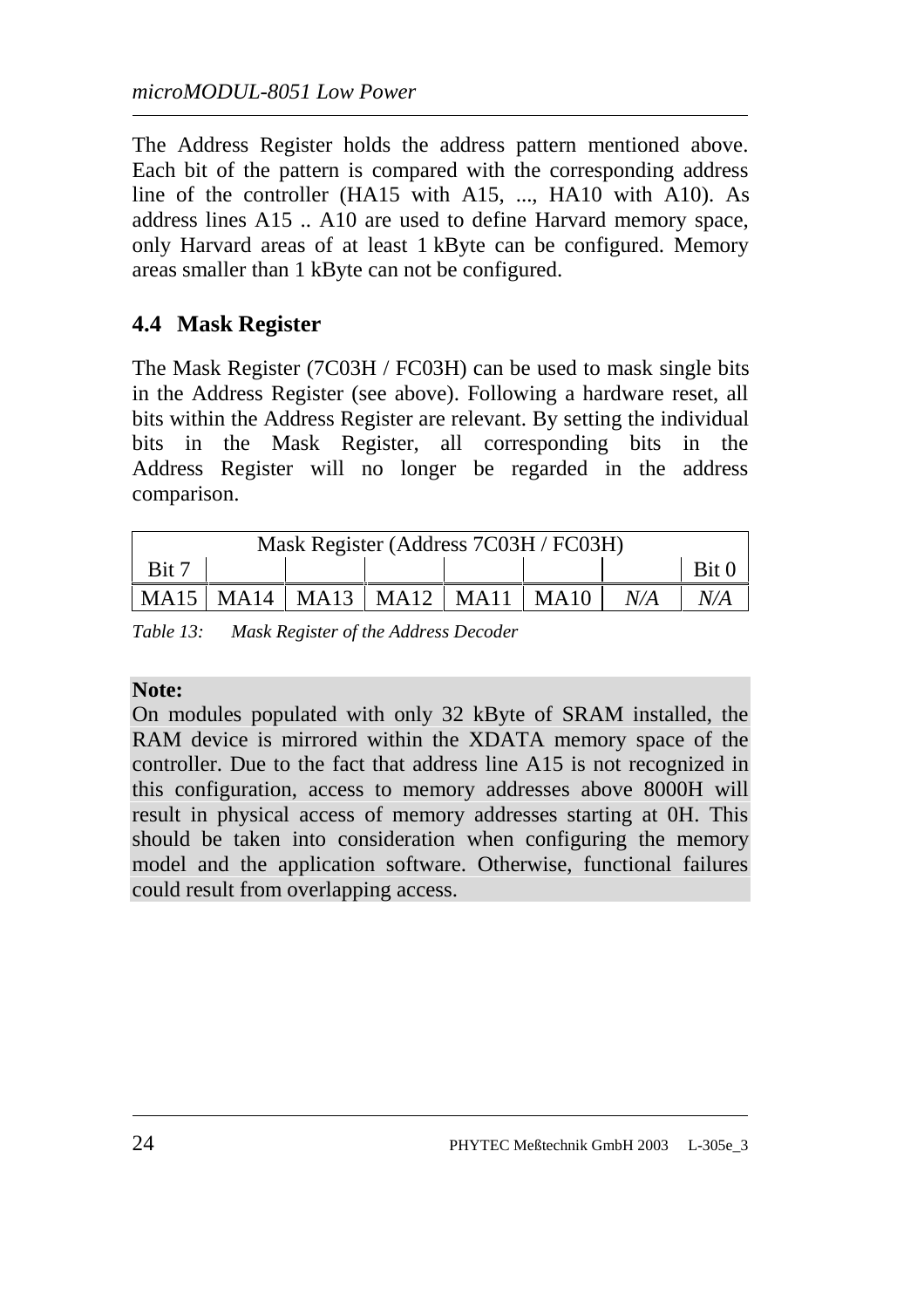<span id="page-29-0"></span>The Address Register holds the address pattern mentioned above. Each bit of the pattern is compared with the corresponding address line of the controller (HA15 with A15, ..., HA10 with A10). As address lines A15 .. A10 are used to define Harvard memory space, only Harvard areas of at least 1 kByte can be configured. Memory areas smaller than 1 kByte can not be configured.

#### **4.4 Mask Register**

The Mask Register (7C03H / FC03H) can be used to mask single bits in the Address Register (see above). Following a hardware reset, all bits within the Address Register are relevant. By setting the individual bits in the Mask Register, all corresponding bits in the Address Register will no longer be regarded in the address comparison.

| Mask Register (Address 7C03H / FC03H) |                                           |  |  |  |     |                  |
|---------------------------------------|-------------------------------------------|--|--|--|-----|------------------|
| Bit 7                                 |                                           |  |  |  |     | Bit <sub>0</sub> |
|                                       | $MAI5$   MA14   MA13   MA12   MA11   MA10 |  |  |  | N/A | N/A              |

*Table 13: Mask Register of the Address Decoder*

#### **Note:**

On modules populated with only 32 kByte of SRAM installed, the RAM device is mirrored within the XDATA memory space of the controller. Due to the fact that address line A15 is not recognized in this configuration, access to memory addresses above 8000H will result in physical access of memory addresses starting at 0H. This should be taken into consideration when configuring the memory model and the application software. Otherwise, functional failures could result from overlapping access.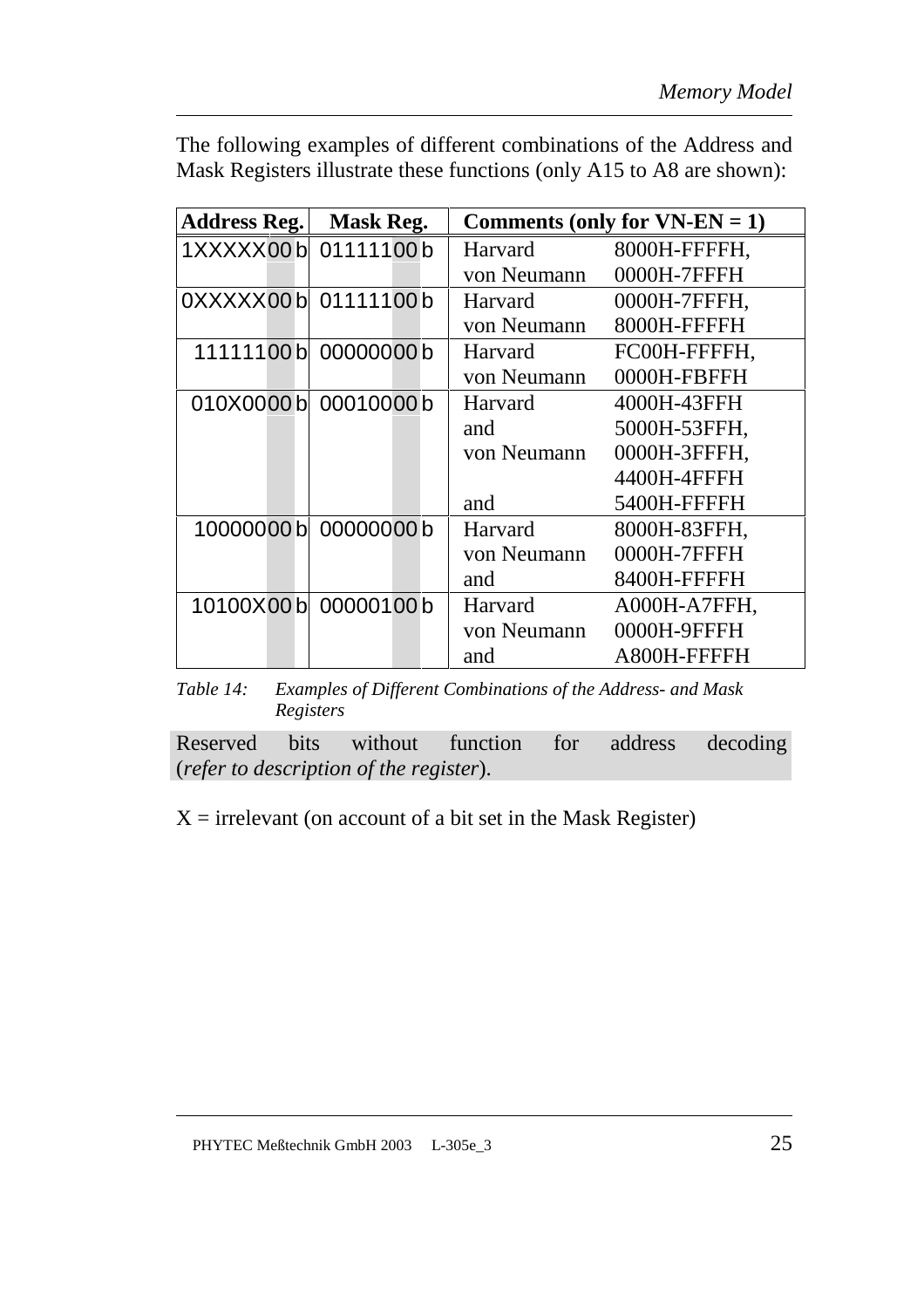| <b>Address Reg.</b>   | <b>Mask Reg.</b>    |             | Comments (only for $VN-EN = 1$ ) |
|-----------------------|---------------------|-------------|----------------------------------|
| 1XXXXX00b 01111100b   |                     | Harvard     | 8000H-FFFFH,                     |
|                       |                     | von Neumann | 0000H-7FFFH                      |
| 0XXXXX00b 01111100b   |                     | Harvard     | 0000H-7FFFH,                     |
|                       |                     | von Neumann | 8000H-FFFFH                      |
|                       | 11111100b 00000000b | Harvard     | FC00H-FFFFH,                     |
|                       |                     | von Neumann | 0000H-FBFFH                      |
| 010X0000b 00010000b   |                     | Harvard     | 4000H-43FFH                      |
|                       |                     | and         | 5000H-53FFH,                     |
|                       |                     | von Neumann | 0000H-3FFFH,                     |
|                       |                     |             | 4400H-4FFFH                      |
|                       |                     | and         | 5400H-FFFFH                      |
| 10000000b             | 00000000b           | Harvard     | 8000H-83FFH,                     |
|                       |                     | von Neumann | 0000H-7FFFH                      |
|                       |                     | and         | 8400H-FFFFH                      |
| 10100X00 b 00000100 b |                     | Harvard     | A000H-A7FFH,                     |
|                       |                     | von Neumann | 0000H-9FFFH                      |
|                       |                     | and         | A800H-FFFFH                      |

<span id="page-30-0"></span>The following examples of different combinations of the Address and Mask Registers illustrate these functions (only A15 to A8 are shown):

| Table 14: | <b>Examples of Different Combinations of the Address- and Mask</b> |
|-----------|--------------------------------------------------------------------|
|           | Registers                                                          |

Reserved bits without function for address decoding (*refer to description of the register*).

 $X =$  irrelevant (on account of a bit set in the Mask Register)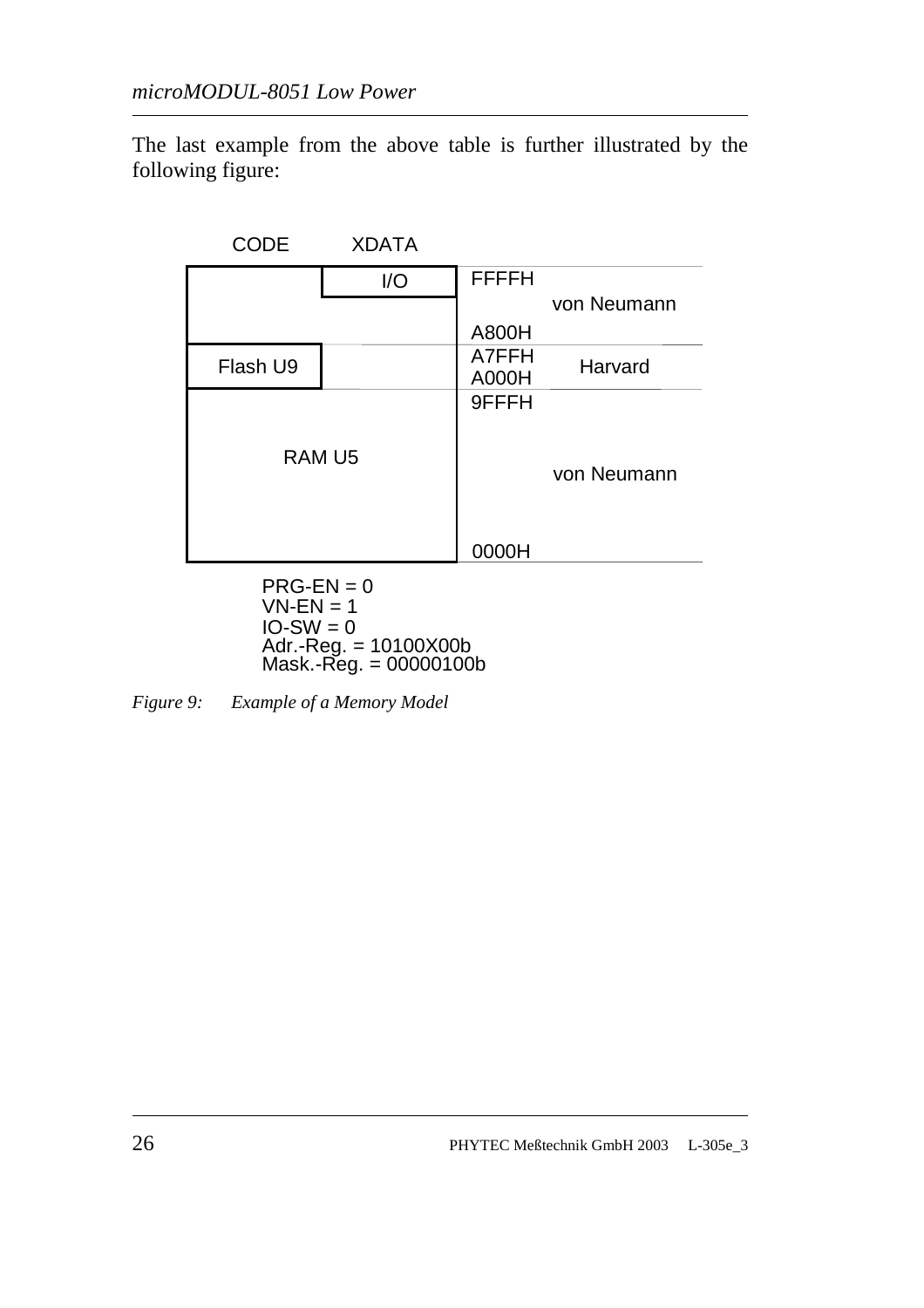<span id="page-31-0"></span>The last example from the above table is further illustrated by the following figure:

| CODE     | <b>XDATA</b> |                |             |
|----------|--------------|----------------|-------------|
|          | I/O          | <b>FFFFH</b>   |             |
|          |              |                | von Neumann |
|          |              | A800H          |             |
| Flash U9 |              | A7FFH<br>A000H | Harvard     |
|          |              | 9FFFH          |             |
| RAM U5   |              |                | von Neumann |
|          |              | 0000H          |             |

 $PRG-EN = 0$  $IO-SW = 0$  $VN$ - $EN = 1$ Adr.-Reg. = 10100X00b Mask.-Reg. = 00000100b

*Figure 9: Example of a Memory Model*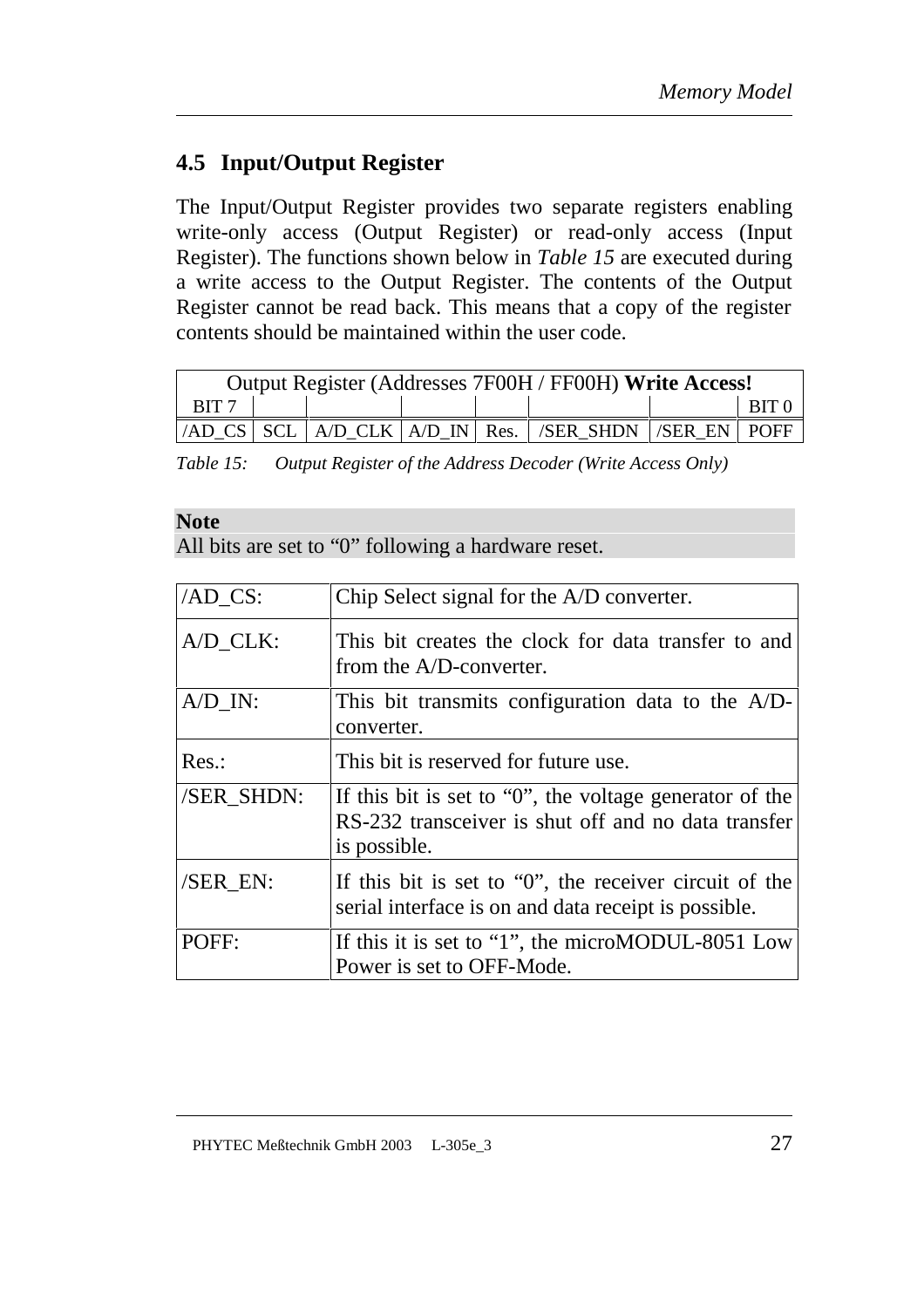## <span id="page-32-0"></span>**4.5 Input/Output Register**

The Input/Output Register provides two separate registers enabling write-only access (Output Register) or read-only access (Input Register). The functions shown below in *Table 15* are executed during a write access to the Output Register. The contents of the Output Register cannot be read back. This means that a copy of the register contents should be maintained within the user code.

| Output Register (Addresses 7F00H / FF00H) Write Access! |  |  |  |  |                                                                    |       |
|---------------------------------------------------------|--|--|--|--|--------------------------------------------------------------------|-------|
| BIT 7                                                   |  |  |  |  |                                                                    | BIT 0 |
|                                                         |  |  |  |  | AD_CS   SCL   A/D_CLK   A/D_IN   Res.   /SER_SHDN   /SER_EN   POFF |       |

*Table 15: Output Register of the Address Decoder (Write Access Only)*

#### **Note**

All bits are set to "0" following a hardware reset.

| $AD$ <sub><math>CS</math>:</sub> | Chip Select signal for the A/D converter.                                                                                      |
|----------------------------------|--------------------------------------------------------------------------------------------------------------------------------|
| A/D_CLK:                         | This bit creates the clock for data transfer to and<br>from the $A/D$ -converter.                                              |
| $A/D$ IN:                        | This bit transmits configuration data to the A/D-<br>converter.                                                                |
| $Res.$ :                         | This bit is reserved for future use.                                                                                           |
| /SER_SHDN:                       | If this bit is set to "0", the voltage generator of the<br>RS-232 transceiver is shut off and no data transfer<br>is possible. |
| /SER EN:                         | If this bit is set to "0", the receiver circuit of the<br>serial interface is on and data receipt is possible.                 |
| POFF:                            | If this it is set to "1", the microMODUL-8051 Low<br>Power is set to OFF-Mode.                                                 |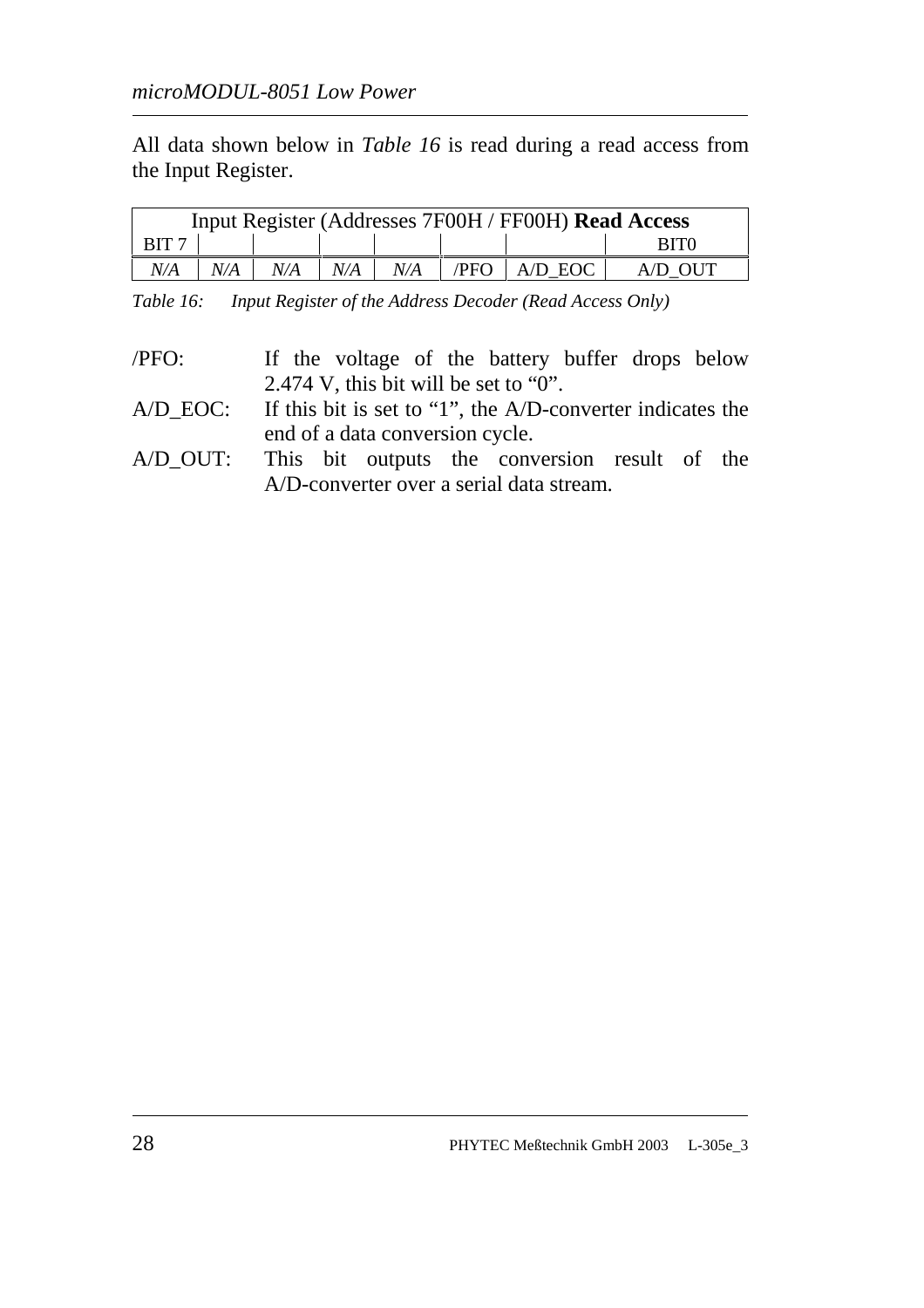<span id="page-33-0"></span>All data shown below in *Table 16* is read during a read access from the Input Register.

| Input Register (Addresses 7F00H / FF00H) Read Access |           |     |     |     |                  |                  |
|------------------------------------------------------|-----------|-----|-----|-----|------------------|------------------|
| BIT <sub>7</sub>                                     |           |     |     |     |                  | BIT <sub>0</sub> |
| $N\!/\!A$                                            | $N\!/\!A$ | N/A | N/A | N/A | $/PPO$   A/D EOC | A/D OUT          |

*Table 16: Input Register of the Address Decoder (Read Access Only)*

- /PFO: If the voltage of the battery buffer drops below 2.474 V, this bit will be set to "0".
- A/D\_EOC: If this bit is set to "1", the A/D-converter indicates the end of a data conversion cycle.
- A/D\_OUT: This bit outputs the conversion result of the A/D-converter over a serial data stream.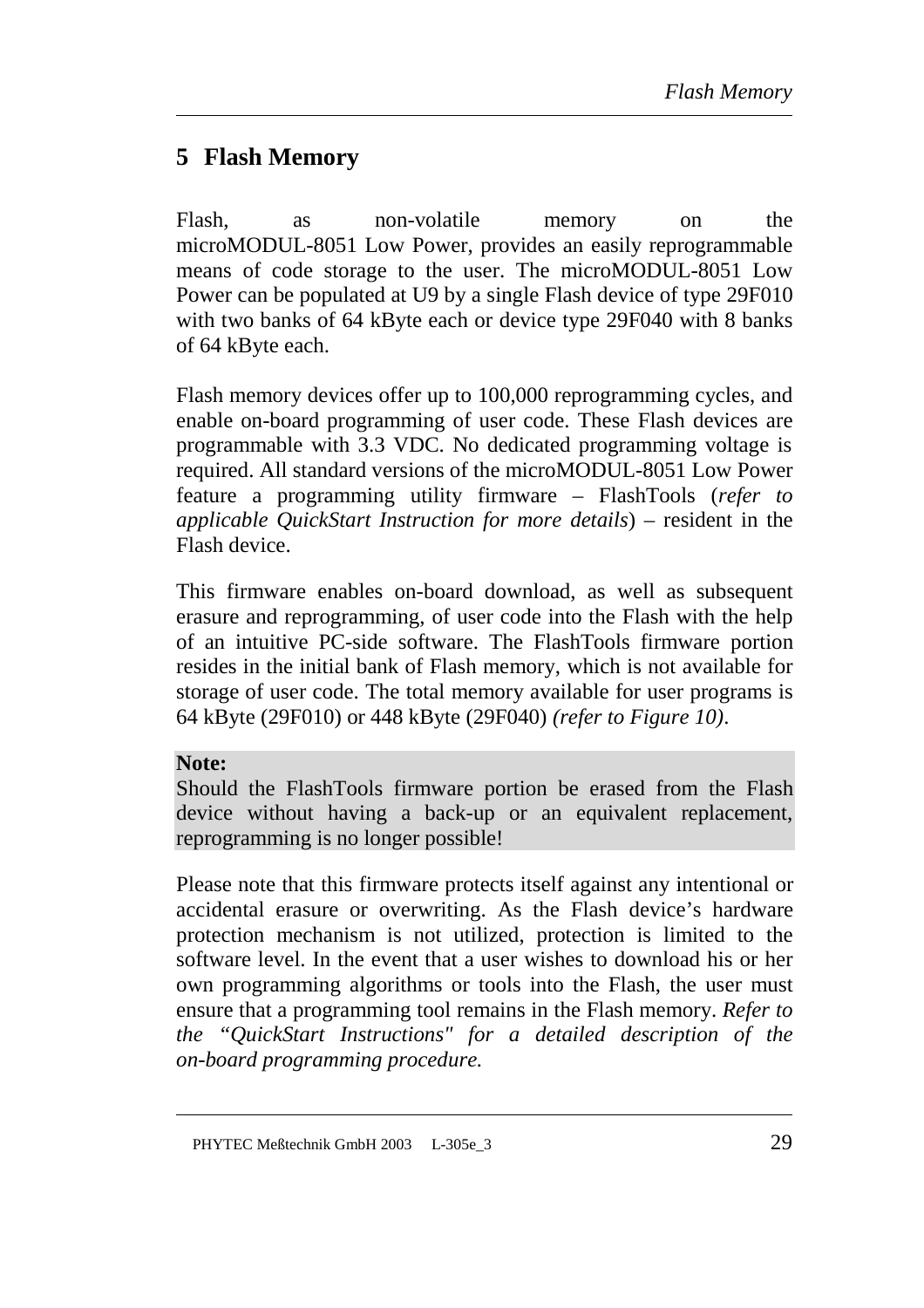# <span id="page-34-0"></span>**5 Flash Memory**

Flash, as non-volatile memory on the microMODUL-8051 Low Power, provides an easily reprogrammable means of code storage to the user. The microMODUL-8051 Low Power can be populated at U9 by a single Flash device of type 29F010 with two banks of 64 kByte each or device type 29F040 with 8 banks of 64 kByte each.

Flash memory devices offer up to 100,000 reprogramming cycles, and enable on-board programming of user code. These Flash devices are programmable with 3.3 VDC. No dedicated programming voltage is required. All standard versions of the microMODUL-8051 Low Power feature a programming utility firmware – FlashTools (*refer to applicable QuickStart Instruction for more details*) – resident in the Flash device.

This firmware enables on-board download, as well as subsequent erasure and reprogramming, of user code into the Flash with the help of an intuitive PC-side software. The FlashTools firmware portion resides in the initial bank of Flash memory, which is not available for storage of user code. The total memory available for user programs is 64 kByte (29F010) or 448 kByte (29F040) *(refer to [Figure 10\)](#page-35-0)*.

#### **Note:**

Should the FlashTools firmware portion be erased from the Flash device without having a back-up or an equivalent replacement, reprogramming is no longer possible!

Please note that this firmware protects itself against any intentional or accidental erasure or overwriting. As the Flash device's hardware protection mechanism is not utilized, protection is limited to the software level. In the event that a user wishes to download his or her own programming algorithms or tools into the Flash, the user must ensure that a programming tool remains in the Flash memory. *Refer to the "QuickStart Instructions" for a detailed description of the on-board programming procedure.*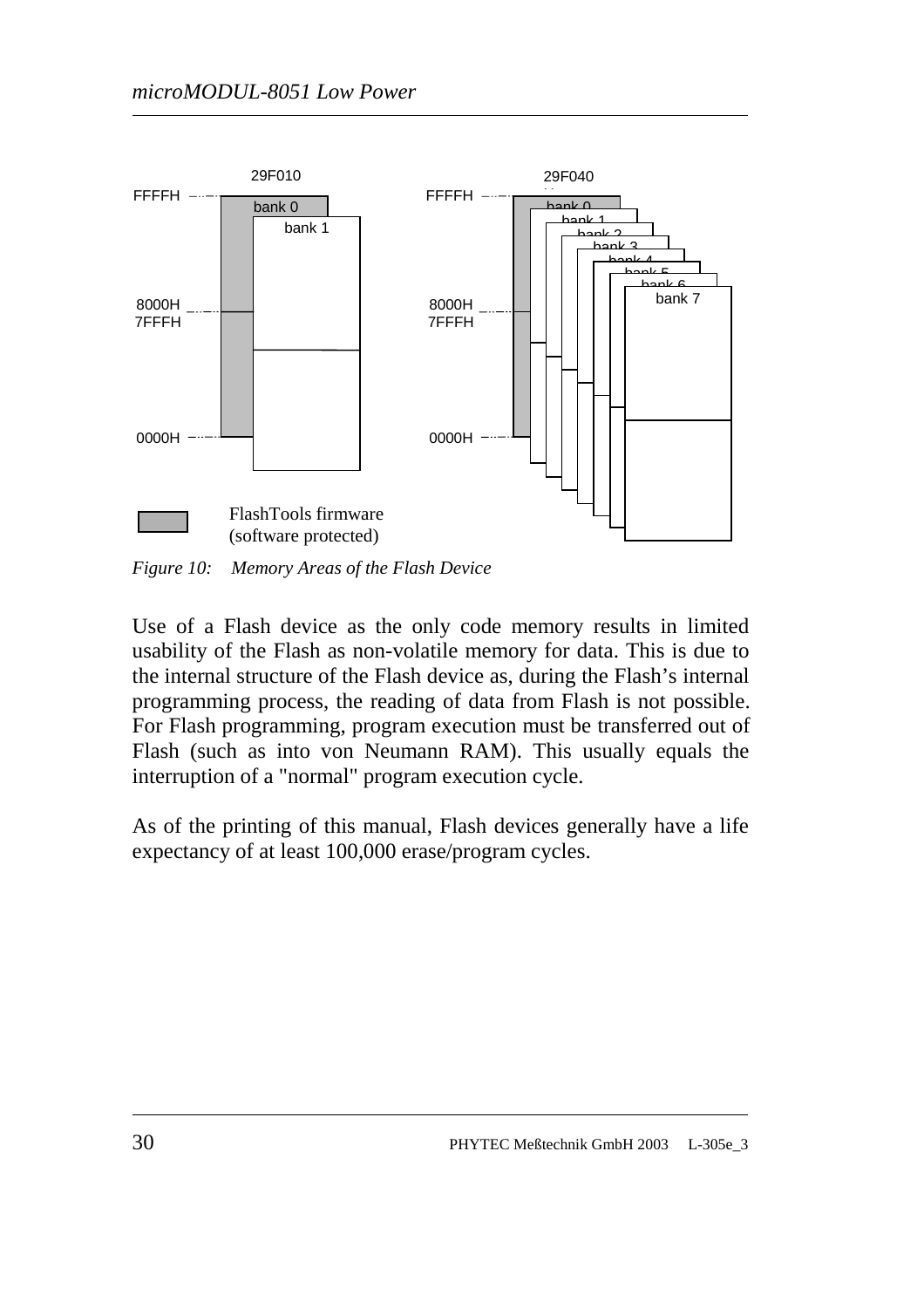<span id="page-35-0"></span>

*Figure 10: Memory Areas of the Flash Device*

Use of a Flash device as the only code memory results in limited usability of the Flash as non-volatile memory for data. This is due to the internal structure of the Flash device as, during the Flash's internal programming process, the reading of data from Flash is not possible. For Flash programming, program execution must be transferred out of Flash (such as into von Neumann RAM). This usually equals the interruption of a "normal" program execution cycle.

As of the printing of this manual, Flash devices generally have a life expectancy of at least 100,000 erase/program cycles.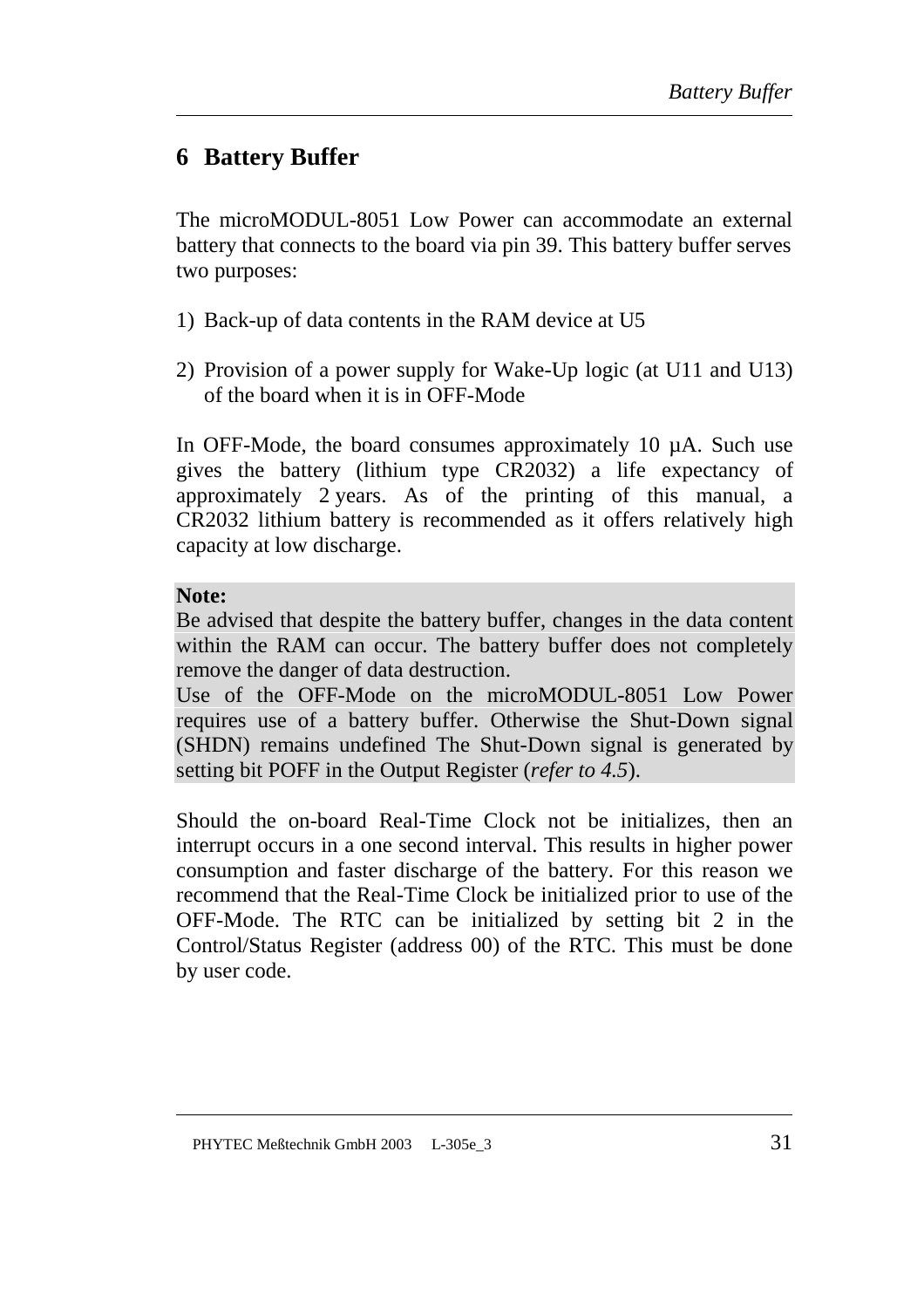# <span id="page-36-0"></span>**6 Battery Buffer**

The microMODUL-8051 Low Power can accommodate an external battery that connects to the board via pin 39. This battery buffer serves two purposes:

- 1) Back-up of data contents in the RAM device at U5
- 2) Provision of a power supply for Wake-Up logic (at U11 and U13) of the board when it is in OFF-Mode

In OFF-Mode, the board consumes approximately 10  $\mu$ A. Such use gives the battery (lithium type CR2032) a life expectancy of approximately 2 years. As of the printing of this manual, a CR2032 lithium battery is recommended as it offers relatively high capacity at low discharge.

#### **Note:**

Be advised that despite the battery buffer, changes in the data content within the RAM can occur. The battery buffer does not completely remove the danger of data destruction.

Use of the OFF-Mode on the microMODUL-8051 Low Power requires use of a battery buffer. Otherwise the Shut-Down signal (SHDN) remains undefined The Shut-Down signal is generated by setting bit POFF in the Output Register (*refer to [4.5](#page-32-0)*).

Should the on-board Real-Time Clock not be initializes, then an interrupt occurs in a one second interval. This results in higher power consumption and faster discharge of the battery. For this reason we recommend that the Real-Time Clock be initialized prior to use of the OFF-Mode. The RTC can be initialized by setting bit 2 in the Control/Status Register (address 00) of the RTC. This must be done by user code.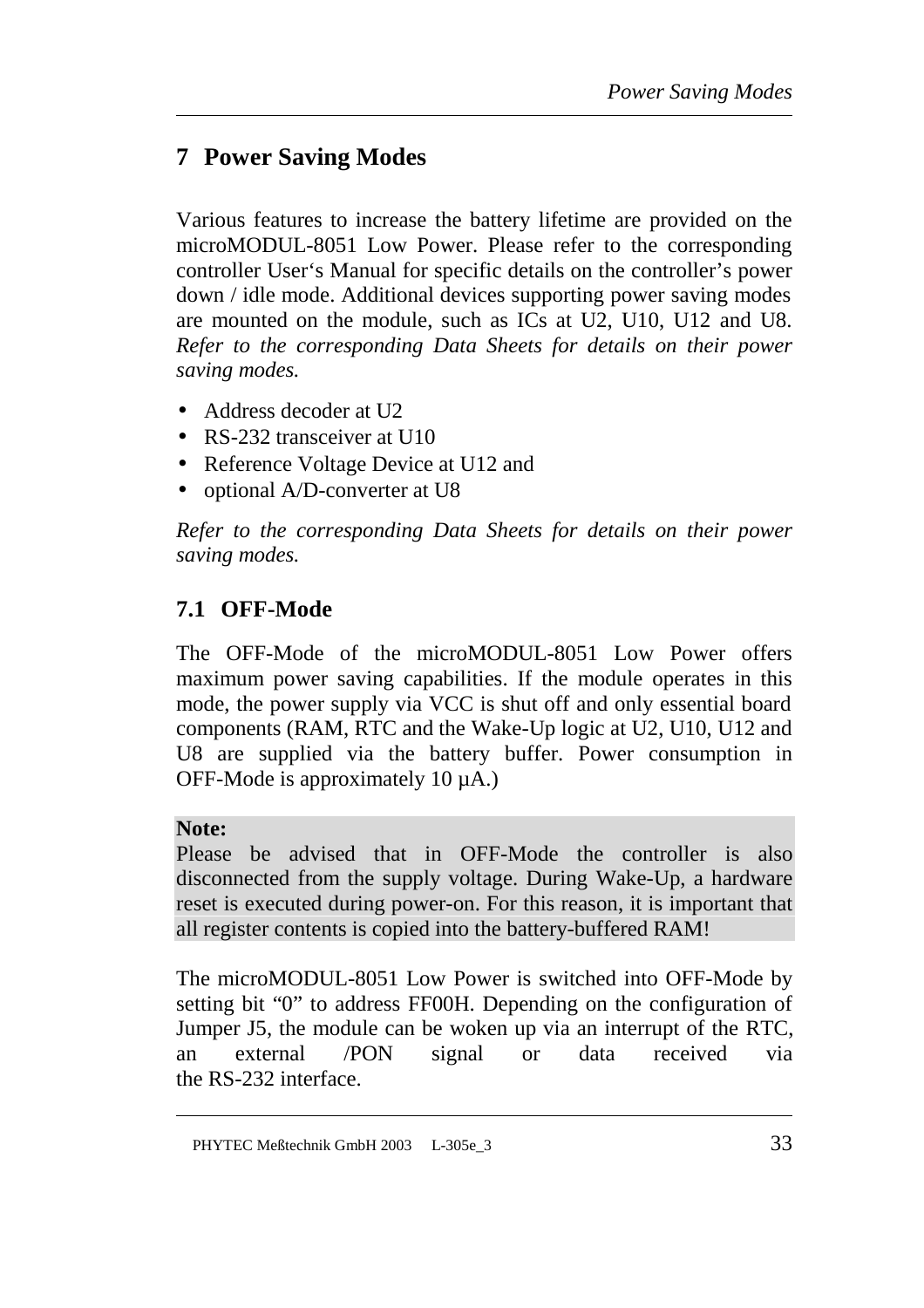# <span id="page-38-0"></span>**7 Power Saving Modes**

Various features to increase the battery lifetime are provided on the microMODUL-8051 Low Power. Please refer to the corresponding controller User's Manual for specific details on the controller's power down / idle mode. Additional devices supporting power saving modes are mounted on the module, such as ICs at U2, U10, U12 and U8. *Refer to the corresponding Data Sheets for details on their power saving modes.*

- Address decoder at U2
- RS-232 transceiver at U10
- Reference Voltage Device at U12 and
- optional A/D-converter at U8

*Refer to the corresponding Data Sheets for details on their power saving modes.*

## **7.1 OFF-Mode**

The OFF-Mode of the microMODUL-8051 Low Power offers maximum power saving capabilities. If the module operates in this mode, the power supply via VCC is shut off and only essential board components (RAM, RTC and the Wake-Up logic at U2, U10, U12 and U8 are supplied via the battery buffer. Power consumption in OFF-Mode is approximately  $10 \mu A$ .)

#### **Note:**

Please be advised that in OFF-Mode the controller is also disconnected from the supply voltage. During Wake-Up, a hardware reset is executed during power-on. For this reason, it is important that all register contents is copied into the battery-buffered RAM!

The microMODUL-8051 Low Power is switched into OFF-Mode by setting bit "0" to address FF00H. Depending on the configuration of Jumper J5, the module can be woken up via an interrupt of the RTC, an external /PON signal or data received via the RS-232 interface.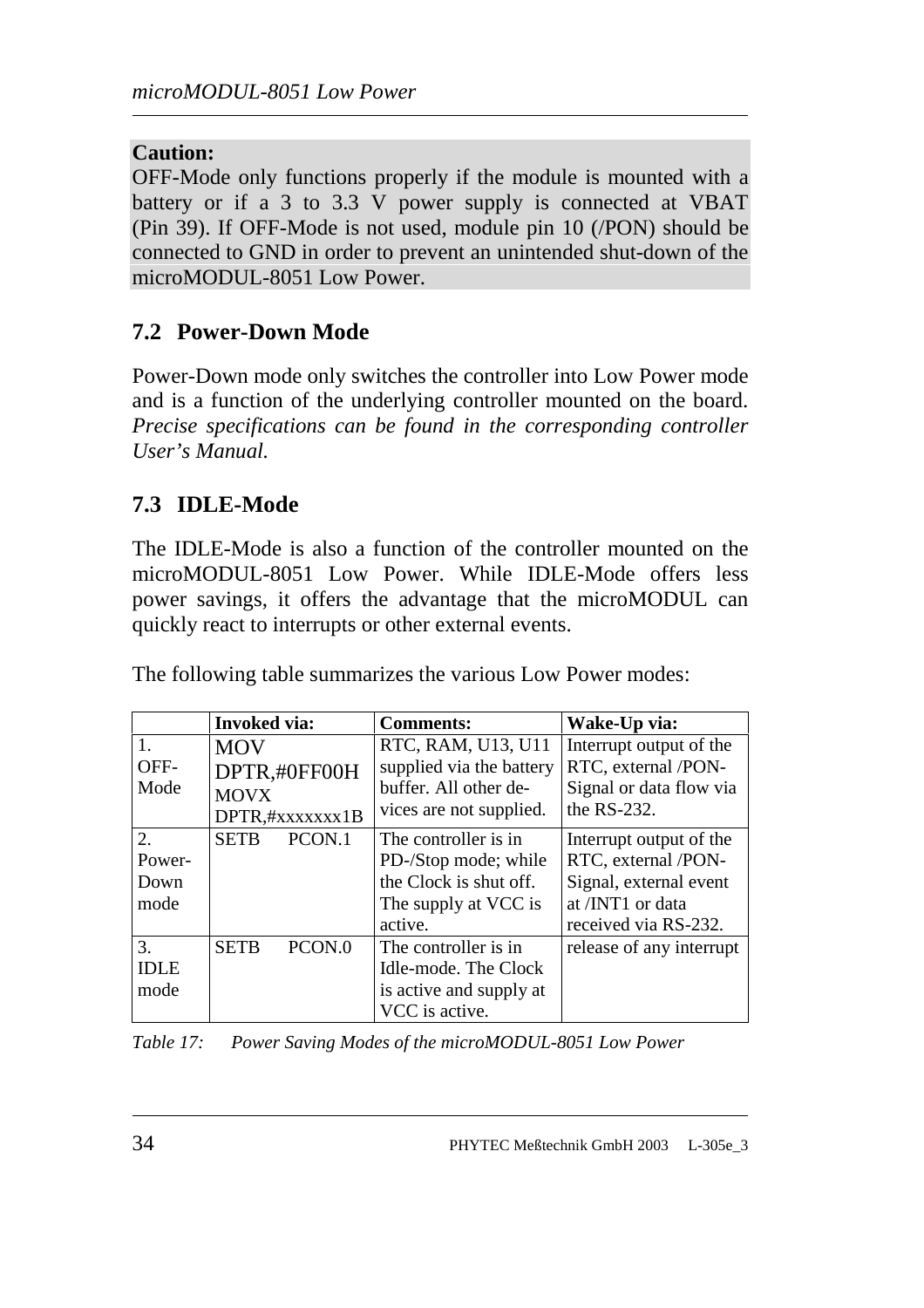#### <span id="page-39-0"></span>**Caution:**

OFF-Mode only functions properly if the module is mounted with a battery or if a 3 to 3.3 V power supply is connected at VBAT (Pin 39). If OFF-Mode is not used, module pin 10 (/PON) should be connected to GND in order to prevent an unintended shut-down of the microMODUL-8051 Low Power.

#### **7.2 Power-Down Mode**

Power-Down mode only switches the controller into Low Power mode and is a function of the underlying controller mounted on the board. *Precise specifications can be found in the corresponding controller User's Manual.*

#### **7.3 IDLE-Mode**

The IDLE-Mode is also a function of the controller mounted on the microMODUL-8051 Low Power. While IDLE-Mode offers less power savings, it offers the advantage that the microMODUL can quickly react to interrupts or other external events.

|             | <b>Invoked via:</b> |                 | <b>Comments:</b>         | Wake-Up via:             |
|-------------|---------------------|-----------------|--------------------------|--------------------------|
| 1.          | <b>MOV</b>          |                 | RTC, RAM, U13, U11       | Interrupt output of the  |
| OFF-        |                     | DPTR,#0FF00H    | supplied via the battery | RTC, external /PON-      |
| Mode        | <b>MOVX</b>         |                 | buffer. All other de-    | Signal or data flow via  |
|             |                     | DPTR,#xxxxxxx1B | vices are not supplied.  | the RS-232.              |
| 2.          | <b>SETB</b>         | PCON.1          | The controller is in     | Interrupt output of the  |
| Power-      |                     |                 | PD-/Stop mode; while     | RTC, external /PON-      |
| Down        |                     |                 | the Clock is shut off.   | Signal, external event   |
| mode        |                     |                 | The supply at VCC is     | at /INT1 or data         |
|             |                     |                 | active.                  | received via RS-232.     |
| 3.          | <b>SETB</b>         | PCON.0          | The controller is in     | release of any interrupt |
| <b>IDLE</b> |                     |                 | Idle-mode. The Clock     |                          |
| mode        |                     |                 | is active and supply at  |                          |
|             |                     |                 | VCC is active.           |                          |

The following table summarizes the various Low Power modes:

*Table 17: Power Saving Modes of the microMODUL-8051 Low Power*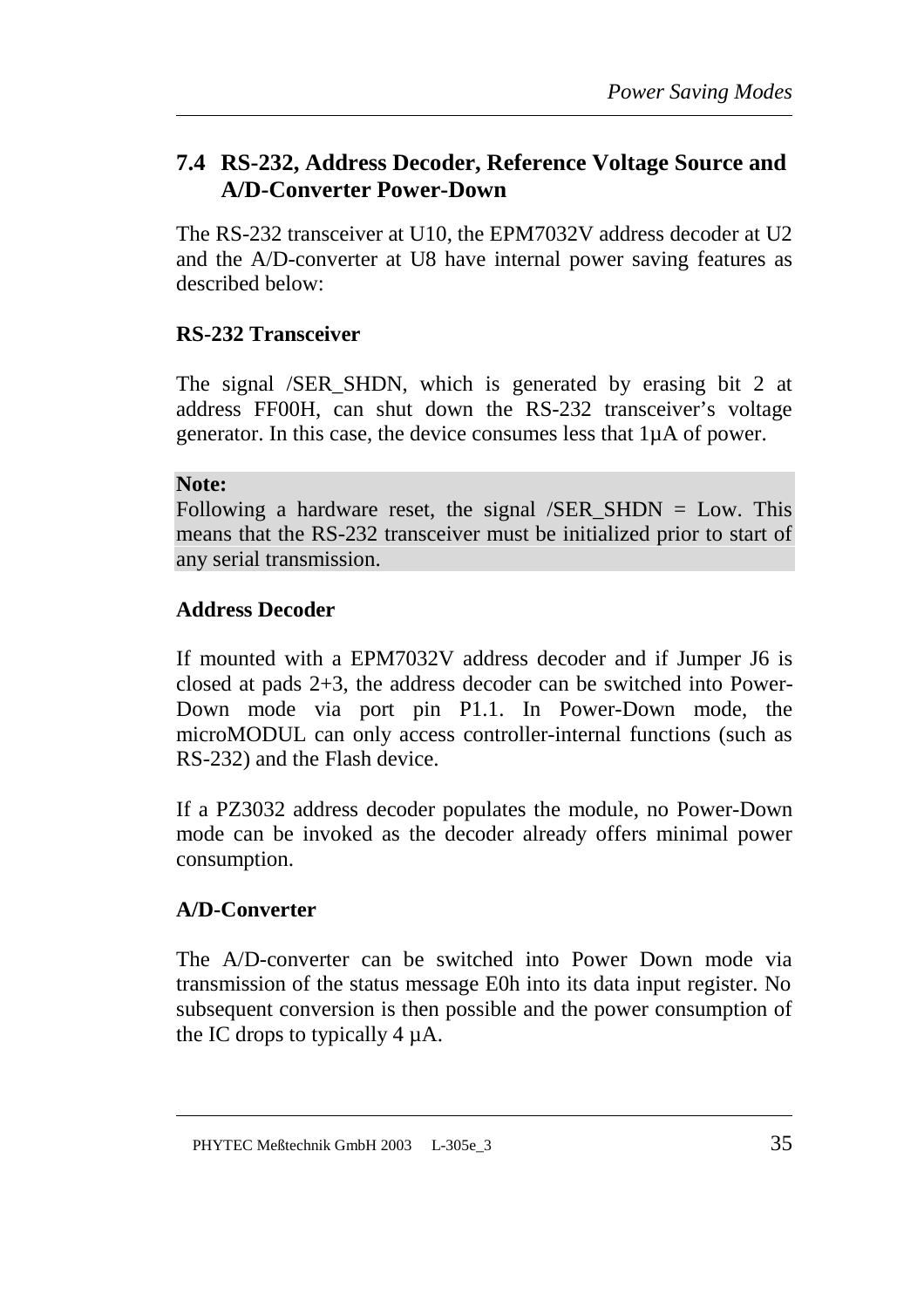## <span id="page-40-0"></span>**7.4 RS-232, Address Decoder, Reference Voltage Source and A/D-Converter Power-Down**

The RS-232 transceiver at U10, the EPM7032V address decoder at U2 and the A/D-converter at U8 have internal power saving features as described below:

#### **RS-232 Transceiver**

The signal /SER\_SHDN, which is generated by erasing bit 2 at address FF00H, can shut down the RS-232 transceiver's voltage generator. In this case, the device consumes less that 1µA of power.

#### **Note:**

Following a hardware reset, the signal /SER\_SHDN = Low. This means that the RS-232 transceiver must be initialized prior to start of any serial transmission.

#### **Address Decoder**

If mounted with a EPM7032V address decoder and if Jumper J6 is closed at pads 2+3, the address decoder can be switched into Power-Down mode via port pin P1.1. In Power-Down mode, the microMODUL can only access controller-internal functions (such as RS-232) and the Flash device.

If a PZ3032 address decoder populates the module, no Power-Down mode can be invoked as the decoder already offers minimal power consumption.

#### **A/D-Converter**

The A/D-converter can be switched into Power Down mode via transmission of the status message E0h into its data input register. No subsequent conversion is then possible and the power consumption of the IC drops to typically  $4 \mu A$ .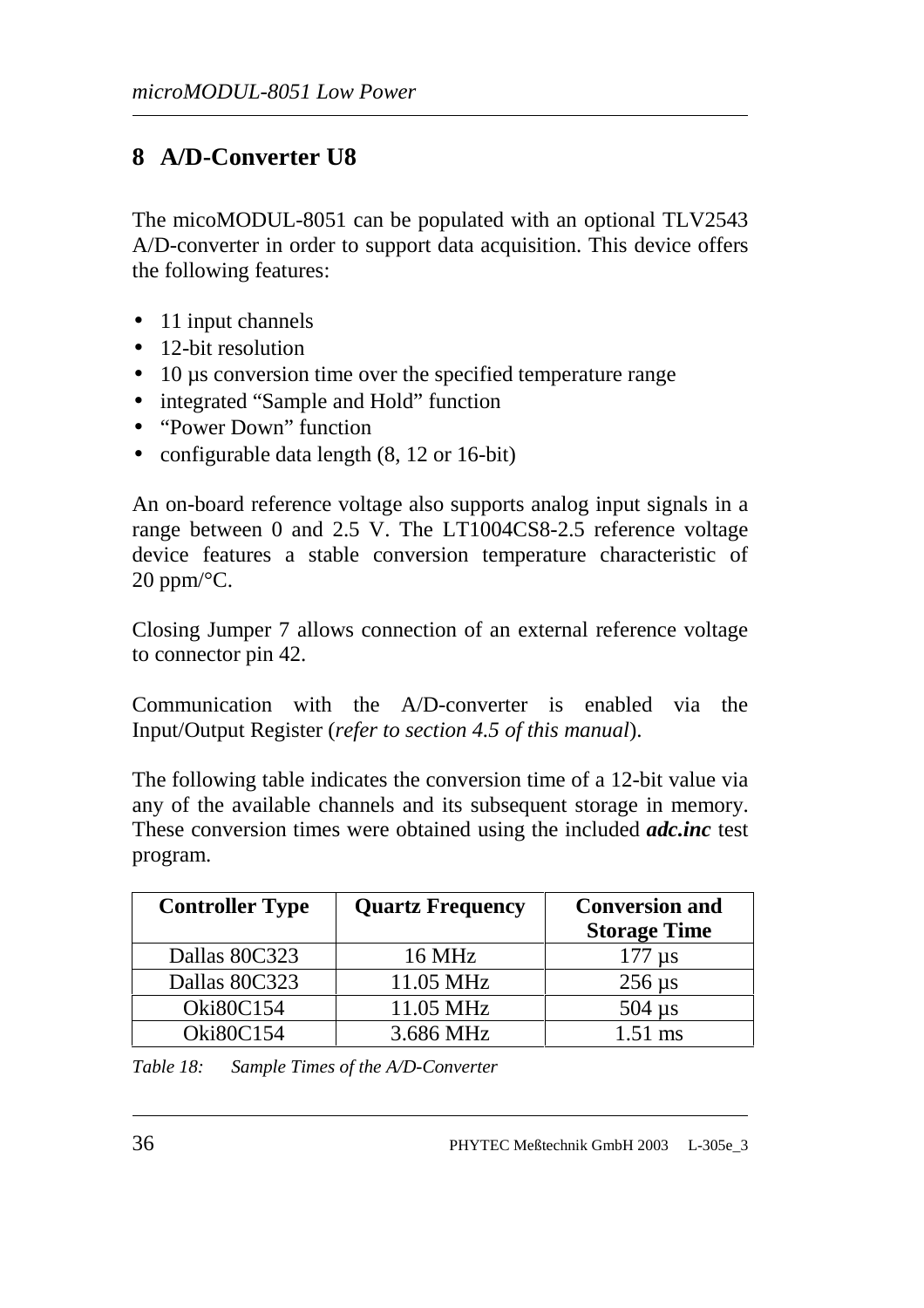# <span id="page-41-0"></span>**8 A/D-Converter U8**

The micoMODUL-8051 can be populated with an optional TLV2543 A/D-converter in order to support data acquisition. This device offers the following features:

- 11 input channels
- 12-bit resolution
- 10 µs conversion time over the specified temperature range
- integrated "Sample and Hold" function
- "Power Down" function
- configurable data length  $(8, 12 \text{ or } 16 \text{-bit})$

An on-board reference voltage also supports analog input signals in a range between 0 and 2.5 V. The LT1004CS8-2.5 reference voltage device features a stable conversion temperature characteristic of  $20$  ppm/ $\mathrm{C}$ .

Closing Jumper 7 allows connection of an external reference voltage to connector pin 42.

Communication with the A/D-converter is enabled via the Input/Output Register (*refer to section [4.5](#page-32-0) of this manual*).

The following table indicates the conversion time of a 12-bit value via any of the available channels and its subsequent storage in memory. These conversion times were obtained using the included *adc.inc* test program.

| <b>Controller Type</b> | <b>Quartz Frequency</b> | <b>Conversion and</b><br><b>Storage Time</b> |
|------------------------|-------------------------|----------------------------------------------|
| Dallas 80C323          | 16 MHz                  | $177 \,\mathrm{u}$ s                         |
| Dallas 80C323          | 11.05 MHz               | $256 \,\mathrm{\mu s}$                       |
| Oki80C154              | 11.05 MHz               | $504 \text{ }\mu\text{s}$                    |
| Oki80C154              | 3.686 MHz               | $1.51$ ms                                    |

*Table 18: Sample Times of the A/D-Converter*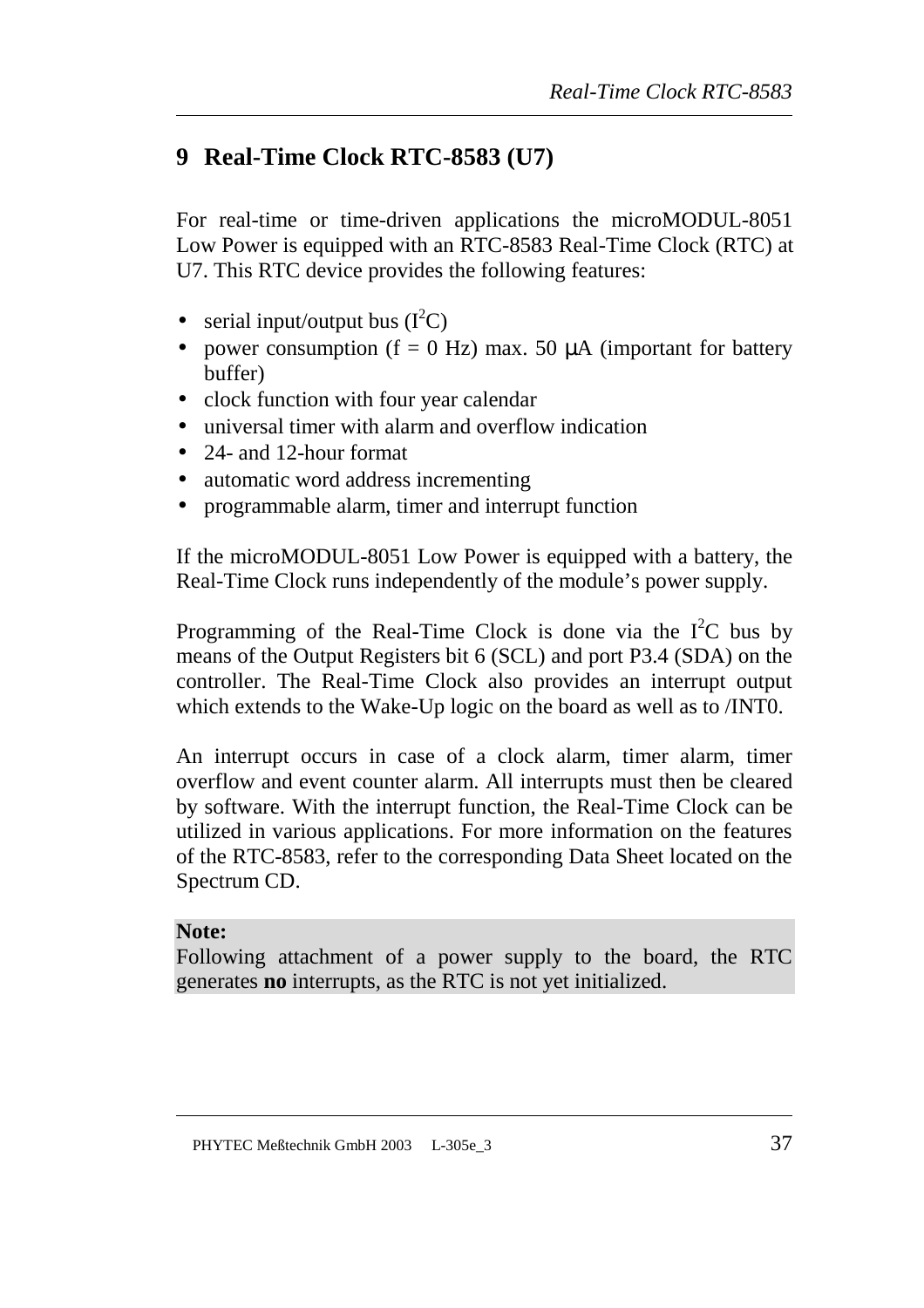## <span id="page-42-0"></span>**9 Real-Time Clock RTC-8583 (U7)**

For real-time or time-driven applications the microMODUL-8051 Low Power is equipped with an RTC-8583 Real-Time Clock (RTC) at U7. This RTC device provides the following features:

- serial input/output bus  $(I^2C)$
- power consumption  $(f = 0 Hz)$  max. 50  $\mu$ A (important for battery buffer)
- clock function with four year calendar
- universal timer with alarm and overflow indication
- 24- and 12-hour format
- automatic word address incrementing
- programmable alarm, timer and interrupt function

If the microMODUL-8051 Low Power is equipped with a battery, the Real-Time Clock runs independently of the module's power supply.

Programming of the Real-Time Clock is done via the  $I^2C$  bus by means of the Output Registers bit 6 (SCL) and port P3.4 (SDA) on the controller. The Real-Time Clock also provides an interrupt output which extends to the Wake-Up logic on the board as well as to /INT0.

An interrupt occurs in case of a clock alarm, timer alarm, timer overflow and event counter alarm. All interrupts must then be cleared by software. With the interrupt function, the Real-Time Clock can be utilized in various applications. For more information on the features of the RTC-8583, refer to the corresponding Data Sheet located on the Spectrum CD.

#### **Note:**

Following attachment of a power supply to the board, the RTC generates **no** interrupts, as the RTC is not yet initialized.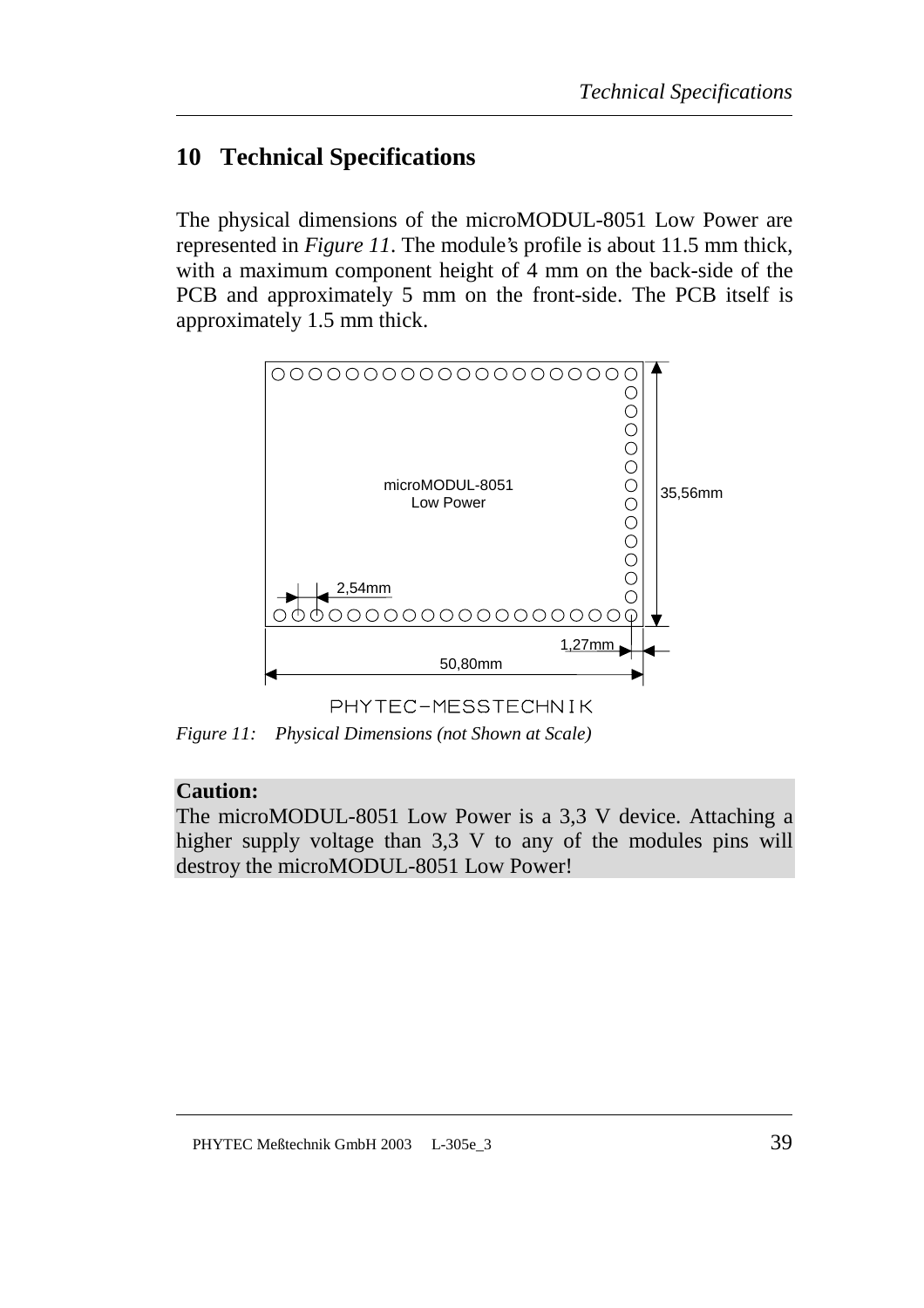#### <span id="page-44-0"></span>**10 Technical Specifications**

The physical dimensions of the microMODUL-8051 Low Power are represented in *Figure 11*. The module's profile is about 11.5 mm thick, with a maximum component height of 4 mm on the back-side of the PCB and approximately 5 mm on the front-side. The PCB itself is approximately 1.5 mm thick.



*Figure 11: Physical Dimensions (not Shown at Scale)*

#### **Caution:**

The microMODUL-8051 Low Power is a 3,3 V device. Attaching a higher supply voltage than 3,3 V to any of the modules pins will destroy the microMODUL-8051 Low Power!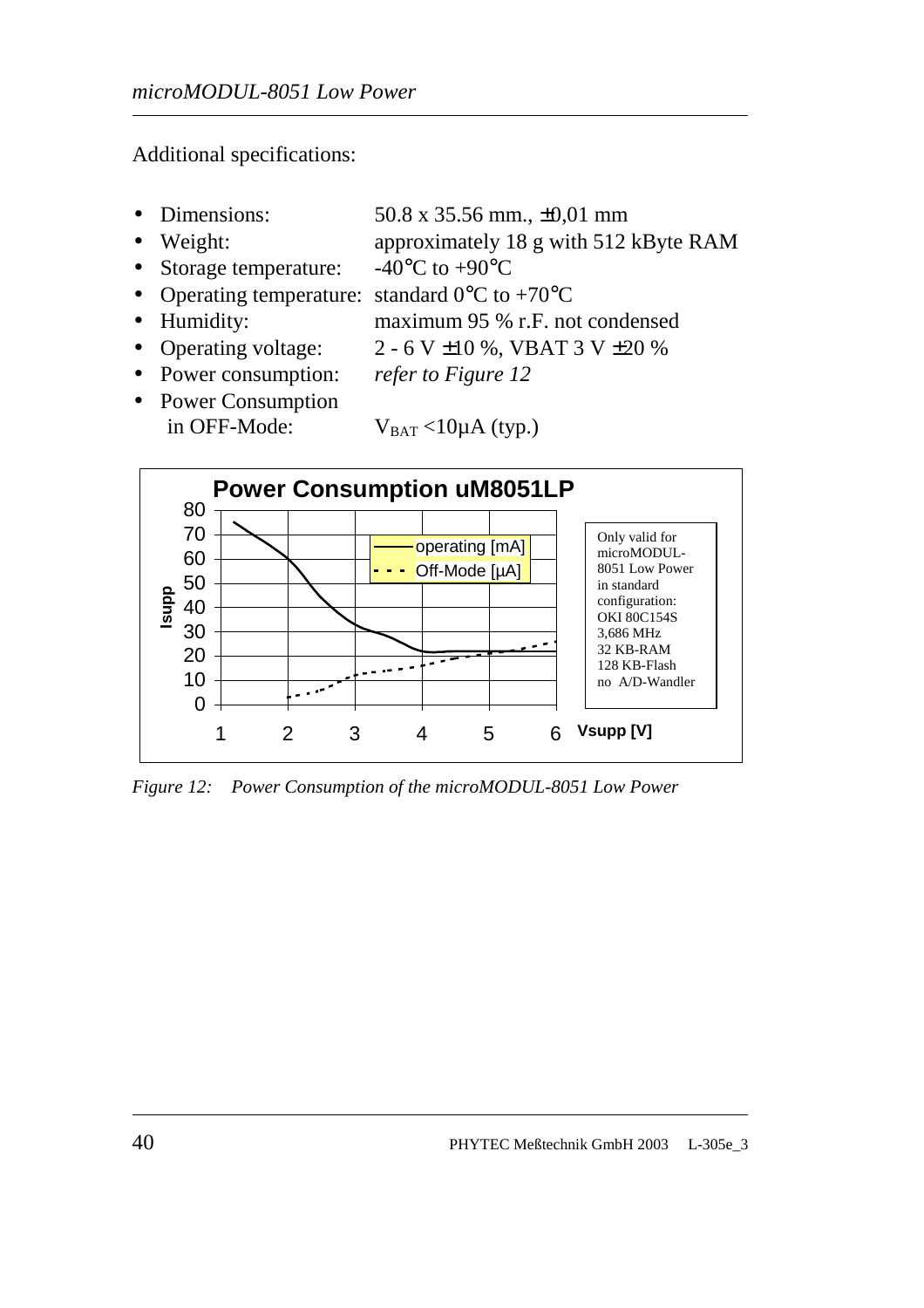<span id="page-45-0"></span>Additional specifications:

- Dimensions:  $50.8 \times 35.56 \text{ mm}$ ,  $\pm 0.01 \text{ mm}$
- 
- 
- Weight: approximately 18 g with 512 kByte RAM
- Storage temperature:  $-40^{\circ}$ C to  $+90^{\circ}$ C
- Operating temperature: standard  $0^{\circ}$ C to +70 $^{\circ}$ C
- 
- Humidity: maximum 95 % r.F. not condensed
- Operating voltage:  $2 6 \text{ V } \pm 10 \text{ %}$ , VBAT 3 V  $\pm 20 \text{ %}$
- Power consumption: *refer to Figure 12*
- Power Consumption in OFF-Mode:  $V_{BAT} < 10\mu A$  (typ.)



*Figure 12: Power Consumption of the microMODUL-8051 Low Power*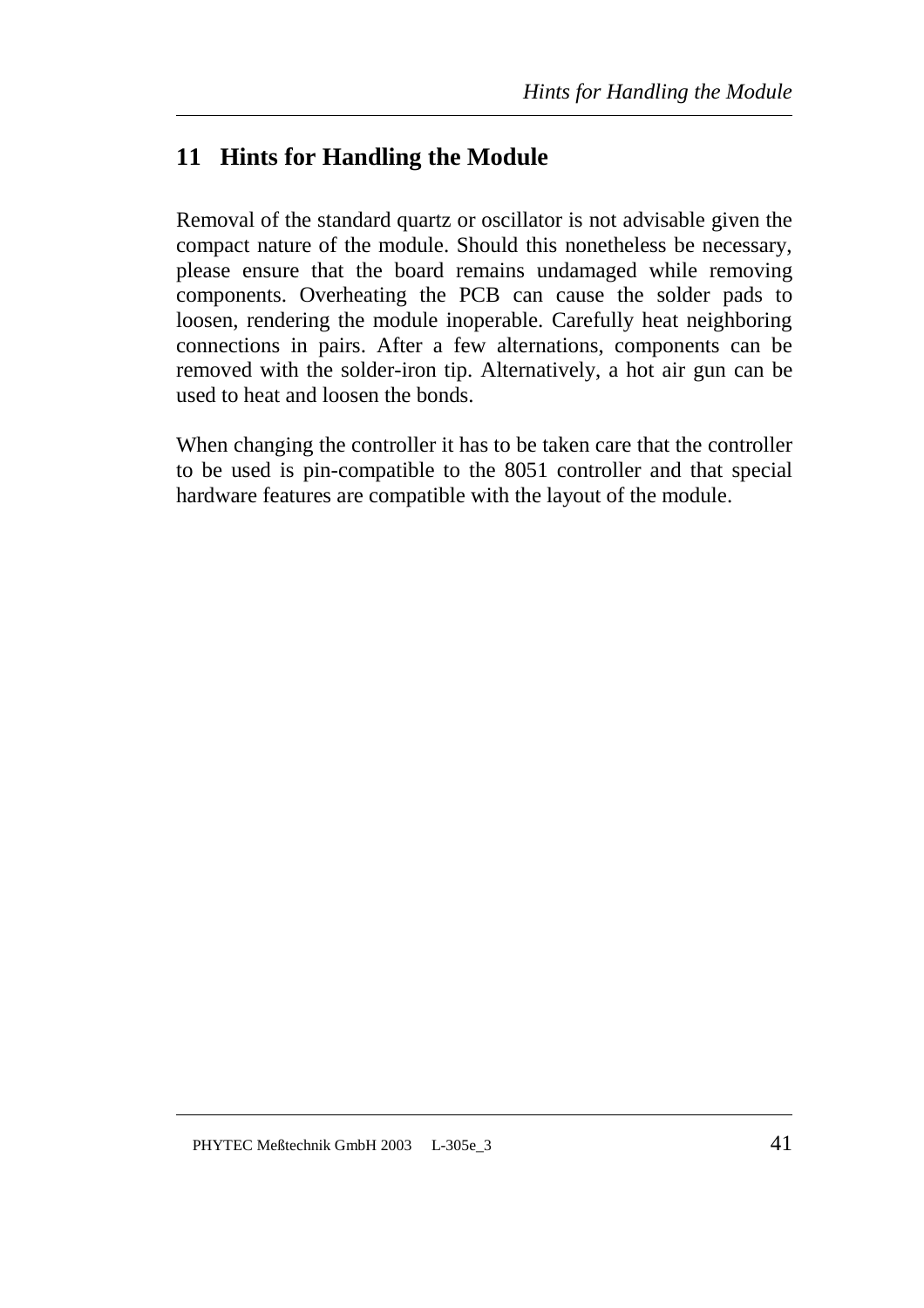## <span id="page-46-0"></span>**11 Hints for Handling the Module**

Removal of the standard quartz or oscillator is not advisable given the compact nature of the module. Should this nonetheless be necessary, please ensure that the board remains undamaged while removing components. Overheating the PCB can cause the solder pads to loosen, rendering the module inoperable. Carefully heat neighboring connections in pairs. After a few alternations, components can be removed with the solder-iron tip. Alternatively, a hot air gun can be used to heat and loosen the bonds.

When changing the controller it has to be taken care that the controller to be used is pin-compatible to the 8051 controller and that special hardware features are compatible with the layout of the module.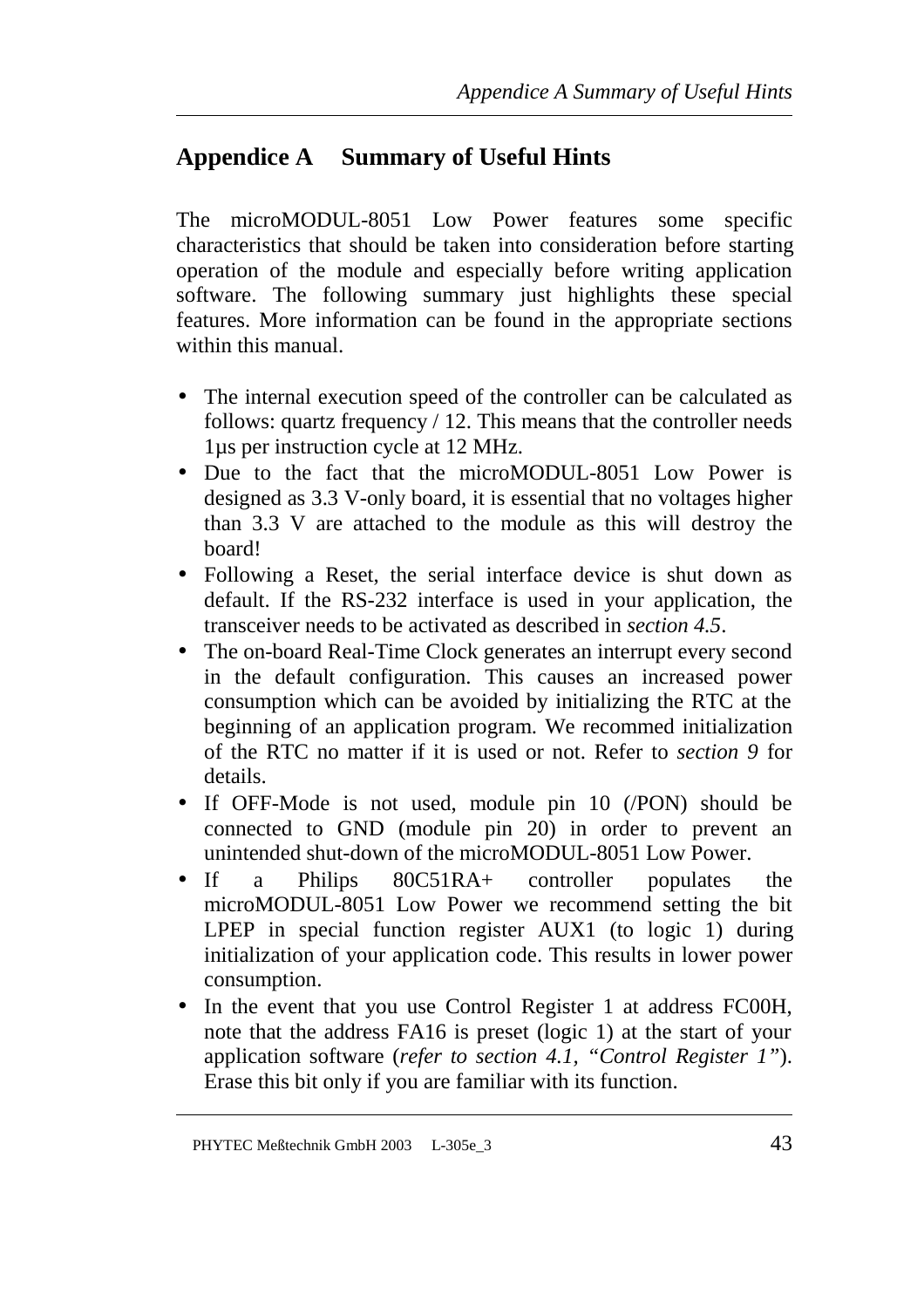# <span id="page-48-0"></span>**Appendice A Summary of Useful Hints**

The microMODUL-8051 Low Power features some specific characteristics that should be taken into consideration before starting operation of the module and especially before writing application software. The following summary just highlights these special features. More information can be found in the appropriate sections within this manual.

- The internal execution speed of the controller can be calculated as follows: quartz frequency / 12. This means that the controller needs 1µs per instruction cycle at 12 MHz.
- Due to the fact that the microMODUL-8051 Low Power is designed as 3.3 V-only board, it is essential that no voltages higher than 3.3 V are attached to the module as this will destroy the board!
- Following a Reset, the serial interface device is shut down as default. If the RS-232 interface is used in your application, the transceiver needs to be activated as described in *section [4.5](#page-32-0)*.
- The on-board Real-Time Clock generates an interrupt every second in the default configuration. This causes an increased power consumption which can be avoided by initializing the RTC at the beginning of an application program. We recommed initialization of the RTC no matter if it is used or not. Refer to *section [9](#page-42-0)* for details.
- If OFF-Mode is not used, module pin 10 (/PON) should be connected to GND (module pin 20) in order to prevent an unintended shut-down of the microMODUL-8051 Low Power.
- If a Philips 80C51RA+ controller populates the microMODUL-8051 Low Power we recommend setting the bit LPEP in special function register AUX1 (to logic 1) during initialization of your application code. This results in lower power consumption.
- In the event that you use Control Register 1 at address FC00H, note that the address FA16 is preset (logic 1) at the start of your application software (*refer to section [4.1,](#page-22-0) "[Control Register 1"](#page-22-0)*). Erase this bit only if you are familiar with its function.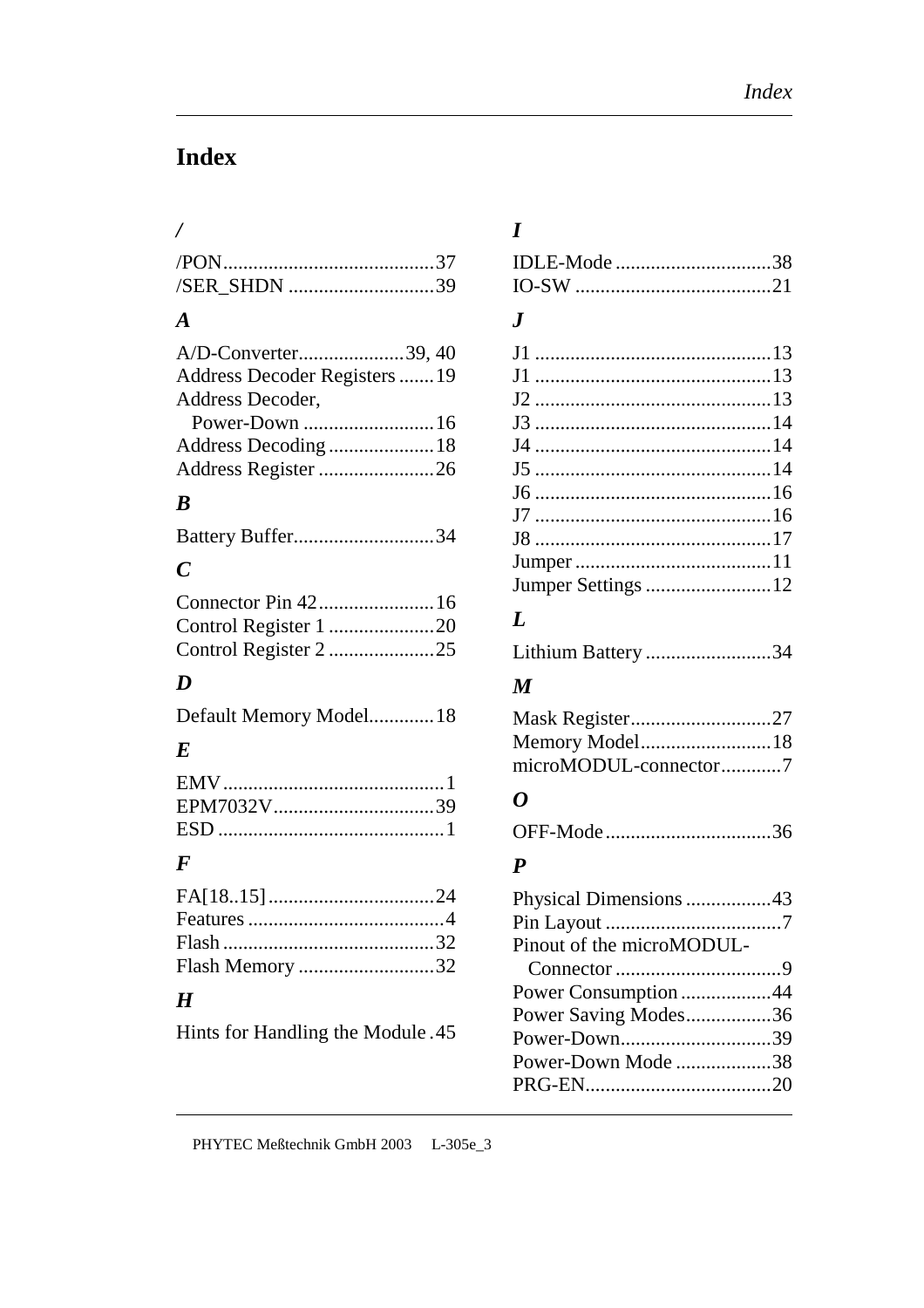# <span id="page-50-0"></span>Index

#### $\overline{1}$

| /SER SHDN 39 |  |
|--------------|--|

#### $\boldsymbol{A}$

| A/D-Converter39, 40           |  |
|-------------------------------|--|
| Address Decoder Registers  19 |  |
| Address Decoder,              |  |
|                               |  |
|                               |  |
|                               |  |

#### $\boldsymbol{B}$

| Battery Buffer34 |  |
|------------------|--|
|                  |  |

## $\boldsymbol{C}$

## $\boldsymbol{D}$

Default Memory Model............. 18

## $\boldsymbol{E}$

## $\overline{F}$

| Flash Memory 32 |  |
|-----------------|--|

## $\boldsymbol{H}$

Hints for Handling the Module .45

# $\boldsymbol{I}$

| IDLE-Mode38 |  |
|-------------|--|
|             |  |

#### $\boldsymbol{J}$

| Jumper Settings 12 |  |
|--------------------|--|
|                    |  |

## $\boldsymbol{L}$

```
Lithium Battery ..........................34
```
#### $\boldsymbol{M}$

| Mask Register27       |  |
|-----------------------|--|
|                       |  |
| microMODUL-connector7 |  |

## $\boldsymbol{o}$

```
OFF-Mode...................................36
```
## $\boldsymbol{P}$

| Physical Dimensions 43    |  |
|---------------------------|--|
|                           |  |
| Pinout of the microMODUL- |  |
|                           |  |
| Power Consumption44       |  |
| Power Saving Modes36      |  |
|                           |  |
| Power-Down Mode38         |  |
|                           |  |
|                           |  |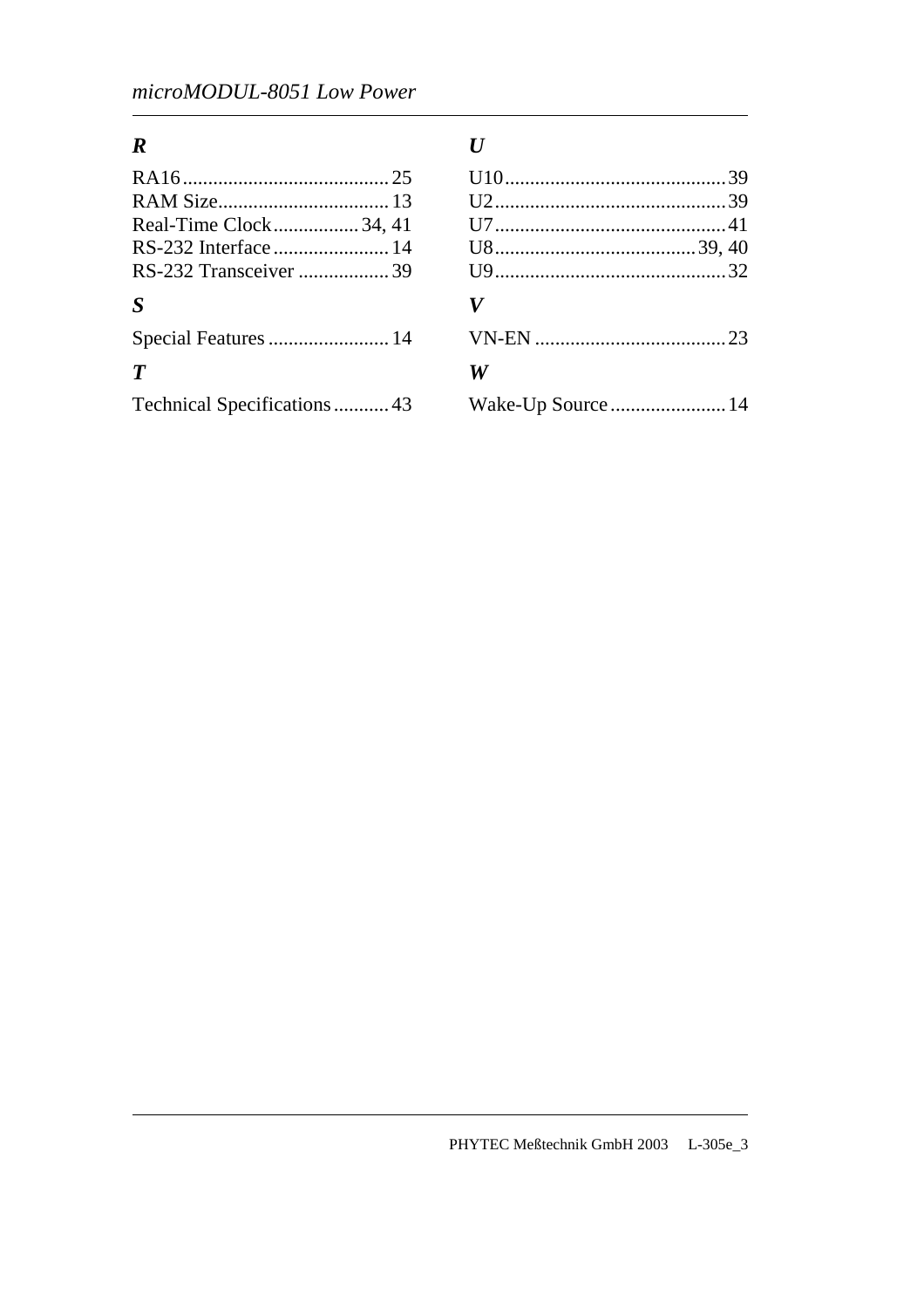## *R*

| S                          |
|----------------------------|
| Special Features  14       |
| $\boldsymbol{T}$           |
| Technical Specifications43 |

#### *U*

| $\boldsymbol{V}$  |  |
|-------------------|--|
|                   |  |
| W                 |  |
| Wake-Up Source 14 |  |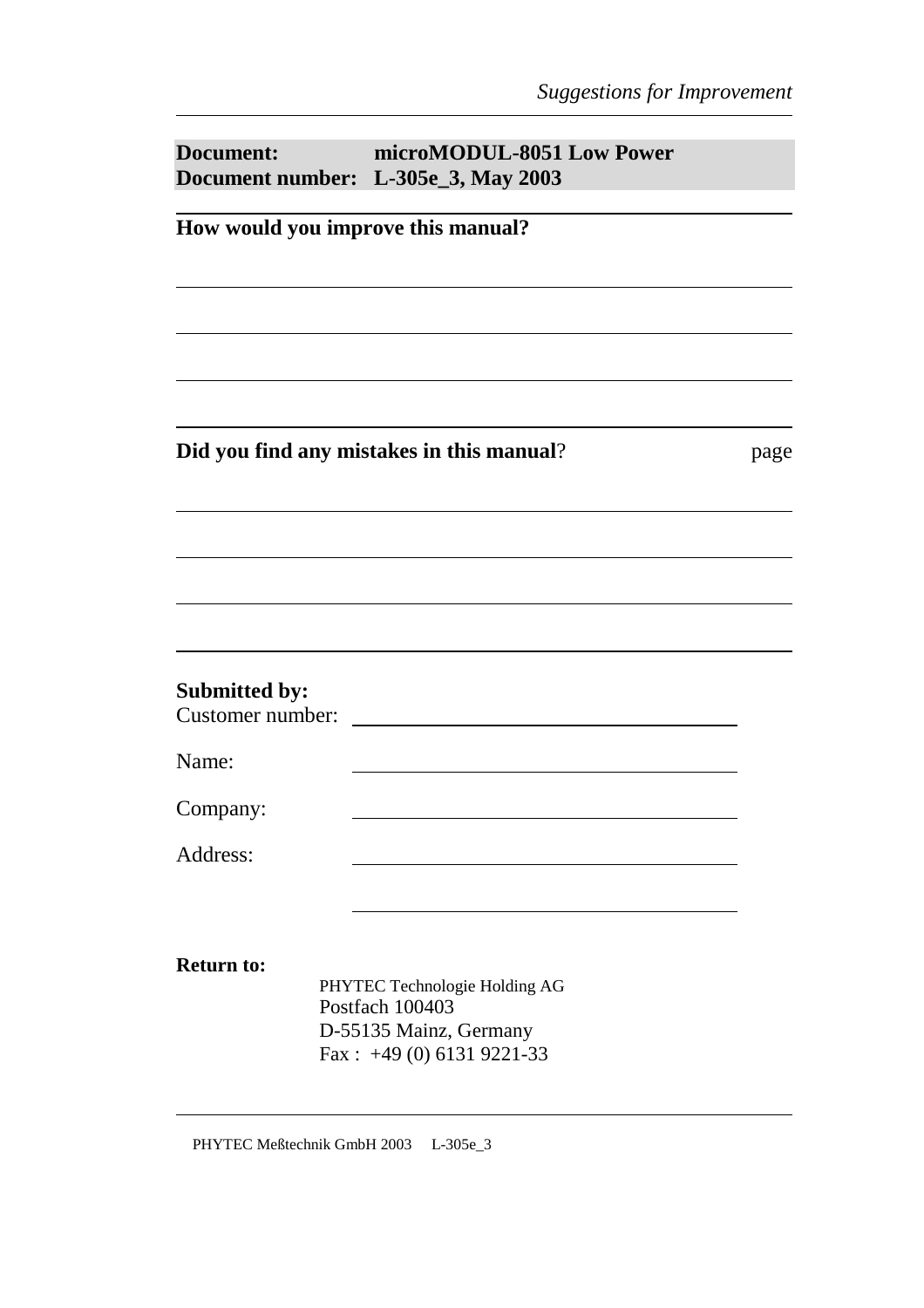| Document:                                | microMODUL-8051 Low Power                                                                                |      |
|------------------------------------------|----------------------------------------------------------------------------------------------------------|------|
|                                          | Document number: L-305e_3, May 2003                                                                      |      |
|                                          | How would you improve this manual?                                                                       |      |
|                                          |                                                                                                          |      |
|                                          | Did you find any mistakes in this manual?                                                                | page |
|                                          |                                                                                                          |      |
|                                          |                                                                                                          |      |
| <b>Submitted by:</b><br>Customer number: |                                                                                                          |      |
| Name:                                    |                                                                                                          |      |
| Company:                                 |                                                                                                          |      |
| Address:                                 |                                                                                                          |      |
| <b>Return to:</b>                        | PHYTEC Technologie Holding AG<br>Postfach 100403<br>D-55135 Mainz, Germany<br>Fax: $+49(0)$ 6131 9221-33 |      |